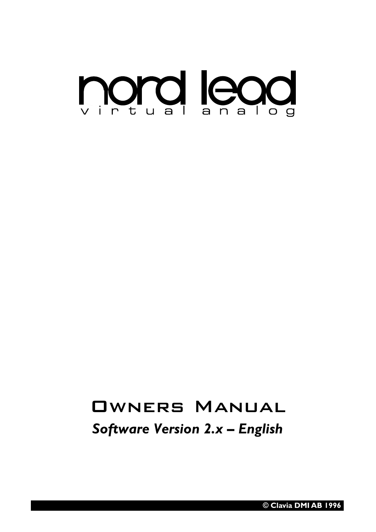

# Owners Manual

*Software Version 2.x – English*

**© Clavia DMI AB 1996**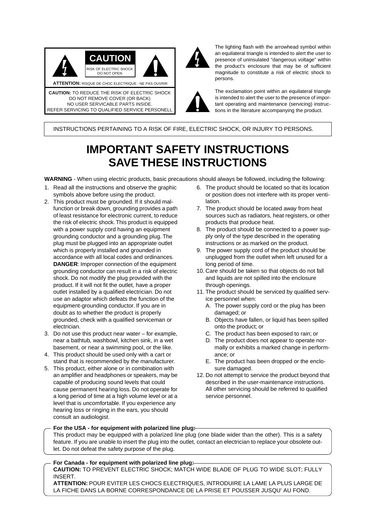



The lighting flash with the arrowhead symbol within an equilateral triangle is intended to alert the user to presence of uninsulated "dangerous voltage" within the product's enclosure that may be of sufficient magnitude to constitute a risk of electric shock to persons.

The exclamation point within an equilateral triangle is intended to alert the user to the presence of important operating and maintenance (servicing) instructions in the literature accompanying the product.

INSTRUCTIONS PERTAINING TO A RISK OF FIRE, ELECTRIC SHOCK, OR INJURY TO PERSONS.

## **IMPORTANT SAFETY INSTRUCTIONS SAVE THESE INSTRUCTIONS**

**WARNING** - When using electric products, basic precautions should always be followed, including the following:

- 1. Read all the instructions and observe the graphic symbols above before using the product.
- 2. This product must be grounded. If it should malfunction or break down, grounding provides a path of least resistance for electronic current, to reduce the risk of electric shock. This product is equipped with a power supply cord having an equipment grounding conductor and a grounding plug. The plug must be plugged into an appropriate outlet which is properly installed and grounded in accordance with all local codes and ordinances. **DANGER**: Improper connection of the equipment grounding conductor can result in a risk of electric shock. Do not modify the plug provided with the product. If it will not fit the outlet, have a proper outlet installed by a qualified electrician. Do not use an adaptor which defeats the function of the equipment-grounding conductor. If you are in doubt as to whether the product is properly grounded, check with a qualified serviceman or electrician.
- 3. Do not use this product near water for example, near a bathtub, washbowl, kitchen sink, in a wet basement, or near a swimming pool, or the like.
- 4. This product should be used only with a cart or stand that is recommended by the manufacturer.
- 5. This product, either alone or in combination with an amplifier and headphones or speakers, may be capable of producing sound levels that could cause permanent hearing loss. Do not operate for a long period of time at a high volume level or at a level that is uncomfortable. If you experience any hearing loss or ringing in the ears, you should consult an audiologist.
- 6. The product should be located so that its location or position does not interfere with its proper ventilation.
- 7. The product should be located away from heat sources such as radiators, heat registers, or other products that produce heat.
- 8. The product should be connected to a power supply only of the type described in the operating instructions or as marked on the product.
- 9. The power supply cord of the product should be unplugged from the outlet when left unused for a long period of time.
- 10. Care should be taken so that objects do not fall and liquids are not spilled into the enclosure through openings.
- 11. The product should be serviced by qualified service personnel when:
	- A. The power supply cord or the plug has been damaged; or
	- B. Objects have fallen, or liquid has been spilled onto the product; or
	- C. The product has been exposed to rain; or
	- D. The product does not appear to operate normally or exhibits a marked change in performance; or
	- E. The product has been dropped or the enclosure damaged.
- 12. Do not attempt to service the product beyond that described in the user-maintenance instructions. All other servicing should be referred to qualified service personnel.

**For the USA - for equipment with polarized line plug:** This product may be equipped with a polarized line plug (one blade wider than the other). This is a safety feature. If you are unable to insert the plug into the outlet, contact an electrician to replace your obsolete outlet. Do not defeat the safety purpose of the plug.

**For Canada - for equipment with polarized line plug: CAUTION:** TO PREVENT ELECTRIC SHOCK; MATCH WIDE BLADE OF PLUG TO WIDE SLOT; FULLY INSERT.

**ATTENTION:** POUR EVITER LES CHOCS ELECTRIQUES, INTRODUIRE LA LAME LA PLUS LARGE DE LA FICHE DANS LA BORNE CORRESPONDANCE DE LA PRISE ET POUSSER JUSQU' AU FOND.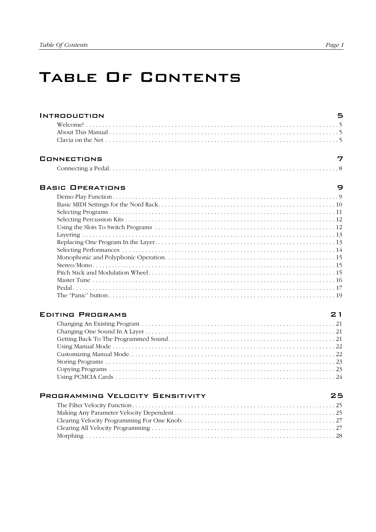## TABLE OF CONTENTS

| <b>INTRODUCTION</b>                                                                                                                                                                                                              |  |
|----------------------------------------------------------------------------------------------------------------------------------------------------------------------------------------------------------------------------------|--|
|                                                                                                                                                                                                                                  |  |
| Clavia on the Net $\ldots$ $\ldots$ $\ldots$ $\ldots$ $\ldots$ $\ldots$ $\ldots$ $\ldots$ $\ldots$ $\ldots$ $\ldots$ $\ldots$ $\ldots$ $\ldots$ $\ldots$ $\ldots$ $\ldots$ $\ldots$ $\ldots$ $\ldots$ $\ldots$ $\ldots$ $\ldots$ |  |
| CONNECTIONS                                                                                                                                                                                                                      |  |

| JNNEL IIUNS |  |
|-------------|--|
|             |  |

#### **BASIC OPERATIONS**

#### **EDITING PROGRAMS**

| <b>PROGRAMMING VELOCITY SENSITIVITY</b> | 25 |
|-----------------------------------------|----|
|                                         |    |
|                                         |    |
|                                         |    |
|                                         |    |
|                                         |    |

9

 $21$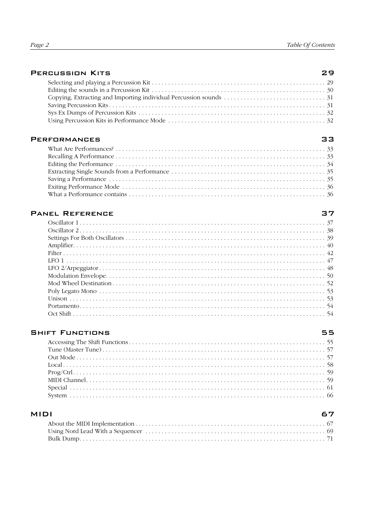#### **PERCUSSION KITS**

#### **PERFORMANCES**

#### **PANEL REFERENCE**

#### **SHIFT FUNCTIONS**

#### **MIDI**

#### 33

29

## 37

#### 55

#### 67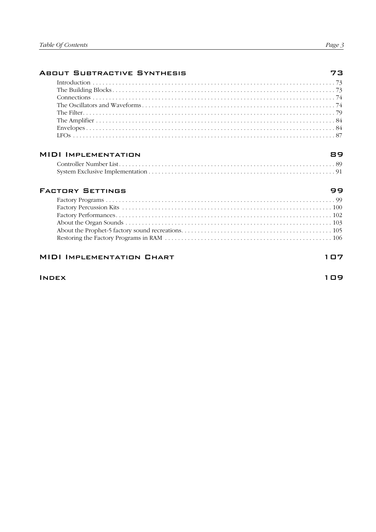| <b>ABOUT SUBTRACTIVE SYNTHESIS</b> | 73  |
|------------------------------------|-----|
|                                    |     |
|                                    |     |
|                                    |     |
|                                    |     |
|                                    |     |
|                                    |     |
|                                    |     |
|                                    |     |
| <b>MIDI IMPLEMENTATION</b>         | 89  |
|                                    |     |
|                                    |     |
| <b>FACTORY SETTINGS</b>            | 99  |
|                                    |     |
|                                    |     |
|                                    |     |
|                                    |     |
|                                    |     |
|                                    |     |
| <b>MIDI IMPLEMENTATION CHART</b>   | 107 |
| <b>INDEX</b>                       | 109 |
|                                    |     |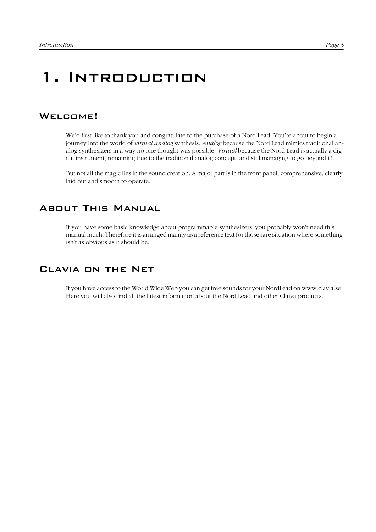## 1. Introduction

#### WELCOME!

We'd first like to thank you and congratulate to the purchase of a Nord Lead. You're about to begin a journey into the world of *virtual analog* synthesis. *Analog* because the Nord Lead mimics traditional analog synthesizers in a way no one thought was possible. *Virtual* because the Nord Lead is actually a digital instrument, remaining true to the traditional analog concept, and still managing to go beyond it!.

But not all the magic lies in the sound creation. A major part is in the front panel, comprehensive, clearly laid out and smooth to operate.

#### About This Manual

If you have some basic knowledge about programmable synthesizers, you probably won't need this manual much. Therefore it is arranged mainly as a reference text for those rare situation where something isn't as obvious as it should be.

#### Clavia on the Net

If you have access to the World Wide Web you can get free sounds for your NordLead on www.clavia.se. Here you will also find all the latest information about the Nord Lead and other Claiva products.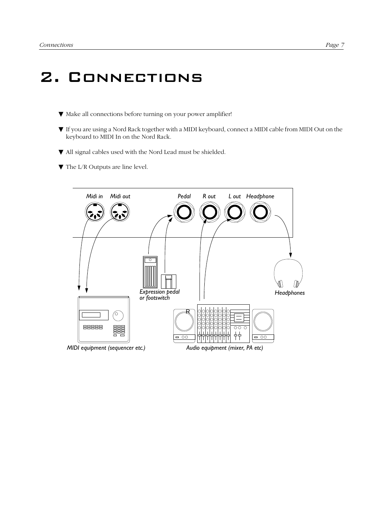## 2. Connections

- ▼ Make all connections before turning on your power amplifier!
- ▼ If you are using a Nord Rack together with a MIDI keyboard, connect a MIDI cable from MIDI Out on the keyboard to MIDI In on the Nord Rack.
- ▼ All signal cables used with the Nord Lead must be shielded.
- ▼ The L/R Outputs are line level.

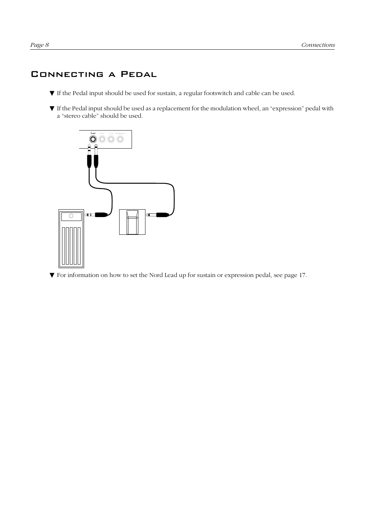### <span id="page-9-0"></span>Connecting a Pedal

- ▼ If the Pedal input should be used for sustain, a regular footswitch and cable can be used.
- ▼ If the Pedal input should be used as a replacement for the modulation wheel, an "expression" pedal with a "stereo cable" should be used.



▼ For information on how to set the Nord Lead up for sustain or expression pedal, see [page 17](#page-18-0).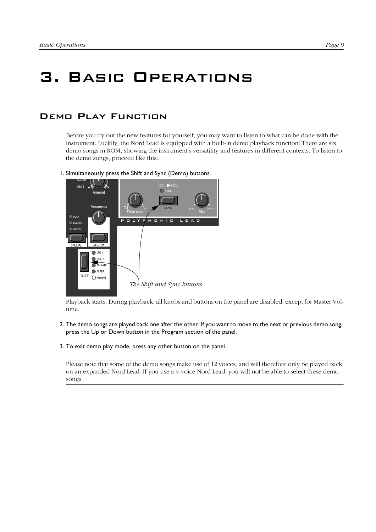## 3. Basic Operations

## Demo Play Function

Before you try out the new features for yourself, you may want to listen to what can be done with the instrument. Luckily, the Nord Lead is equipped with a built-in demo playback function! There are six demo songs in ROM, showing the instrument's versatility and features in different contexts. To listen to the demo songs, proceed like this:

1. Simultaneously press the Shift and Sync (Demo) buttons.



Playback starts. During playback, all knobs and buttons on the panel are disabled, except for Master Volume.

- 2. The demo songs are played back one after the other. If you want to move to the next or previous demo song, press the Up or Down button in the Program section of the panel.
- 3. To exit demo play mode, press any other button on the panel.

Please note that some of the demo songs make use of 12 voices, and will therefore only be played back on an expanded Nord Lead. If you use a 4-voice Nord Lead, you will not be able to select these demo songs.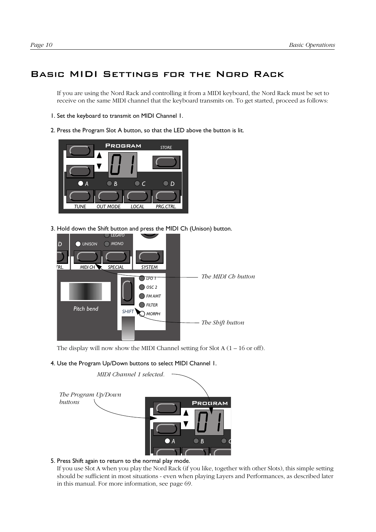## Basic MIDI Settings for the Nord Rack

If you are using the Nord Rack and controlling it from a MIDI keyboard, the Nord Rack must be set to receive on the same MIDI channel that the keyboard transmits on. To get started, proceed as follows:

- 1. Set the keyboard to transmit on MIDI Channel 1.
- 2. Press the Program Slot A button, so that the LED above the button is lit.



3. Hold down the Shift button and press the MIDI Ch (Unison) button.



The display will now show the MIDI Channel setting for Slot  $A(1 – 16$  or off).

4. Use the Program Up/Down buttons to select MIDI Channel 1.



#### 5. Press Shift again to return to the normal play mode.

If you use Slot A when you play the Nord Rack (if you like, together with other Slots), this simple setting should be sufficient in most situations - even when playing Layers and Performances, as described later in this manual. For more information, see [page 69](#page-70-0).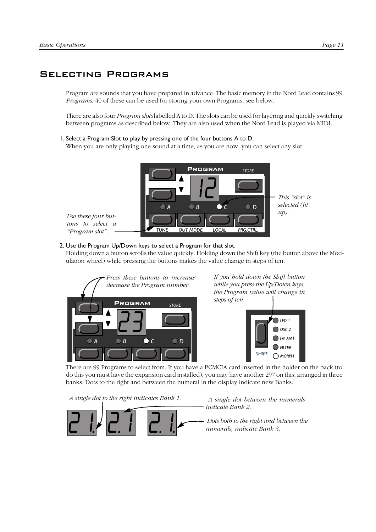### <span id="page-12-0"></span>Selecting Programs

Program are sounds that you have prepared in advance. The basic memory in the Nord Lead contains 99 *Programs*. 40 of these can be used for storing your own Programs, see below.

There are also four *Program slots* labelled A to D. The slots can be used for layering and quickly switching between programs as described below. They are also used when the Nord Lead is played via MIDI.

#### 1. Select a Program Slot to play by pressing one of the four buttons A to D.

When you are only playing one sound at a time, as you are now, you can select any slot.



#### 2. Use the Program Up/Down keys to select a Program for that slot.

Holding down a button scrolls the value quickly. Holding down the Shift key (the button above the Modulation wheel) while pressing the buttons makes the value change in steps of ten.



*If you hold down the Shift button while you press the Up/Down keys, the Program value will change in steps of ten.*



There are 99 Programs to select from. If you have a PCMCIA card inserted in the holder on the back (to do this you must have the expansion card installed), you may have another 297 on this, arranged in three banks. Dots to the right and between the numeral in the display indicate new Banks.

*A single dot to the right indicates Bank 1.*



 *A single dot between the numerals indicate Bank 2.*

 *Dots both to the right and between the numerals, indicate Bank 3.*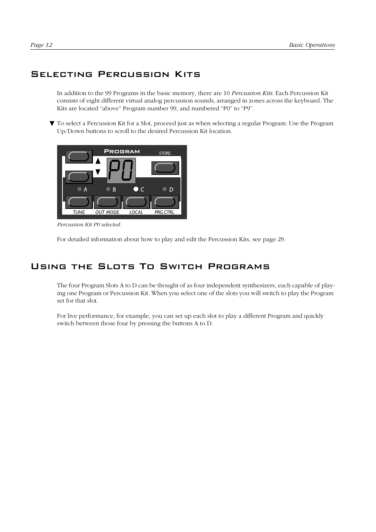## Selecting Percussion Kits

In addition to the 99 Programs in the basic memory, there are 10 *Percussion Kits*. Each Percussion Kit consists of eight different virtual analog percussion sounds, arranged in zones across the keyboard. The Kits are located "above" Program number 99, and numbered "P0" to "P9".

▼ To select a Percussion Kit for a Slot, proceed just as when selecting a regular Program: Use the Program Up/Down buttons to scroll to the desired Percussion Kit location.



*Percussion Kit P0 selected.*

For detailed information about how to play and edit the Percussion Kits, see [page 29](#page-30-0).

### Using the Slots To Switch Programs

The four Program Slots A to D can be thought of as four independent synthesizers, each capable of playing one Program or Percussion Kit. When you select one of the slots you will switch to play the Program set for that slot.

For live performance, for example, you can set up each slot to play a different Program and quickly switch between those four by pressing the buttons A to D.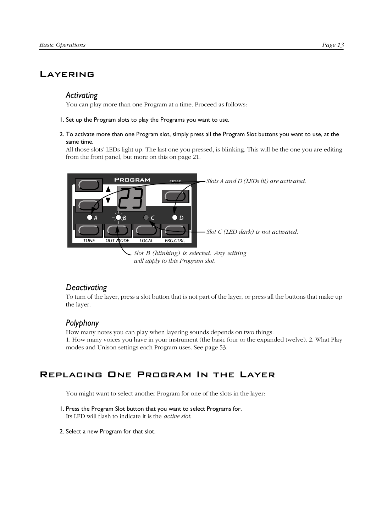### **LAYERING**

#### *Activating*

You can play more than one Program at a time. Proceed as follows:

- 1. Set up the Program slots to play the Programs you want to use.
- 2. To activate more than one Program slot, simply press all the Program Slot buttons you want to use, at the same time.

All those slots' LEDs light up. The last one you pressed, is blinking. This will be the one you are editing from the front panel, but more on this on [page 21](#page-22-0).



## *Deactivating*

To turn of the layer, press a slot button that is not part of the layer, or press all the buttons that make up the layer.

#### *Polyphony*

How many notes you can play when layering sounds depends on two things: 1. How many voices you have in your instrument (the basic four or the expanded twelve). 2. What Play modes and Unison settings each Program uses. See [page 53.](#page-54-0)

### Replacing One Program In the Layer

You might want to select another Program for one of the slots in the layer:

- 1. Press the Program Slot button that you want to select Programs for. Its LED will flash to indicate it is the *active slot*.
- 2. Select a new Program for that slot.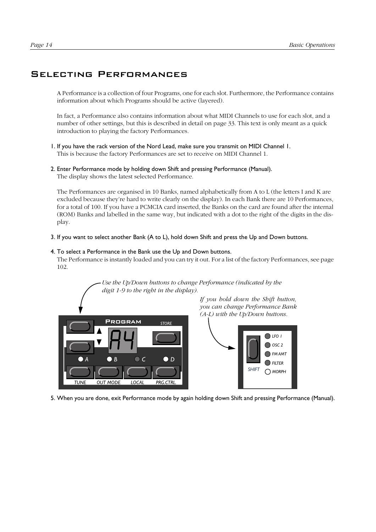#### Selecting Performances

A Performance is a collection of four Programs, one for each slot. Furthermore, the Performance contains information about which Programs should be active (layered).

In fact, a Performance also contains information about what MIDI Channels to use for each slot, and a number of other settings, but this is described in detail on [page 33](#page-34-0). This text is only meant as a quick introduction to playing the factory Performances.

- 1. If you have the rack version of the Nord Lead, make sure you transmit on MIDI Channel 1. This is because the factory Performances are set to receive on MIDI Channel 1.
- 2. Enter Performance mode by holding down Shift and pressing Performance (Manual). The display shows the latest selected Performance.

The Performances are organised in 10 Banks, named alphabetically from A to L (the letters I and K are excluded because they're hard to write clearly on the display). In each Bank there are 10 Performances, for a total of 100. If you have a PCMCIA card inserted, the Banks on the card are found after the internal (ROM) Banks and labelled in the same way, but indicated with a dot to the right of the digits in the display.

3. If you want to select another Bank (A to L), hold down Shift and press the Up and Down buttons.

#### 4. To select a Performance in the Bank use the Up and Down buttons.

*digit 1-9 to the right in the display).*

The Performance is instantly loaded and you can try it out. For a list of the factory Performances, see [page](#page-103-0)  [102](#page-103-0).

*Use the Up/Down buttons to change Performance (indicated by the*

PROGRAM **TUNE OUT MODE LOCAL** *A BCD STORE*

*If you hold down the Shift button, you can change Performance Bank (A-L) with the Up/Down buttons.*



5. When you are done, exit Performance mode by again holding down Shift and pressing Performance (Manual).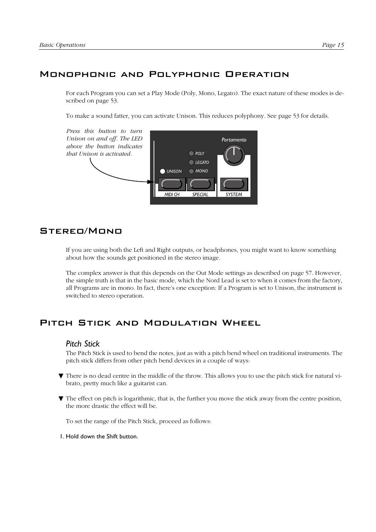## Monophonic and Polyphonic Operation

For each Program you can set a Play Mode (Poly, Mono, Legato). The exact nature of these modes is described on [page 53.](#page-54-0)

To make a sound fatter, you can activate Unison. This reduces polyphony. See [page 53](#page-54-0) for details.



### Stereo/Mono

If you are using both the Left and Right outputs, or headphones, you might want to know something about how the sounds get positioned in the stereo image.

The complex answer is that this depends on the Out Mode settings as described on [page 57](#page-58-0). However, the simple truth is that in the basic mode, which the Nord Lead is set to when it comes from the factory, all Programs are in mono. In fact, there's one exception: If a Program is set to Unison, the instrument is switched to stereo operation.

## Pitch Stick and Modulation Wheel

#### *Pitch Stick*

The Pitch Stick is used to bend the notes, just as with a pitch bend wheel on traditional instruments. The pitch stick differs from other pitch bend devices in a couple of ways:

- ▼ There is no dead centre in the middle of the throw. This allows you to use the pitch stick for natural vibrato, pretty much like a guitarist can.
- ▼ The effect on pitch is logarithmic, that is, the further you move the stick away from the centre position, the more drastic the effect will be.

To set the range of the Pitch Stick, proceed as follows:

1. Hold down the Shift button.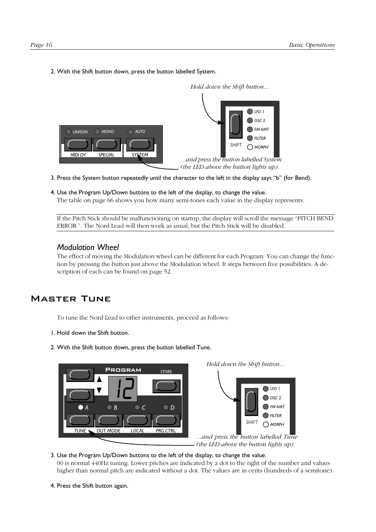2. With the Shift button down, press the button labelled System.



- 3. Press the System button repeatedly until the character to the left in the display says "b" (for Bend).
- 4. Use the Program Up/Down buttons to the left of the display, to change the value. The table on [page 66](#page-67-0) shows you how many semi-tones each value in the display represents.

If the Pitch Stick should be malfunctioning on startup, the display will scroll the message "PITCH BEND ERROR.". The Nord Lead will then work as usual, but the Pitch Stick will be disabled.

#### *Modulation Wheel*

The effect of moving the Modulation wheel can be different for each Program. You can change the function by pressing the button just above the Modulation wheel. It steps between five possibilities. A description of each can be found on [page 52.](#page-53-0)

### Master Tune

To tune the Nord Lead to other instruments, proceed as follows:

- 1. Hold down the Shift button.
- 2. With the Shift button down, press the button labelled Tune.



*Hold down the Shift button...*



*...and press the button labelled Tune (the LED above the button lights up).*

3. Use the Program Up/Down buttons to the left of the display, to change the value. 00 is normal 440Hz tuning. Lower pitches are indicated by a dot to the right of the number and values higher than normal pitch are indicated without a dot. The values are in cents (hundreds of a semitone).

4. Press the Shift button again.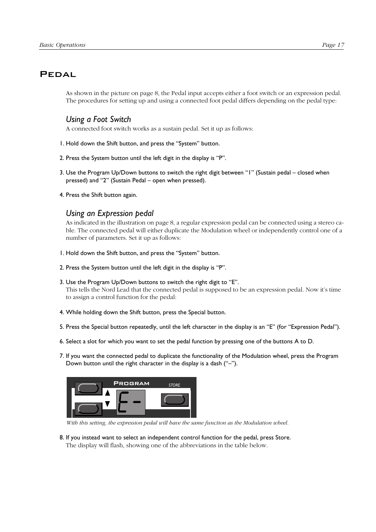## <span id="page-18-0"></span>Pedal

As shown in the picture on [page 8,](#page-9-0) the Pedal input accepts either a foot switch or an expression pedal. The procedures for setting up and using a connected foot pedal differs depending on the pedal type:

#### *Using a Foot Switch*

A connected foot switch works as a sustain pedal. Set it up as follows:

- 1. Hold down the Shift button, and press the "System" button.
- 2. Press the System button until the left digit in the display is "P".
- 3. Use the Program Up/Down buttons to switch the right digit between "1" (Sustain pedal closed when pressed) and "2" (Sustain Pedal – open when pressed).
- 4. Press the Shift button again.

#### *Using an Expression pedal*

As indicated in the illustration on [page 8](#page-9-0), a regular expression pedal can be connected using a stereo cable. The connected pedal will either duplicate the Modulation wheel or independently control one of a number of parameters. Set it up as follows:

- 1. Hold down the Shift button, and press the "System" button.
- 2. Press the System button until the left digit in the display is "P".
- 3. Use the Program Up/Down buttons to switch the right digit to "E".

This tells the Nord Lead that the connected pedal is supposed to be an expression pedal. Now it's time to assign a control function for the pedal:

- 4. While holding down the Shift button, press the Special button.
- 5. Press the Special button repeatedly, until the left character in the display is an "E" (for "Expression Pedal").
- 6. Select a slot for which you want to set the pedal function by pressing one of the buttons A to D.
- 7. If you want the connected pedal to duplicate the functionality of the Modulation wheel, press the Program Down button until the right character in the display is a dash ("–").



*With this setting, the expression pedal will have the same function as the Modulation wheel.*

8. If you instead want to select an independent control function for the pedal, press Store. The display will flash, showing one of the abbreviations in the table below.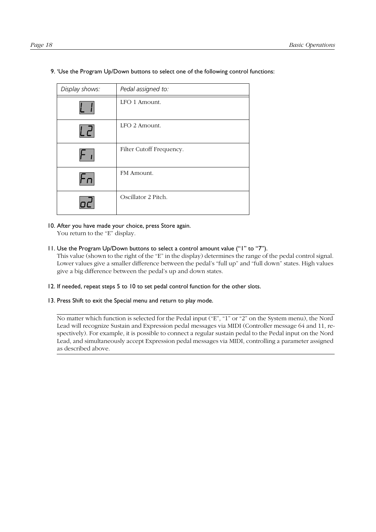| Page | י |
|------|---|
|------|---|

| Display shows: | Pedal assigned to:       |
|----------------|--------------------------|
|                | LFO 1 Amount.            |
| ים ו           | LFO 2 Amount.            |
|                | Filter Cutoff Frequency. |
|                | FM Amount.               |
|                | Oscillator 2 Pitch.      |

9. 'Use the Program Up/Down buttons to select one of the following control functions:

10. After you have made your choice, press Store again.

You return to the "E" display.

11. Use the Program Up/Down buttons to select a control amount value ("1" to "7").

This value (shown to the right of the "E" in the display) determines the range of the pedal control signal. Lower values give a smaller difference between the pedal's "full up" and "full down" states. High values give a big difference between the pedal's up and down states.

- 12. If needed, repeat steps 5 to 10 to set pedal control function for the other slots.
- 13. Press Shift to exit the Special menu and return to play mode.

No matter which function is selected for the Pedal input ("E", "1" or "2" on the System menu), the Nord Lead will recognize Sustain and Expression pedal messages via MIDI (Controller message 64 and 11, respectively). For example, it is possible to connect a regular sustain pedal to the Pedal input on the Nord Lead, and simultaneously accept Expression pedal messages via MIDI, controlling a parameter assigned as described above.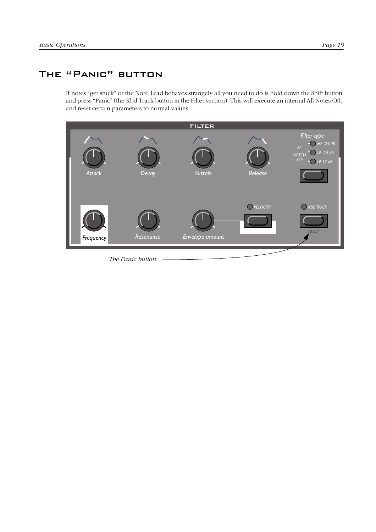## THE "PANIC" BUTTON

If notes "get stuck" or the Nord Lead behaves strangely all you need to do is hold down the Shift button and press "Panic" (the Kbd Track button in the Filter section). This will execute an internal All Notes Off, and reset certain parameters to normal values.



*The Panic button.*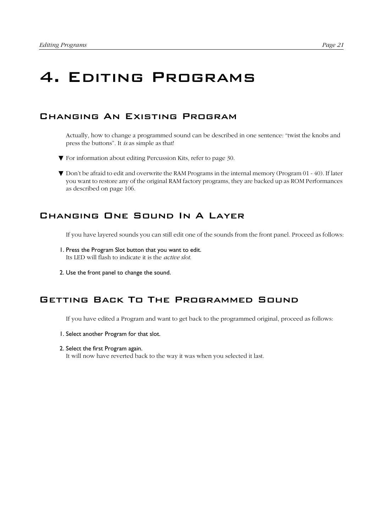# <span id="page-22-0"></span>4. Editing Programs

## Changing An Existing Program

Actually, how to change a programmed sound can be described in one sentence: "twist the knobs and press the buttons". It *is* as simple as that!

- ▼ For information about editing Percussion Kits, refer to [page 30](#page-31-0).
- ▼ Don't be afraid to edit and overwrite the RAM Programs in the internal memory (Program 01 40). If later you want to restore any of the original RAM factory programs, they are backed up as ROM Performances as described on [page 106.](#page-107-0)

## Changing One Sound In A Layer

If you have layered sounds you can still edit one of the sounds from the front panel. Proceed as follows:

- 1. Press the Program Slot button that you want to edit. Its LED will flash to indicate it is the *active slot*.
- 2. Use the front panel to change the sound.

## Getting Back To The Programmed Sound

If you have edited a Program and want to get back to the programmed original, proceed as follows:

- 1. Select another Program for that slot.
- 2. Select the first Program again.

It will now have reverted back to the way it was when you selected it last.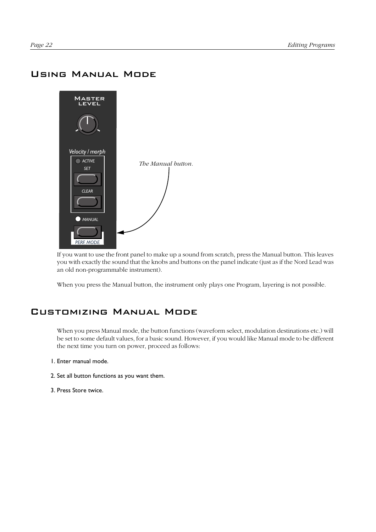## Using Manual Mode



If you want to use the front panel to make up a sound from scratch, press the Manual button. This leaves you with exactly the sound that the knobs and buttons on the panel indicate (just as if the Nord Lead was an old non-programmable instrument).

When you press the Manual button, the instrument only plays one Program, layering is not possible.

## Customizing Manual Mode

When you press Manual mode, the button functions (waveform select, modulation destinations etc.) will be set to some default values, for a basic sound. However, if you would like Manual mode to be different the next time you turn on power, proceed as follows:

- 1. Enter manual mode.
- 2. Set all button functions as you want them.
- 3. Press Store twice.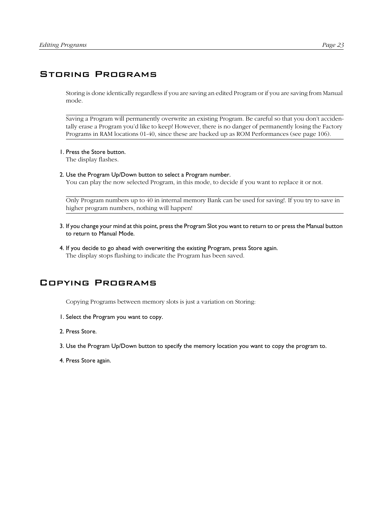## Storing Programs

Storing is done identically regardless if you are saving an edited Program or if you are saving from Manual mode.

Saving a Program will permanently overwrite an existing Program. Be careful so that you don't accidentally erase a Program you'd like to keep! However, there is no danger of permanently losing the Factory Programs in RAM locations 01-40, since these are backed up as ROM Performances (see [page 106\)](#page-107-0).

1. Press the Store button.

The display flashes.

2. Use the Program Up/Down button to select a Program number.

You can play the now selected Program, in this mode, to decide if you want to replace it or not.

Only Program numbers up to 40 in internal memory Bank can be used for saving!. If you try to save in higher program numbers, nothing will happen!

- 3. If you change your mind at this point, press the Program Slot you want to return to or press the Manual button to return to Manual Mode.
- 4. If you decide to go ahead with overwriting the existing Program, press Store again. The display stops flashing to indicate the Program has been saved.

## Copying Programs

Copying Programs between memory slots is just a variation on Storing:

- 1. Select the Program you want to copy.
- 2. Press Store.
- 3. Use the Program Up/Down button to specify the memory location you want to copy the program to.
- 4. Press Store again.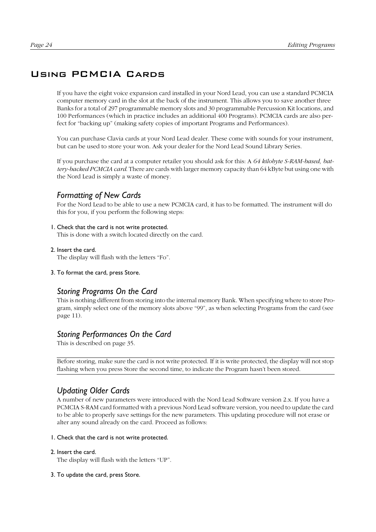## <span id="page-25-0"></span>Using PCMCIA Cards

If you have the eight voice expansion card installed in your Nord Lead, you can use a standard PCMCIA computer memory card in the slot at the back of the instrument. This allows you to save another three Banks for a total of 297 programmable memory slots and 30 programmable Percussion Kit locations, and 100 Performances (which in practice includes an additional 400 Programs). PCMCIA cards are also perfect for "backing up" (making safety copies of important Programs and Performances).

You can purchase Clavia cards at your Nord Lead dealer. These come with sounds for your instrument, but can be used to store your won. Ask your dealer for the Nord Lead Sound Library Series.

If you purchase the card at a computer retailer you should ask for this: A *64 kilobyte S-RAM-based, battery-backed PCMCIA card*. There are cards with larger memory capacity than 64 kByte but using one with the Nord Lead is simply a waste of money.

#### *Formatting of New Cards*

For the Nord Lead to be able to use a new PCMCIA card, it has to be formatted. The instrument will do this for you, if you perform the following steps:

#### 1. Check that the card is not write protected.

This is done with a switch located directly on the card.

#### 2. Insert the card.

The display will flash with the letters "Fo".

3. To format the card, press Store.

#### *Storing Programs On the Card*

This is nothing different from storing into the internal memory Bank. When specifying where to store Program, simply select one of the memory slots above "99", as when selecting Programs from the card (see [page 11\)](#page-12-0).

#### *Storing Performances On the Card*

This is described on [page 35](#page-36-0).

Before storing, make sure the card is not write protected. If it is write protected, the display will not stop flashing when you press Store the second time, to indicate the Program hasn't been stored.

### *Updating Older Cards*

A number of new parameters were introduced with the Nord Lead Software version 2.x. If you have a PCMCIA S-RAM card formatted with a previous Nord Lead software version, you need to update the card to be able to properly save settings for the new parameters. This updating procedure will not erase or alter any sound already on the card. Proceed as follows:

#### 1. Check that the card is not write protected.

#### 2. Insert the card.

The display will flash with the letters "UP".

#### 3. To update the card, press Store.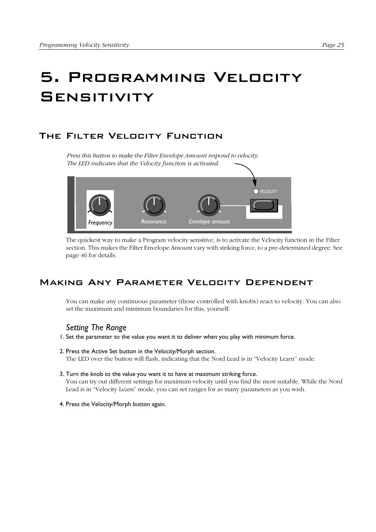# 5. Programming Velocity **SENSITIVITY**

## The Filter Velocity Function

*Press this button to make the Filter Envelope Amount respond to velocity. The LED indicates that the Velocity function is activated.*



The quickest way to make a Program velocity sensitive, is to activate the Velocity function in the Filter section. This makes the Filter Envelope Amount vary with striking force, to a pre-determined degree. See [page 46](#page-47-0) for details.

## Making Any Parameter Velocity Dependent

You can make any continuous parameter (those controlled with knobs) react to velocity. You can also set the maximum and minimum boundaries for this, yourself.

### *Setting The Range*

- 1. Set the parameter to the value you want it to deliver when you play with minimum force.
- 2. Press the Active Set button in the Velocity/Morph section. The LED over the button will flash, indicating that the Nord Lead is in "Velocity Learn" mode.
- 3. Turn the knob to the value you want it to have at maximum striking force. You can try out different settings for maximum velocity until you find the most suitable. While the Nord Lead is in "Velocity Learn" mode, you can set ranges for as many parameters as you wish.
- 4. Press the Velocity/Morph button again.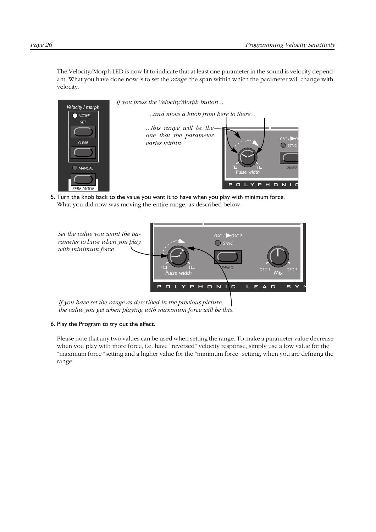The Velocity/Morph LED is now lit to indicate that at least one parameter in the sound is velocity dependant. What you have done now is to set the *range*, the span within which the parameter will change with velocity.



5. Turn the knob back to the value you want it to have when you play with minimum force. What you did now was moving the entire range, as described below.



*If you have set the range as described in the previous picture, the value you get when playing with maximum force will be this.*

#### 6. Play the Program to try out the effect.

Please note that any two values can be used when setting the range. To make a parameter value decrease when you play with more force, i.e. have "reversed" velocity response, simply use a low value for the "maximum force "setting and a higher value for the "minimum force" setting, when you are defining the range.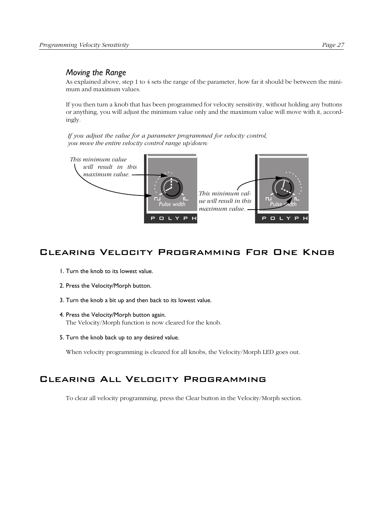#### *Moving the Range*

As explained above, step 1 to 4 sets the range of the parameter, how far it should be between the minimum and maximum values.

If you then turn a knob that has been programmed for velocity sensitivity, without holding any buttons or anything, you will adjust the minimum value only and the maximum value will move with it, accordingly.

*If you adjust the value for a parameter programmed for velocity control, you move the entire velocity control range up/down:*



## Clearing Velocity Programming For One Knob

- 1. Turn the knob to its lowest value.
- 2. Press the Velocity/Morph button.
- 3. Turn the knob a bit up and then back to its lowest value.
- 4. Press the Velocity/Morph button again. The Velocity/Morph function is now cleared for the knob.
- 5. Turn the knob back up to any desired value.

When velocity programming is cleared for all knobs, the Velocity/Morph LED goes out.

## Clearing All Velocity Programming

To clear all velocity programming, press the Clear button in the Velocity/Morph section.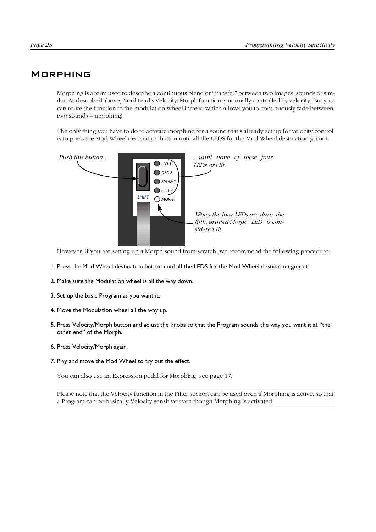#### **MORPHING**

Morphing is a term used to describe a continuous blend or "transfer" between two images, sounds or similar. As described above, Nord Lead's Velocity/Morph function is normally controlled by velocity. But you can route the function to the modulation wheel instead which allows you to continuously fade between two sounds – morphing!

The only thing you have to do to activate morphing for a sound that's already set up for velocity control is to press the Mod Wheel destination button until all the LEDS for the Mod Wheel destination go out.



However, if you are setting up a Morph sound from scratch, we recommend the following procedure:

- 1. Press the Mod Wheel destination button until all the LEDS for the Mod Wheel destination go out.
- 2. Make sure the Modulation wheel is all the way down.
- 3. Set up the basic Program as you want it.
- 4. Move the Modulation wheel all the way up.
- 5. Press Velocity/Morph button and adjust the knobs so that the Program sounds the way you want it at "the other end" of the Morph.
- 6. Press Velocity/Morph again.
- 7. Play and move the Mod Wheel to try out the effect.

You can also use an Expression pedal for Morphing, see [page 17](#page-18-0).

Please note that the Velocity function in the Filter section can be used even if Morphing is active, so that a Program can be basically Velocity sensitive even though Morphing is activated.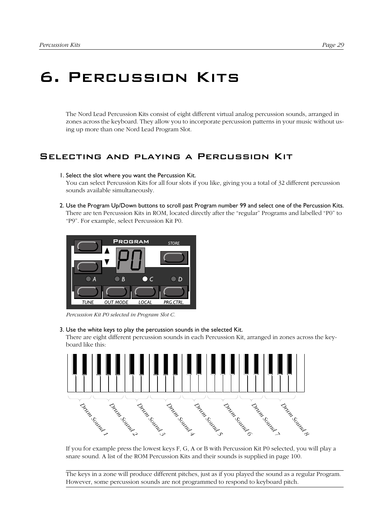## <span id="page-30-0"></span>6. Percussion Kits

The Nord Lead Percussion Kits consist of eight different virtual analog percussion sounds, arranged in zones across the keyboard. They allow you to incorporate percussion patterns in your music without using up more than one Nord Lead Program Slot.

## Selecting and playing a Percussion Kit

#### 1. Select the slot where you want the Percussion Kit.

You can select Percussion Kits for all four slots if you like, giving you a total of 32 different percussion sounds available simultaneously.

2. Use the Program Up/Down buttons to scroll past Program number 99 and select one of the Percussion Kits. There are ten Percussion Kits in ROM, located directly after the "regular" Programs and labelled "P0" to "P9". For example, select Percussion Kit P0.



*Percussion Kit P0 selected in Program Slot C.*

3. Use the white keys to play the percussion sounds in the selected Kit.

There are eight different percussion sounds in each Percussion Kit, arranged in zones across the keyboard like this:



If you for example press the lowest keys F, G, A or B with Percussion Kit P0 selected, you will play a snare sound. A list of the ROM Percussion Kits and their sounds is supplied in [page 100](#page-101-0).

The keys in a zone will produce different pitches, just as if you played the sound as a regular Program. However, some percussion sounds are not programmed to respond to keyboard pitch.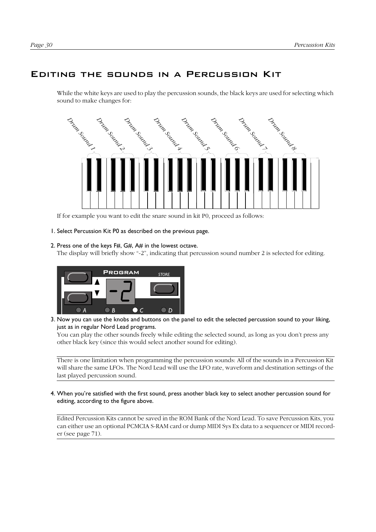### <span id="page-31-0"></span>Editing the sounds in a Percussion Kit

While the white keys are used to play the percussion sounds, the black keys are used for selecting which sound to make changes for:



If for example you want to edit the snare sound in kit P0, proceed as follows:

1. Select Percussion Kit P0 as described on the previous page.

#### 2. Press one of the keys F#, G#, A# in the lowest octave.

The display will briefly show "-2", indicating that percussion sound number 2 is selected for editing.



3. Now you can use the knobs and buttons on the panel to edit the selected percussion sound to your liking, just as in regular Nord Lead programs.

You can play the other sounds freely while editing the selected sound, as long as you don't press any other black key (since this would select another sound for editing).

There is one limitation when programming the percussion sounds: All of the sounds in a Percussion Kit will share the same LFOs. The Nord Lead will use the LFO rate, waveform and destination settings of the last played percussion sound.

4. When you're satisfied with the first sound, press another black key to select another percussion sound for editing, according to the figure above.

Edited Percussion Kits cannot be saved in the ROM Bank of the Nord Lead. To save Percussion Kits, you can either use an optional PCMCIA S-RAM card or dump MIDI Sys Ex data to a sequencer or MIDI recorder (see [page 71\)](#page-72-0).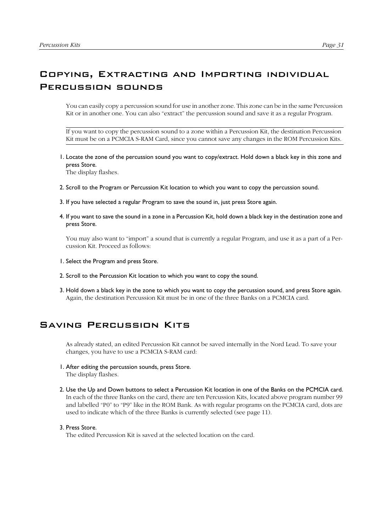## Copying, Extracting and Importing individual Percussion sounds

You can easily copy a percussion sound for use in another zone. This zone can be in the same Percussion Kit or in another one. You can also "extract" the percussion sound and save it as a regular Program.

If you want to copy the percussion sound to a zone within a Percussion Kit, the destination Percussion Kit must be on a PCMCIA S-RAM Card, since you cannot save any changes in the ROM Percussion Kits.

1. Locate the zone of the percussion sound you want to copy/extract. Hold down a black key in this zone and press Store.

The display flashes.

- 2. Scroll to the Program or Percussion Kit location to which you want to copy the percussion sound.
- 3. If you have selected a regular Program to save the sound in, just press Store again.
- 4. If you want to save the sound in a zone in a Percussion Kit, hold down a black key in the destination zone and press Store.

You may also want to "import" a sound that is currently a regular Program, and use it as a part of a Percussion Kit. Proceed as follows:

- 1. Select the Program and press Store.
- 2. Scroll to the Percussion Kit location to which you want to copy the sound.
- 3. Hold down a black key in the zone to which you want to copy the percussion sound, and press Store again. Again, the destination Percussion Kit must be in one of the three Banks on a PCMCIA card.

## Saving Percussion Kits

As already stated, an edited Percussion Kit cannot be saved internally in the Nord Lead. To save your changes, you have to use a PCMCIA S-RAM card:

- 1. After editing the percussion sounds, press Store. The display flashes.
- 2. Use the Up and Down buttons to select a Percussion Kit location in one of the Banks on the PCMCIA card. In each of the three Banks on the card, there are ten Percussion Kits, located above program number 99 and labelled "P0" to "P9" like in the ROM Bank. As with regular programs on the PCMCIA card, dots are used to indicate which of the three Banks is currently selected (see [page 11](#page-12-0)).

#### 3. Press Store.

The edited Percussion Kit is saved at the selected location on the card.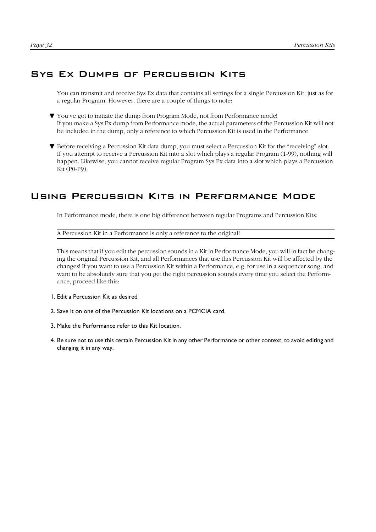### Sys Ex Dumps of Percussion Kits

You can transmit and receive Sys Ex data that contains all settings for a single Percussion Kit, just as for a regular Program. However, there are a couple of things to note:

- ▼ You've got to initiate the dump from Program Mode, not from Performance mode! If you make a Sys Ex dump from Performance mode, the actual parameters of the Percussion Kit will not be included in the dump, only a reference to which Percussion Kit is used in the Performance.
- ▼ Before receiving a Percussion Kit data dump, you must select a Percussion Kit for the "receiving" slot. If you attempt to receive a Percussion Kit into a slot which plays a regular Program (1-99), nothing will happen. Likewise, you cannot receive regular Program Sys Ex data into a slot which plays a Percussion Kit (P0-P9).

### Using Percussion Kits in Performance Mode

In Performance mode, there is one big difference between regular Programs and Percussion Kits:

A Percussion Kit in a Performance is only a reference to the original!

This means that if you edit the percussion sounds in a Kit in Performance Mode, you will in fact be changing the original Percussion Kit, and all Performances that use this Percussion Kit will be affected by the changes! If you want to use a Percussion Kit within a Performance, e.g. for use in a sequencer song, and want to be absolutely sure that you get the right percussion sounds every time you select the Performance, proceed like this:

- 1. Edit a Percussion Kit as desired
- 2. Save it on one of the Percussion Kit locations on a PCMCIA card.
- 3. Make the Performance refer to this Kit location.
- 4. Be sure not to use this certain Percussion Kit in any other Performance or other context, to avoid editing and changing it in any way.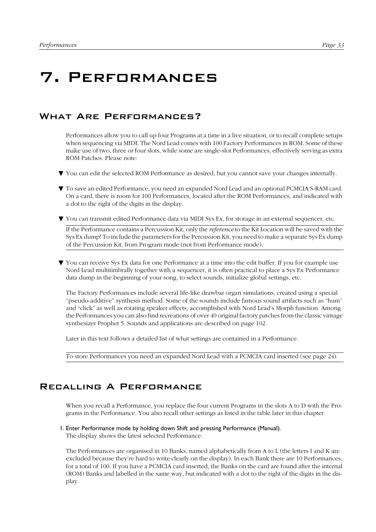## <span id="page-34-0"></span>7. Performances

## What Are Performances?

Performances allow you to call up four Programs at a time in a live situation, or to recall complete setups when sequencing via MIDI. The Nord Lead comes with 100 Factory Performances in ROM. Some of these make use of two, three or four slots, while some are single-slot Performances, effectively serving as extra ROM Patches. Please note:

- ▼ You can edit the selected ROM Performance as desired, but you cannot save your changes internally.
- ▼ To save an edited Performance, you need an expanded Nord Lead and an optional PCMCIA S-RAM card. On a card, there is room for 100 Performances, located after the ROM Performances, and indicated with a dot to the right of the digits in the display.
- ▼ You can transmit edited Performance data via MIDI Sys Ex, for storage in an external sequencer, etc.

If the Performance contains a Percussion Kit, only the *reference* to the Kit Location will be saved with the Sys Ex dump! To include the parameters for the Percussion Kit, you need to make a separate Sys Ex dump of the Percussion Kit, from Program mode (not from Performance mode).

▼ You can receive Sys Ex data for one Performance at a time into the edit buffer. If you for example use Nord Lead multitimbrally together with a sequencer, it is often practical to place a Sys Ex Performance data dump in the beginning of your song, to select sounds, initialize global settings, etc.

The Factory Performances include several life-like drawbar organ simulations, created using a special "pseudo-additive" synthesis method. Some of the sounds include famous sound artifacts such as "hum" and "click" as well as rotating speaker effects, accomplished with Nord Lead's Morph function. Among the Performances you can also find recreations of over 40 original factory patches from the classic vintage synthesizer Prophet 5. Sounds and applications are described on [page 102.](#page-103-0)

Later in this text follows a detailed list of what settings are contained in a Performance.

To store Performances you need an expanded Nord Lead with a PCMCIA card inserted (see [page 24](#page-25-0)).

#### Recalling A Performance

When you recall a Performance, you replace the four current Programs in the slots A to D with the Programs in the Performance. You also recall other settings as listed in the table later in this chapter.

#### 1. Enter Performance mode by holding down Shift and pressing Performance (Manual).

The display shows the latest selected Performance.

The Performances are organised in 10 Banks, named alphabetically from A to L (the letters I and K are excluded because they're hard to write clearly on the display). In each Bank there are 10 Performances, for a total of 100. If you have a PCMCIA card inserted, the Banks on the card are found after the internal (ROM) Banks and labelled in the same way, but indicated with a dot to the right of the digits in the display.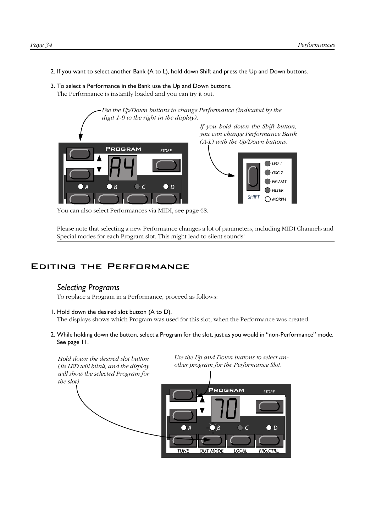2. If you want to select another Bank (A to L), hold down Shift and press the Up and Down buttons.

*Use the Up/Down buttons to change Performance (indicated by the*

#### 3. To select a Performance in the Bank use the Up and Down buttons.

The Performance is instantly loaded and you can try it out.



*If you hold down the Shift button, you can change Performance Bank (A-L) with the Up/Down buttons.*



You can also select Performances via MIDI, see [page 68](#page-69-0).

Please note that selecting a new Performance changes a lot of parameters, including MIDI Channels and Special modes for each Program slot. This might lead to silent sounds!

#### Editing the Performance

#### *Selecting Programs*

To replace a Program in a Performance, proceed as follows:

1. Hold down the desired slot button (A to D).

The displays shows which Program was used for this slot, when the Performance was created.

2. While holding down the button, select a Program for the slot, just as you would in "non-Performance" mode. See [page 11](#page-12-0).

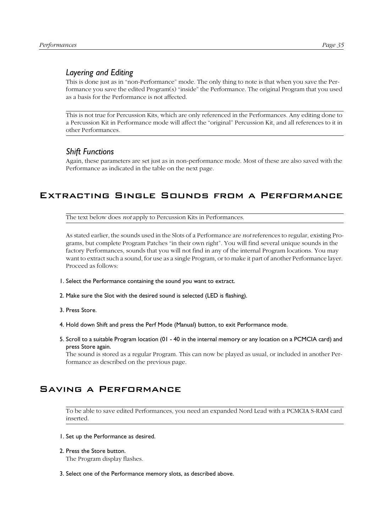# *Layering and Editing*

This is done just as in "non-Performance" mode. The only thing to note is that when you save the Performance you save the edited Program(s) "inside" the Performance. The original Program that you used as a basis for the Performance is not affected.

This is not true for Percussion Kits, which are only referenced in the Performances. Any editing done to a Percussion Kit in Performance mode will affect the "original" Percussion Kit, and all references to it in other Performances.

#### *Shift Functions*

Again, these parameters are set just as in non-performance mode. Most of these are also saved with the Performance as indicated in the table on the next page.

# Extracting Single Sounds from a Performance

The text below does *not* apply to Percussion Kits in Performances.

As stated earlier, the sounds used in the Slots of a Performance are *not* references to regular, existing Programs, but complete Program Patches "in their own right". You will find several unique sounds in the factory Performances, sounds that you will not find in any of the internal Program locations. You may want to extract such a sound, for use as a single Program, or to make it part of another Performance layer. Proceed as follows:

- 1. Select the Performance containing the sound you want to extract.
- 2. Make sure the Slot with the desired sound is selected (LED is flashing).
- 3. Press Store.
- 4. Hold down Shift and press the Perf Mode (Manual) button, to exit Performance mode.
- 5. Scroll to a suitable Program location (01 40 in the internal memory or any location on a PCMCIA card) and press Store again.

The sound is stored as a regular Program. This can now be played as usual, or included in another Performance as described on the previous page.

# Saving a Performance

To be able to save edited Performances, you need an expanded Nord Lead with a PCMCIA S-RAM card inserted.

- 1. Set up the Performance as desired.
- 2. Press the Store button. The Program display flashes.
- 3. Select one of the Performance memory slots, as described above.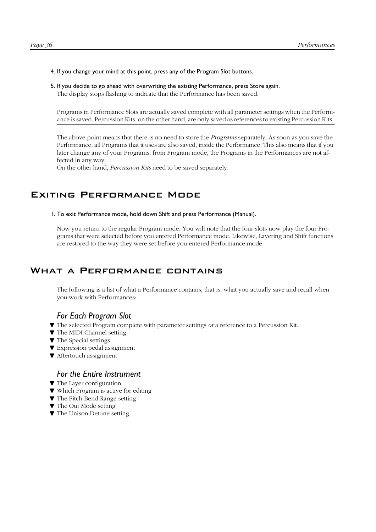#### 4. If you change your mind at this point, press any of the Program Slot buttons.

#### 5. If you decide to go ahead with overwriting the existing Performance, press Store again. The display stops flashing to indicate that the Performance has been saved.

Programs in Performance Slots are actually saved complete with all parameter settings when the Performance is saved. Percussion Kits, on the other hand, are only saved as references to existing Percussion Kits.

The above point means that there is no need to store the *Programs* separately. As soon as you save the Performance, all Programs that it uses are also saved, inside the Performance. This also means that if you later change any of your Programs, from Program mode, the Programs in the Performances are not affected in any way.

On the other hand, *Percussion Kits* need to be saved separately.

# Exiting Performance Mode

1. To exit Performance mode, hold down Shift and press Performance (Manual).

Now you return to the regular Program mode. You will note that the four slots now play the four Programs that were selected before you entered Performance mode. Likewise, Layering and Shift functions are restored to the way they were set before you entered Performance mode.

# WHAT A PERFORMANCE CONTAINS

The following is a list of what a Performance contains, that is, what you actually save and recall when you work with Performances:

#### *For Each Program Slot*

- ▼ The selected Program complete with parameter settings *or* a reference to a Percussion Kit.
- ▼ The MIDI Channel setting
- ▼ The Special settings
- ▼ Expression pedal assignment
- ▼ Aftertouch assignment

#### *For the Entire Instrument*

- ▼ The Layer configuration
- ▼ Which Program is active for editing
- ▼ The Pitch Bend Range setting
- ▼ The Out Mode setting
- ▼ The Unison Detune setting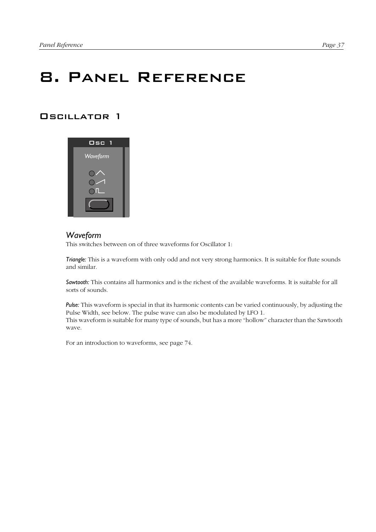# 8. Panel Reference

# Oscillator 1



#### *Waveform*

This switches between on of three waveforms for Oscillator 1:

*Triangle:* This is a waveform with only odd and not very strong harmonics. It is suitable for flute sounds and similar.

*Sawtooth:* This contains all harmonics and is the richest of the available waveforms. It is suitable for all sorts of sounds.

*Pulse:* This waveform is special in that its harmonic contents can be varied continuously, by adjusting the Pulse Width, see below. The pulse wave can also be modulated by LFO 1. This waveform is suitable for many type of sounds, but has a more "hollow" character than the Sawtooth wave.

For an introduction to waveforms, see [page 74](#page-75-0).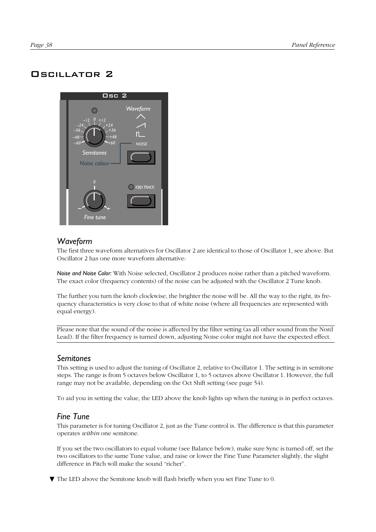# Oscillator 2



# *Waveform*

The first three waveform alternatives for Oscillator 2 are identical to those of Oscillator 1, see above. But Oscillator 2 has one more waveform alternative:

*Noise and Noise Color:* With Noise selected, Oscillator 2 produces noise rather than a pitched waveform. The exact color (frequency contents) of the noise can be adjusted with the Oscillator 2 Tune knob.

The further you turn the knob clockwise, the brighter the noise will be. All the way to the right, its frequency characteristics is very close to that of white noise (where all frequencies are represented with equal energy).

Please note that the sound of the noise is affected by the filter setting (as all other sound from the Nord Lead). If the filter frequency is turned down, adjusting Noise color might not have the expected effect.

#### *Semitones*

This setting is used to adjust the tuning of Oscillator 2, relative to Oscillator 1. The setting is in semitone steps. The range is from 5 octaves below Oscillator 1, to 5 octaves above Oscillator 1. However, the full range may not be available, depending on the Oct Shift setting (see [page 54](#page-55-0)).

To aid you in setting the value, the LED above the knob lights up when the tuning is in perfect octaves.

#### *Fine Tune*

This parameter is for tuning Oscillator 2, just as the Tune control is. The difference is that this parameter operates *within* one semitone.

If you set the two oscillators to equal volume (see Balance below), make sure Sync is turned off, set the two oscillators to the same Tune value, and raise or lower the Fine Tune Parameter slightly, the slight difference in Pitch will make the sound "richer".

▼ The LED above the Semitone knob will flash briefly when you set Fine Tune to 0.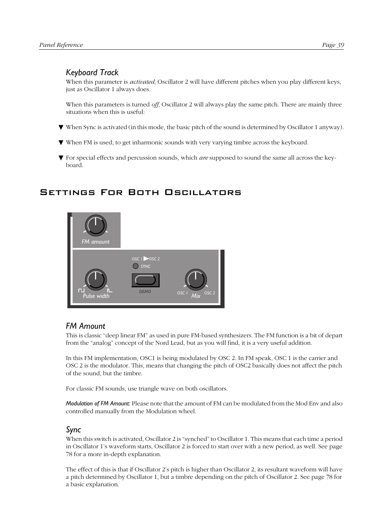# <span id="page-40-0"></span>*Keyboard Track*

When this parameter is *activated*, Oscillator 2 will have different pitches when you play different keys, just as Oscillator 1 always does.

When this parameters is turned *off*, Oscillator 2 will always play the same pitch. There are mainly three situations when this is useful:

- ▼ When Sync is activated (in this mode, the basic pitch of the sound is determined by Oscillator 1 anyway).
- ▼ When FM is used, to get inharmonic sounds with very varying timbre across the keyboard.
- ▼ For special effects and percussion sounds, which *are* supposed to sound the same all across the keyboard.

# Settings For Both Oscillators



# *FM Amount*

This is classic "deep linear FM" as used in pure FM-based synthesizers. The FM function is a bit of depart from the "analog" concept of the Nord Lead, but as you will find, it is a very useful addition.

In this FM implementation, OSC1 is being modulated by OSC 2. In FM speak, OSC 1 is the carrier and OSC 2 is the modulator. This, means that changing the pitch of OSC2 basically does not affect the pitch of the sound, but the timbre.

For classic FM sounds, use triangle wave on both oscillators.

*Modulation of FM Amount:* Please note that the amount of FM can be modulated from the Mod Env and also controlled manually from the Modulation wheel.

# *Sync*

When this switch is activated, Oscillator 2 is "synched" to Oscillator 1. This means that each time a period in Oscillator 1's waveform starts, Oscillator 2 is forced to start over with a new period, as well. See [page](#page-79-0)  [78](#page-79-0) for a more in-depth explanation.

The effect of this is that if Oscillator 2's pitch is higher than Oscillator 2, its resultant waveform will have a pitch determined by Oscillator 1, but a timbre depending on the pitch of Oscillator 2. See [page 78](#page-79-0) for a basic explanation.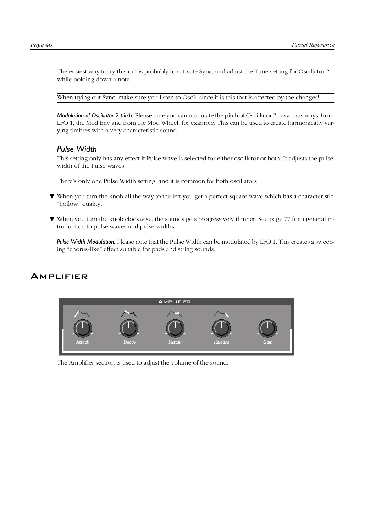<span id="page-41-0"></span>The easiest way to try this out is probably to activate Sync, and adjust the Tune setting for Oscillator 2 while holding down a note.

When trying out Sync, make sure you listen to Osc2, since it is this that is affected by the changes!

*Modulation of Oscillator 2 pitch:* Please note you can modulate the pitch of Oscillator 2 in various ways: from LFO 1, the Mod Env and from the Mod Wheel, for example. This can be used to create harmonically varying timbres with a very characteristic sound.

#### *Pulse Width*

This setting only has any effect if Pulse wave is selected for either oscillator or both. It adjusts the pulse width of the Pulse waves.

There's only one Pulse Width setting, and it is common for both oscillators.

- ▼ When you turn the knob all the way to the left you get a perfect square wave which has a characteristic "hollow" quality.
- ▼ When you turn the knob clockwise, the sounds gets progressively thinner. See [page 77](#page-78-0) for a general introduction to pulse waves and pulse widths.

*Pulse Width Modulation:* Please note that the Pulse Width can be modulated by LFO 1. This creates a sweeping "chorus-like" effect suitable for pads and string sounds.

# **AMPLIFIER**



The Amplifier section is used to adjust the volume of the sound.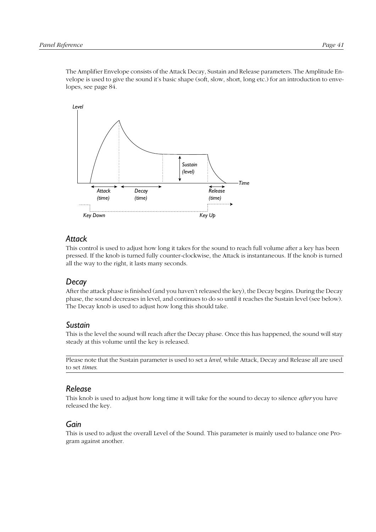The Amplifier Envelope consists of the Attack Decay, Sustain and Release parameters. The Amplitude Envelope is used to give the sound it's basic shape (soft, slow, short, long etc.) for an introduction to envelopes, see [page 84.](#page-85-0)



#### *Attack*

This control is used to adjust how long it takes for the sound to reach full volume after a key has been pressed. If the knob is turned fully counter-clockwise, the Attack is instantaneous. If the knob is turned all the way to the right, it lasts many seconds.

# *Decay*

After the attack phase is finished (and you haven't released the key), the Decay begins. During the Decay phase, the sound decreases in level, and continues to do so until it reaches the Sustain level (see below). The Decay knob is used to adjust how long this should take.

#### *Sustain*

This is the level the sound will reach after the Decay phase. Once this has happened, the sound will stay steady at this volume until the key is released.

Please note that the Sustain parameter is used to set a *level,* while Attack, Decay and Release all are used to set *times*.

# *Release*

This knob is used to adjust how long time it will take for the sound to decay to silence *after* you have released the key.

#### *Gain*

This is used to adjust the overall Level of the Sound. This parameter is mainly used to balance one Program against another.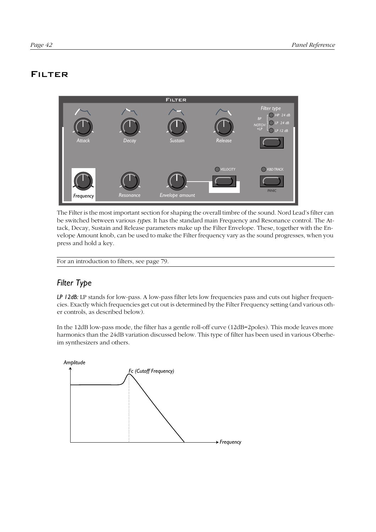# FILTER



The Filter is the most important section for shaping the overall timbre of the sound. Nord Lead's filter can be switched between various *types*. It has the standard main Frequency and Resonance control. The Attack, Decay, Sustain and Release parameters make up the Filter Envelope. These, together with the Envelope Amount knob, can be used to make the Filter frequency vary as the sound progresses, when you press and hold a key.

For an introduction to filters, see [page 79.](#page-80-0)

# *Filter Type*

*LP 12dB:* LP stands for low-pass. A low-pass filter lets low frequencies pass and cuts out higher frequencies. Exactly which frequencies get cut out is determined by the Filter Frequency setting (and various other controls, as described below).

In the 12dB low-pass mode, the filter has a gentle roll-off curve (12dB=2poles). This mode leaves more harmonics than the 24dB variation discussed below. This type of filter has been used in various Oberheim synthesizers and others.

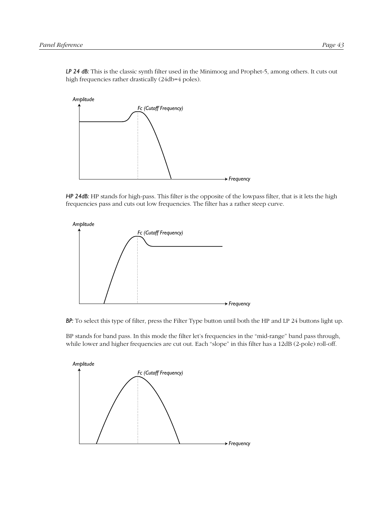*LP 24 dB:* This is the classic synth filter used in the Minimoog and Prophet-5, among others. It cuts out high frequencies rather drastically (24db=4 poles).



*HP 24dB:* HP stands for high-pass. This filter is the opposite of the lowpass filter, that is it lets the high frequencies pass and cuts out low frequencies. The filter has a rather steep curve.



*BP:* To select this type of filter, press the Filter Type button until both the HP and LP 24 buttons light up.

BP stands for band pass. In this mode the filter let's frequencies in the "mid-range" band pass through, while lower and higher frequencies are cut out. Each "slope" in this filter has a 12dB (2-pole) roll-off.

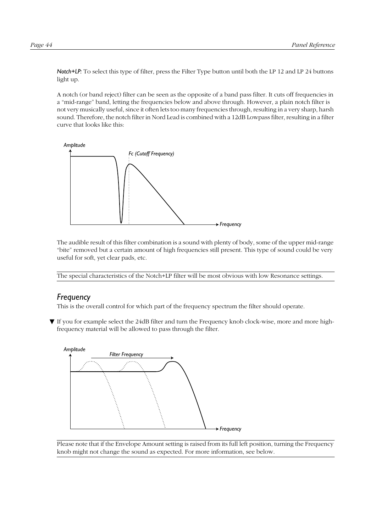*Notch+LP:* To select this type of filter, press the Filter Type button until both the LP 12 and LP 24 buttons light up.

A notch (or band reject) filter can be seen as the opposite of a band pass filter. It cuts off frequencies in a "mid-range" band, letting the frequencies below and above through. However, a plain notch filter is not very musically useful, since it often lets too many frequencies through, resulting in a very sharp, harsh sound. Therefore, the notch filter in Nord Lead is combined with a 12dB Lowpass filter, resulting in a filter curve that looks like this:



The audible result of this filter combination is a sound with plenty of body, some of the upper mid-range "bite" removed but a certain amount of high frequencies still present. This type of sound could be very useful for soft, yet clear pads, etc.

The special characteristics of the Notch+LP filter will be most obvious with low Resonance settings.

#### *Frequency*

This is the overall control for which part of the frequency spectrum the filter should operate.

▼ If you for example select the 24dB filter and turn the Frequency knob clock-wise, more and more highfrequency material will be allowed to pass through the filter.



Please note that if the Envelope Amount setting is raised from its full left position, turning the Frequency knob might not change the sound as expected. For more information, see below.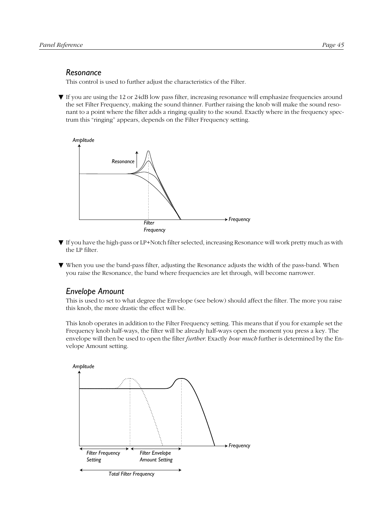#### *Resonance*

This control is used to further adjust the characteristics of the Filter.

▼ If you are using the 12 or 24dB low pass filter, increasing resonance will emphasize frequencies around the set Filter Frequency, making the sound thinner. Further raising the knob will make the sound resonant to a point where the filter adds a ringing quality to the sound. Exactly where in the frequency spectrum this "ringing" appears, depends on the Filter Frequency setting.



- ▼ If you have the high-pass or LP+Notch filter selected, increasing Resonance will work pretty much as with the LP filter.
- ▼ When you use the band-pass filter, adjusting the Resonance adjusts the width of the pass-band. When you raise the Resonance, the band where frequencies are let through, will become narrower.

# *Envelope Amount*

This is used to set to what degree the Envelope (see below) should affect the filter. The more you raise this knob, the more drastic the effect will be.

This knob operates in addition to the Filter Frequency setting. This means that if you for example set the Frequency knob half-ways, the filter will be already half-ways open the moment you press a key. The envelope will then be used to open the filter *further*. Exactly *how much* further is determined by the Envelope Amount setting.

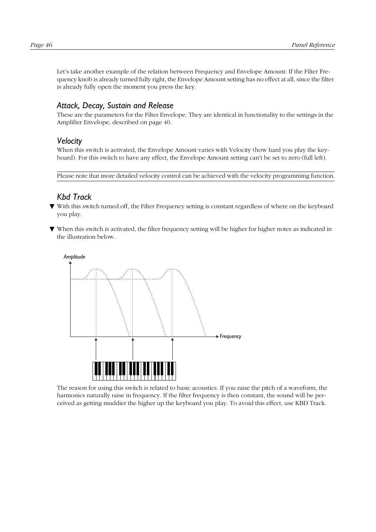Let's take another example of the relation between Frequency and Envelope Amount: If the Filter Frequency knob is already turned fully right, the Envelope Amount setting has no effect at all, since the filter is already fully open the moment you press the key.

# *Attack, Decay, Sustain and Release*

These are the parameters for the Filter Envelope. They are identical in functionality to the settings in the Amplifier Envelope, described on [page 40](#page-41-0).

#### *Velocity*

When this switch is activated, the Envelope Amount varies with Velocity (how hard you play the keyboard). For this switch to have any effect, the Envelope Amount setting can't be set to zero (full left).

Please note that more detailed velocity control can be achieved with the velocity programming function.

# *Kbd Track*

- ▼ With this switch turned off, the Filter Frequency setting is constant regardless of where on the keyboard you play.
- ▼ When this switch is activated, the filter frequency setting will be higher for higher notes as indicated in the illustration below.

*Amplitude*



The reason for using this switch is related to basic acoustics. If you raise the pitch of a waveform, the harmonics naturally raise in frequency. If the filter frequency is then constant, the sound will be perceived as getting muddier the higher up the keyboard you play. To avoid this effect, use KBD Track.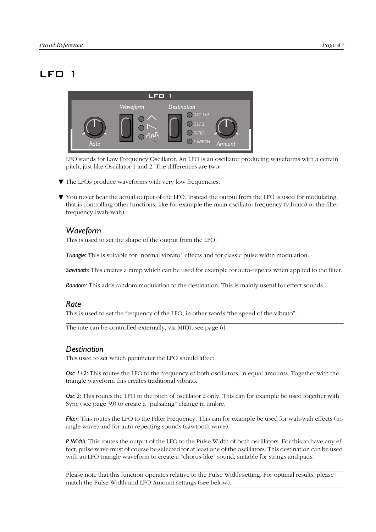# LFO 1



LFO stands for Low Frequency Oscillator. An LFO is an oscillator producing waveforms with a certain pitch, just like Oscillator 1 and 2. The differences are two:

- ▼ The LFOs produce waveforms with very low frequencies.
- ▼ You never hear the actual output of the LFO. Instead the output from the LFO is used for modulating, that is controlling other functions, like for example the main oscillator frequency (vibrato) or the filter frequency (wah-wah).

# *Waveform*

This is used to set the shape of the output from the LFO:

*Triangle:* This is suitable for "normal vibrato" effects and for classic pulse width modulation.

*Sawtooth:* This creates a ramp which can be used for example for auto-repeats when applied to the filter.

*Random:* This adds random modulation to the destination. This is mainly useful for effect sounds.

#### *Rate*

This is used to set the frequency of the LFO, in other words "the speed of the vibrato".

The rate can be controlled externally, via MIDI, see [page 61.](#page-62-0)

#### *Destination*

This used to set which parameter the LFO should affect:

*Osc 1+2:* This routes the LFO to the frequency of both oscillators, in equal amounts. Together with the triangle waveform this creates traditional vibrato.

*Osc 2:* This routes the LFO to the pitch of oscillator 2 only. This can for example be used together with Sync (see [page 39\)](#page-40-0) to create a "pulsating" change in timbre.

*Filter:* This routes the LFO to the Filter Frequency. This can for example be used for wah-wah effects (triangle wave) and for auto repeating sounds (sawtooth wave).

*P Width:* This routes the output of the LFO to the Pulse Width of both oscillators. For this to have any effect, pulse wave must of course be selected for at least one of the oscillators. This destination can be used with an LFO triangle waveform to create a "chorus-like" sound, suitable for strings and pads.

Please note that this function operates relative to the Pulse Width setting. For optimal results, please match the Pulse Width and LFO Amount settings (see below).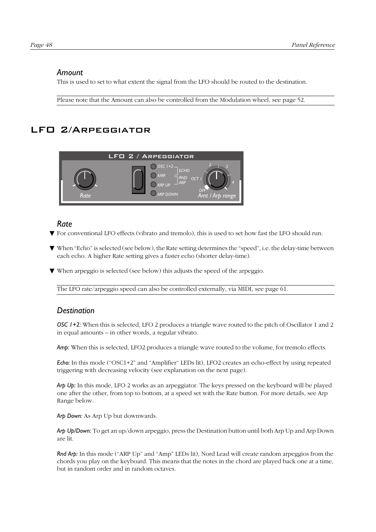#### *Amount*

This is used to set to what extent the signal from the LFO should be routed to the destination.

Please note that the Amount can also be controlled from the Modulation wheel, see [page 52](#page-53-0).

# LFO 2/Arpeggiator



#### *Rate*

- ▼ For conventional LFO effects (vibrato and tremolo), this is used to set how fast the LFO should run.
- ▼ When "Echo" is selected (see below), the Rate setting determines the "speed", i.e. the delay-time between each echo. A higher Rate setting gives a faster echo (shorter delay-time).
- ▼ When arpeggio is selected (see below) this adjusts the speed of the arpeggio.

The LFO rate/arpeggio speed can also be controlled externally, via MIDI, see [page 61](#page-62-0).

#### *Destination*

*OSC 1+2:* When this is selected, LFO 2 produces a triangle wave routed to the pitch of Oscillator 1 and 2 in equal amounts – in other words, a regular vibrato.

*Amp:* When this is selected, LFO2 produces a triangle wave routed to the volume, for tremolo effects.

*Echo:* In this mode ("OSC1+2" and "Amplifier" LEDs lit), LFO2 creates an echo-effect by using repeated triggering with decreasing velocity (see explanation on the next page).

*Arp Up:* In this mode, LFO 2 works as an arpeggiator. The keys pressed on the keyboard will be played one after the other, from top to bottom, at a speed set with the Rate button. For more details, see Arp Range below.

*Arp Down:* As Arp Up but downwards.

*Arp Up/Down:* To get an up/down arpeggio, press the Destination button until both Arp Up and Arp Down are lit.

*Rnd Arp:* In this mode ("ARP Up" and "Amp" LEDs lit), Nord Lead will create random arpeggios from the chords you play on the keyboard. This means that the notes in the chord are played back one at a time, but in random order and in random octaves.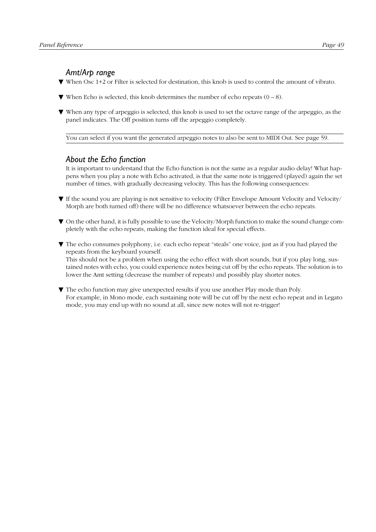# *Amt/Arp range*

- ▼ When Osc 1+2 or Filter is selected for destination, this knob is used to control the amount of vibrato.
- $\nabla$  When Echo is selected, this knob determines the number of echo repeats  $(0 8)$ .
- ▼ When any type of arpeggio is selected, this knob is used to set the octave range of the arpeggio, as the panel indicates. The Off position turns off the arpeggio completely.

You can select if you want the generated arpeggio notes to also be sent to MIDI Out. See [page 59.](#page-60-0)

# *About the Echo function*

It is important to understand that the Echo function is not the same as a regular audio delay! What happens when you play a note with Echo activated, is that the same note is triggered (played) again the set number of times, with gradually decreasing velocity. This has the following consequences:

- ▼ If the sound you are playing is not sensitive to velocity (Filter Envelope Amount Velocity and Velocity/ Morph are both turned off) there will be no difference whatsoever between the echo repeats.
- ▼ On the other hand, it is fully possible to use the Velocity/Morph function to make the sound change completely with the echo repeats, making the function ideal for special effects.
- ▼ The echo consumes polyphony, i.e. each echo repeat "steals" one voice, just as if you had played the repeats from the keyboard yourself.

This should not be a problem when using the echo effect with short sounds, but if you play long, sustained notes with echo, you could experience notes being cut off by the echo repeats. The solution is to lower the Amt setting (decrease the number of repeats) and possibly play shorter notes.

▼ The echo function may give unexpected results if you use another Play mode than Poly. For example, in Mono mode, each sustaining note will be cut off by the next echo repeat and in Legato mode, you may end up with no sound at all, since new notes will not re-trigger!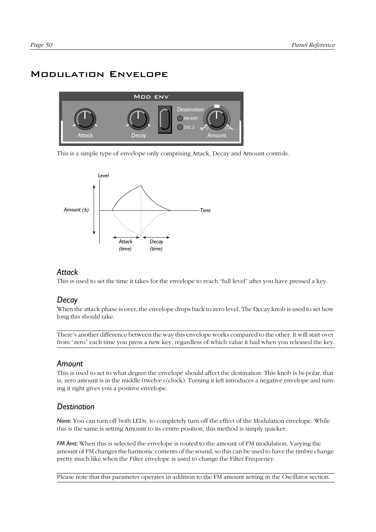# Modulation Envelope



This is a simple type of envelope only comprising Attack, Decay and Amount controls.



#### *Attack*

This is used to set the time it takes for the envelope to reach "full level" after you have pressed a key.

#### *Decay*

When the attack phase is over, the envelope drops back to zero level. The Decay knob is used to set how long this should take.

There's another difference between the way this envelope works compared to the other: It will start over from "zero" each time you press a new key, regardless of which value it had when you released the key.

#### *Amount*

This is used to set to what degree the envelope should affect the destination. This knob is bi-polar, that is, zero amount is in the middle (twelve o'clock). Turning it left introduces a negative envelope and turning it right gives you a positive envelope.

#### *Destination*

**None:** You can turn off both LEDs, to completely turn off the effect of the Modulation envelope. While this is the same is setting Amount to its centre position, this method is simply quicker.

*FM Amt:* When this is selected the envelope is routed to the amount of FM modulation. Varying the amount of FM changes the harmonic contents of the sound, so this can be used to have the timbre change pretty much like when the Filter envelope is used to change the Filter Frequency.

Please note that this parameter operates in addition to the FM amount setting in the Oscillator section.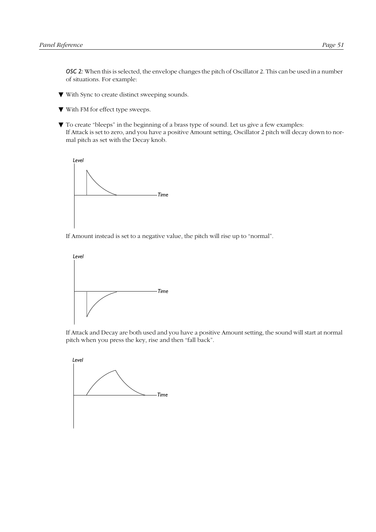*OSC 2:* When this is selected, the envelope changes the pitch of Oscillator 2. This can be used in a number of situations. For example:

- ▼ With Sync to create distinct sweeping sounds.
- ▼ With FM for effect type sweeps.
- ▼ To create "bleeps" in the beginning of a brass type of sound. Let us give a few examples: If Attack is set to zero, and you have a positive Amount setting, Oscillator 2 pitch will decay down to normal pitch as set with the Decay knob.



If Amount instead is set to a negative value, the pitch will rise up to "normal".



If Attack and Decay are both used and you have a positive Amount setting, the sound will start at normal pitch when you press the key, rise and then "fall back".

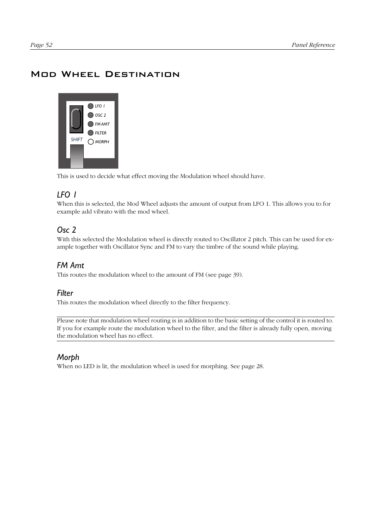# <span id="page-53-0"></span>Mod Wheel Destination



This is used to decide what effect moving the Modulation wheel should have.

# *LFO 1*

When this is selected, the Mod Wheel adjusts the amount of output from LFO 1. This allows you to for example add vibrato with the mod wheel.

# *Osc 2*

With this selected the Modulation wheel is directly routed to Oscillator 2 pitch. This can be used for example together with Oscillator Sync and FM to vary the timbre of the sound while playing.

# *FM Amt*

This routes the modulation wheel to the amount of FM (see [page 39\)](#page-40-0).

#### *Filter*

This routes the modulation wheel directly to the filter frequency.

Please note that modulation wheel routing is in addition to the basic setting of the control it is routed to. If you for example route the modulation wheel to the filter, and the filter is already fully open, moving the modulation wheel has no effect.

# *Morph*

When no LED is lit, the modulation wheel is used for morphing. See [page 28](#page-29-0).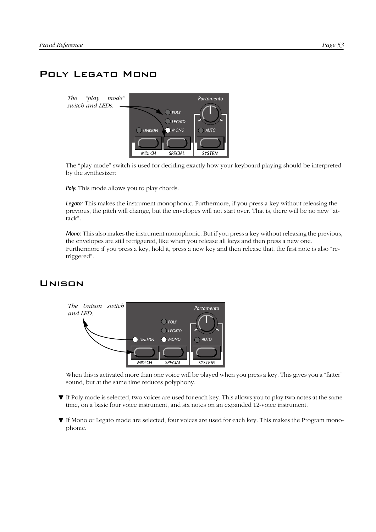# <span id="page-54-0"></span>Poly Legato Mono



The "play mode" switch is used for deciding exactly how your keyboard playing should be interpreted by the synthesizer:

**Poly:** This mode allows you to play chords.

*Legato:* This makes the instrument monophonic. Furthermore, if you press a key without releasing the previous, the pitch will change, but the envelopes will not start over. That is, there will be no new "attack".

*Mono:* This also makes the instrument monophonic. But if you press a key without releasing the previous, the envelopes are still retriggered, like when you release all keys and then press a new one. Furthermore if you press a key, hold it, press a new key and then release that, the first note is also "retriggered".

# Unison



When this is activated more than one voice will be played when you press a key. This gives you a "fatter" sound, but at the same time reduces polyphony.

- ▼ If Poly mode is selected, two voices are used for each key. This allows you to play two notes at the same time, on a basic four voice instrument, and six notes on an expanded 12-voice instrument.
- ▼ If Mono or Legato mode are selected, four voices are used for each key. This makes the Program monophonic.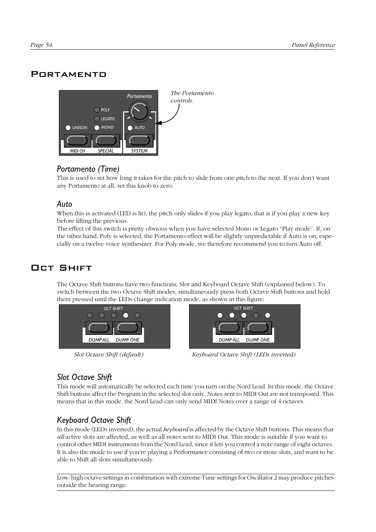# <span id="page-55-0"></span>**PORTAMENTO**



# *Portamento (Time)*

This is used to set how long it takes for the pitch to slide from one pitch to the next. If you don't want any Portamento at all, set this knob to zero.

#### *Auto*

When this is activated (LED is lit), the pitch only slides if you play legato, that is if you play a new key before lifting the previous.

The effect of this switch is pretty obvious when you have selected Mono or Legato "Play mode". If, on the other hand, Poly is selected, the Portamento effect will be slightly unpredictable if Auto is on, especially on a twelve voice synthesizer. For Poly mode, we therefore recommend you to turn Auto off.

# Oct Shift

The Octave Shift buttons have two functions, Slot and Keyboard Octave Shift (explained below). To switch between the two Octave Shift modes, simultaneously press both Octave Shift buttons and hold them pressed until the LEDs change indication mode, as shown in this figure:





*Slot Octave Shift (default) Keyboard Octave Shift (LEDs inverted)*

# *Slot Octave Shift*

This mode will automatically be selected each time you turn on the Nord Lead. In this mode, the Octave Shift buttons affect the Program in the selected slot only. Notes sent to MIDI Out are not transposed. This means that in this mode, the Nord Lead can only send MIDI Notes over a range of 4 octaves.

# *Keyboard Octave Shift*

In this mode (LEDs inverted), the actual *keyboard* is affected by the Octave Shift buttons. This means that *all* active slots are affected, as well as all notes sent to MIDI Out. This mode is suitable if you want to control other MIDI instruments from the Nord Lead, since it lets you control a note range of eight octaves. It is also the mode to use if you're playing a Performance consisting of two or more slots, and want to be able to Shift all slots simultaneously.

Low/high octave settings in combination with extreme Tune settings for Oscillator 2 may produce pitches outside the hearing range.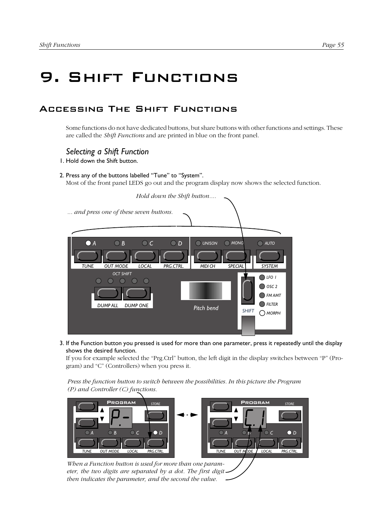# 9. Shift Functions

# Accessing The Shift Functions

Some functions do not have dedicated buttons, but share buttons with other functions and settings. These are called the *Shift Functions* and are printed in blue on the front panel.

#### *Selecting a Shift Function*

1. Hold down the Shift button.

2. Press any of the buttons labelled "Tune" to "System".

Most of the front panel LEDS go out and the program display now shows the selected function.



3. If the Function button you pressed is used for more than one parameter, press it repeatedly until the display shows the desired function.

If you for example selected the "Prg.Ctrl" button, the left digit in the display switches between "P" (Program) and "C" (Controllers) when you press it.

*Press the function button to switch between the possibilities. In this picture the Program (P) and Controller (C) functions.*



*then indicates the parameter, and the second the value.*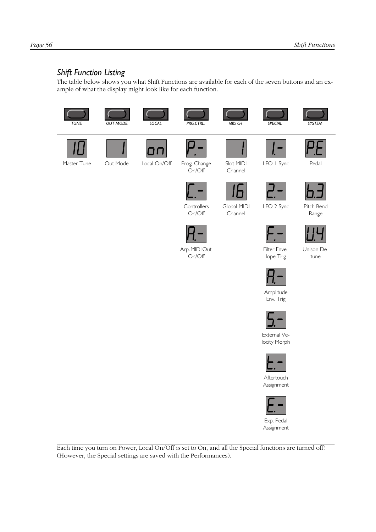# *Shift Function Listing*

The table below shows you what Shift Functions are available for each of the seven buttons and an example of what the display might look like for each function.



Each time you turn on Power, Local On/Off is set to On, and all the Special functions are turned off! (However, the Special settings are saved with the Performances).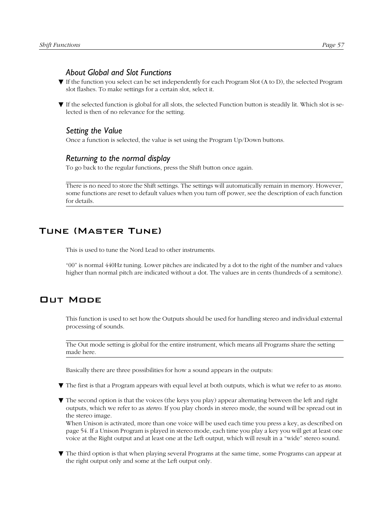#### *About Global and Slot Functions*

- ▼ If the function you select can be set independently for each Program Slot (A to D), the selected Program slot flashes. To make settings for a certain slot, select it.
- ▼ If the selected function is global for all slots, the selected Function button is steadily lit. Which slot is selected is then of no relevance for the setting.

#### *Setting the Value*

Once a function is selected, the value is set using the Program Up/Down buttons.

#### *Returning to the normal display*

To go back to the regular functions, press the Shift button once again.

There is no need to store the Shift settings. The settings will automatically remain in memory. However, some functions are reset to default values when you turn off power, see the description of each function for details.

# Tune (Master Tune)

This is used to tune the Nord Lead to other instruments.

"00" is normal 440Hz tuning. Lower pitches are indicated by a dot to the right of the number and values higher than normal pitch are indicated without a dot. The values are in cents (hundreds of a semitone).

# Out Mode

This function is used to set how the Outputs should be used for handling stereo and individual external processing of sounds.

The Out mode setting is global for the entire instrument, which means all Programs share the setting made here.

Basically there are three possibilities for how a sound appears in the outputs:

- ▼ The first is that a Program appears with equal level at both outputs, which is what we refer to as *mono*.
- ▼ The second option is that the voices (the keys you play) appear alternating between the left and right outputs, which we refer to as *stereo*. If you play chords in stereo mode, the sound will be spread out in the stereo image.

When Unison is activated, more than one voice will be used each time you press a key, as described on [page 54](#page-55-0). If a Unison Program is played in stereo mode, each time you play a key you will get at least one voice at the Right output and at least one at the Left output, which will result in a "wide" stereo sound.

▼ The third option is that when playing several Programs at the same time, some Programs can appear at the right output only and some at the Left output only.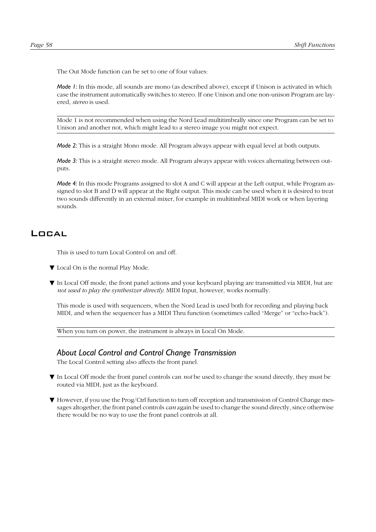<span id="page-59-0"></span>The Out Mode function can be set to one of four values:

*Mode 1:* In this mode, all sounds are mono (as described above), except if Unison is activated in which case the instrument automatically switches to stereo. If one Unison and one non-unison Program are layered, *stereo* is used.

Mode 1 is not recommended when using the Nord Lead multitimbrally since one Program can be set to Unison and another not, which might lead to a stereo image you might not expect.

*Mode 2:* This is a straight Mono mode. All Program always appear with equal level at both outputs.

*Mode 3:* This is a straight stereo mode. All Program always appear with voices alternating between outputs.

*Mode 4:* In this mode Programs assigned to slot A and C will appear at the Left output, while Program assigned to slot B and D will appear at the Right output. This mode can be used when it is desired to treat two sounds differently in an external mixer, for example in multitimbral MIDI work or when layering sounds.

#### Local

This is used to turn Local Control on and off.

- ▼ Local On is the normal Play Mode.
- ▼ In Local Off mode, the front panel actions and your keyboard playing are transmitted via MIDI, but are *not used to play the synthesizer directly*. MIDI Input, however, works normally.

This mode is used with sequencers, when the Nord Lead is used both for recording and playing back MIDI, and when the sequencer has a MIDI Thru function (sometimes called "Merge" or "echo-back").

When you turn on power, the instrument is always in Local On Mode.

#### *About Local Control and Control Change Transmission*

The Local Control setting also affects the front panel.

- ▼ In Local Off mode the front panel controls can *not* be used to change the sound directly, they must be routed via MIDI, just as the keyboard.
- ▼ However, if you use the Prog/Ctrl function to turn off reception and transmission of Control Change messages altogether, the front panel controls *can* again be used to change the sound directly, since otherwise there would be no way to use the front panel controls at all.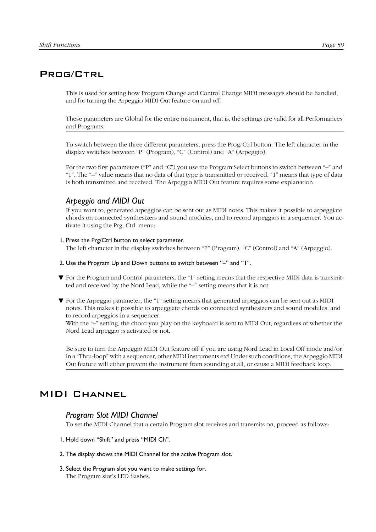# <span id="page-60-0"></span>PROG/CTRL

This is used for setting how Program Change and Control Change MIDI messages should be handled, and for turning the Arpeggio MIDI Out feature on and off.

These parameters are Global for the entire instrument, that is, the settings are valid for all Performances and Programs.

To switch between the three different parameters, press the Prog/Ctrl button. The left character in the display switches between "P" (Program), "C" (Control) and "A" (Arpeggio).

For the two first parameters ("P" and "C") you use the Program Select buttons to switch between "–" and "1". The "–" value means that no data of that type is transmitted or received. "1" means that type of data is both transmitted and received. The Arpeggio MIDI Out feature requires some explanation:

# *Arpeggio and MIDI Out*

If you want to, generated arpeggios can be sent out as MIDI notes. This makes it possible to arpeggiate chords on connected synthesizers and sound modules, and to record arpeggios in a sequencer. You activate it using the Prg. Ctrl. menu:

#### 1. Press the Prg/Ctrl button to select parameter.

The left character in the display switches between "P" (Program), "C" (Control) and "A" (Arpeggio).

- 2. Use the Program Up and Down buttons to switch between "–" and "1".
- ▼ For the Program and Control parameters, the "1" setting means that the respective MIDI data is transmitted and received by the Nord Lead, while the "–" setting means that it is not.
- ▼ For the Arpeggio parameter, the "1" setting means that generated arpeggios can be sent out as MIDI notes. This makes it possible to arpeggiate chords on connected synthesizers and sound modules, and to record arpeggios in a sequencer.

With the "-" setting, the chord you play on the keyboard is sent to MIDI Out, regardless of whether the Nord Lead arpeggio is activated or not.

Be sure to turn the Arpeggio MIDI Out feature off if you are using Nord Lead in Local Off mode and/or in a "Thru-loop" with a sequencer, other MIDI instruments etc! Under such conditions, the Arpeggio MIDI Out feature will either prevent the instrument from sounding at all, or cause a MIDI feedback loop.

# MIDI Channel

#### *Program Slot MIDI Channel*

To set the MIDI Channel that a certain Program slot receives and transmits on, proceed as follows:

- 1. Hold down "Shift" and press "MIDI Ch".
- 2. The display shows the MIDI Channel for the active Program slot.
- 3. Select the Program slot you want to make settings for. The Program slot's LED flashes.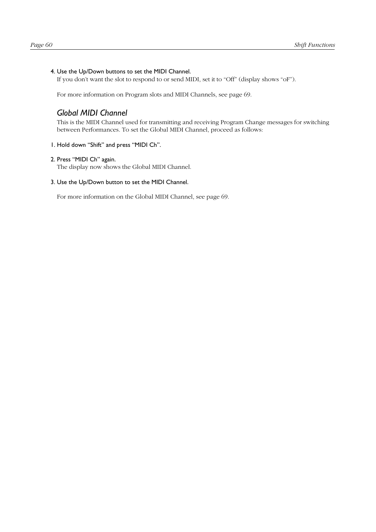#### <span id="page-61-0"></span>4. Use the Up/Down buttons to set the MIDI Channel.

If you don't want the slot to respond to or send MIDI, set it to "Off" (display shows "oF").

For more information on Program slots and MIDI Channels, see [page 69](#page-70-0).

#### *Global MIDI Channel*

This is the MIDI Channel used for transmitting and receiving Program Change messages for switching between Performances. To set the Global MIDI Channel, proceed as follows:

#### 1. Hold down "Shift" and press "MIDI Ch".

#### 2. Press "MIDI Ch" again.

The display now shows the Global MIDI Channel.

#### 3. Use the Up/Down button to set the MIDI Channel.

For more information on the Global MIDI Channel, see [page 69](#page-70-0).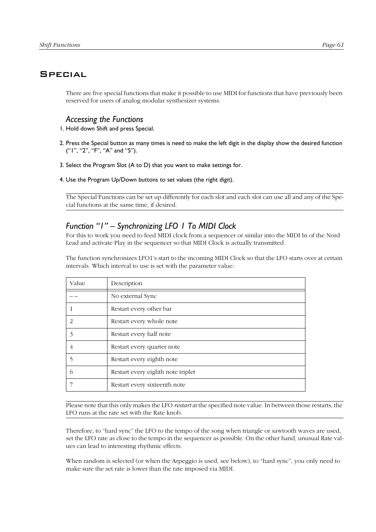# <span id="page-62-0"></span>**SPECIAL**

There are five special functions that make it possible to use MIDI for functions that have previously been reserved for users of analog modular synthesizer systems.

# *Accessing the Functions*

- 1. Hold down Shift and press Special.
- 2. Press the Special button as many times is need to make the left digit in the display show the desired function ("1", "2", "F", "A" and "5").
- 3. Select the Program Slot (A to D) that you want to make settings for.
- 4. Use the Program Up/Down buttons to set values (the right digit).

The Special Functions can be set up differently for each slot and each slot can use all and any of the Special functions at the same time, if desired.

# *Function "1" – Synchronizing LFO 1 To MIDI Clock*

For this to work you need to feed MIDI clock from a sequencer or similar into the MIDI In of the Nord Lead and activate Play in the sequencer so that MIDI Clock is actually transmitted.

The function synchronizes LFO1's start to the incoming MIDI Clock so that the LFO starts over at certain intervals. Which interval to use is set with the parameter value:

| Value | Description                       |
|-------|-----------------------------------|
|       | No external Sync                  |
|       | Restart every other bar           |
| 2     | Restart every whole note          |
| 3     | Restart every half note           |
| 4     | Restart every quarter note        |
| 5     | Restart every eighth note         |
| 6     | Restart every eighth note triplet |
|       | Restart every sixteenth note      |

Please note that this only makes the LFO *restart* at the specified note value. In between those restarts, the LFO runs at the rate set with the Rate knob.

Therefore, to "hard sync" the LFO to the tempo of the song when triangle or sawtooth waves are used, set the LFO rate as close to the tempo in the sequencer as possible. On the other hand, unusual Rate values can lead to interesting rhythmic effects.

When random is selected (or when the Arpeggio is used, see below), to "hard sync", you only need to make sure the set rate is lower than the rate imposed via MIDI.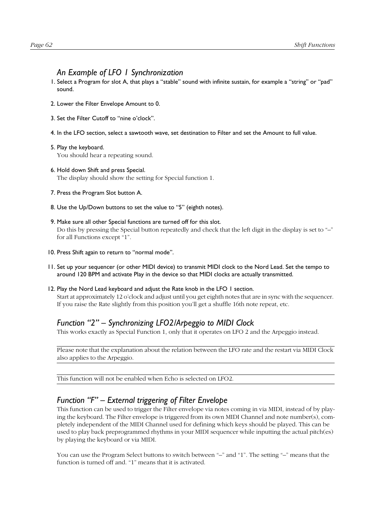#### *An Example of LFO 1 Synchronization*

- 1. Select a Program for slot A, that plays a "stable" sound with infinite sustain, for example a "string" or "pad" sound.
- 2. Lower the Filter Envelope Amount to 0.
- 3. Set the Filter Cutoff to "nine o'clock".
- 4. In the LFO section, select a sawtooth wave, set destination to Filter and set the Amount to full value.
- 5. Play the keyboard. You should hear a repeating sound.
- 6. Hold down Shift and press Special. The display should show the setting for Special function 1.
- 7. Press the Program Slot button A.
- 8. Use the Up/Down buttons to set the value to "5" (eighth notes).
- 9. Make sure all other Special functions are turned off for this slot. Do this by pressing the Special button repeatedly and check that the left digit in the display is set to "-" for all Functions except "1".
- 10. Press Shift again to return to "normal mode".
- 11. Set up your sequencer (or other MIDI device) to transmit MIDI clock to the Nord Lead. Set the tempo to around 120 BPM and activate Play in the device so that MIDI clocks are actually transmitted.
- 12. Play the Nord Lead keyboard and adjust the Rate knob in the LFO 1 section. Start at approximately 12 o'clock and adjust until you get eighth notes that are in sync with the sequencer. If you raise the Rate slightly from this position you'll get a shuffle 16th note repeat, etc.

# *Function "2" – Synchronizing LFO2/Arpeggio to MIDI Clock*

This works exactly as Special Function 1, only that it operates on LFO 2 and the Arpeggio instead.

Please note that the explanation about the relation between the LFO rate and the restart via MIDI Clock also applies to the Arpeggio.

This function will not be enabled when Echo is selected on LFO2.

#### *Function "F" – External triggering of Filter Envelope*

This function can be used to trigger the Filter envelope via notes coming in via MIDI, instead of by playing the keyboard. The Filter envelope is triggered from its own MIDI Channel and note number(s), completely independent of the MIDI Channel used for defining which keys should be played. This can be used to play back preprogrammed rhythms in your MIDI sequencer while inputting the actual pitch(es) by playing the keyboard or via MIDI.

You can use the Program Select buttons to switch between "–" and "1". The setting "–" means that the function is turned off and. "1" means that it is activated.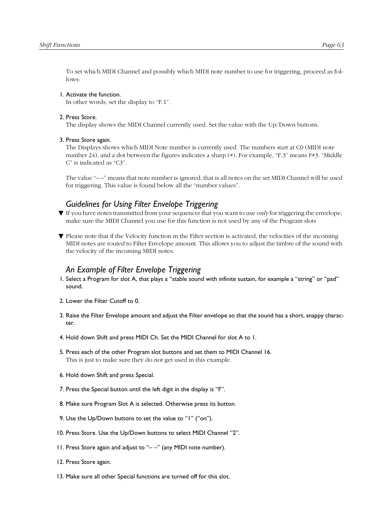To set which MIDI Channel and possibly which MIDI note number to use for triggering, proceed as follows:

#### 1. Activate the function.

In other words, set the display to "F.1".

#### 2. Press Store.

The display shows the MIDI Channel currently used. Set the value with the Up/Down buttons.

#### 3. Press Store again.

The Displays shows which MIDI Note number is currently used. The numbers start at C0 (MIDI note number 24), and a dot between the figures indicates a sharp  $(*)$ . For example, "F.3" means F#3. "Middle C" is indicated as "C3".

The value "– –" means that note number is ignored, that is all notes on the set MIDI Channel will be used for triggering. This value is found below all the "number values".

#### *Guidelines for Using Filter Envelope Triggering*

- ▼ If you have notes transmitted from your sequencer that you want to use *only* for triggering the envelope, make sure the MIDI Channel you use for this function is not used by any of the Program slots
- ▼ Please note that if the Velocity function in the Filter section is activated, the velocities of the incoming MIDI notes are routed to Filter Envelope amount. This allows you to adjust the timbre of the sound with the velocity of the incoming MIDI notes.

#### *An Example of Filter Envelope Triggering*

- 1. Select a Program for slot A, that plays a "stable sound with infinite sustain, for example a "string" or "pad" sound.
- 2. Lower the Filter Cutoff to 0.
- 3. Raise the Filter Envelope amount and adjust the Filter envelope so that the sound has a short, snappy character.
- 4. Hold down Shift and press MIDI Ch. Set the MIDI Channel for slot A to 1.
- 5. Press each of the other Program slot buttons and set them to MIDI Channel 16. This is just to make sure they do not get used in this example.
- 6. Hold down Shift and press Special.
- 7. Press the Special button until the left digit in the display is "F".
- 8. Make sure Program Slot A is selected. Otherwise press its button.
- 9. Use the Up/Down buttons to set the value to "1" ("on").
- 10. Press Store. Use the Up/Down buttons to select MIDI Channel "2".
- 11. Press Store again and adjust to "– –" (any MIDI note number).
- 12. Press Store again.
- 13. Make sure all other Special functions are turned off for this slot.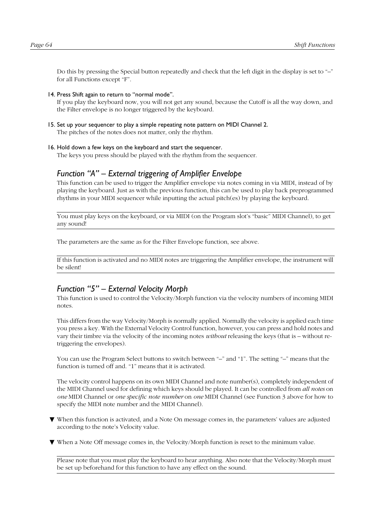Do this by pressing the Special button repeatedly and check that the left digit in the display is set to "–" for all Functions except "F".

14. Press Shift again to return to "normal mode".

If you play the keyboard now, you will not get any sound, because the Cutoff is all the way down, and the Filter envelope is no longer triggered by the keyboard.

- 15. Set up your sequencer to play a simple repeating note pattern on MIDI Channel 2. The pitches of the notes does not matter, only the rhythm.
- 16. Hold down a few keys on the keyboard and start the sequencer.

The keys you press should be played with the rhythm from the sequencer.

#### *Function "A" – External triggering of Amplifier Envelope*

This function can be used to trigger the Amplifier envelope via notes coming in via MIDI, instead of by playing the keyboard. Just as with the previous function, this can be used to play back preprogrammed rhythms in your MIDI sequencer while inputting the actual pitch(es) by playing the keyboard.

You must play keys on the keyboard, or via MIDI (on the Program slot's "basic" MIDI Channel), to get any sound!

The parameters are the same as for the Filter Envelope function, see above.

If this function is activated and no MIDI notes are triggering the Amplifier envelope, the instrument will be silent!

#### *Function "5" – External Velocity Morph*

This function is used to control the Velocity/Morph function via the velocity numbers of incoming MIDI notes.

This differs from the way Velocity/Morph is normally applied. Normally the velocity is applied each time you press a key. With the External Velocity Control function, however, you can press and hold notes and vary their timbre via the velocity of the incoming notes *without* releasing the keys (that is – without retriggering the envelopes).

You can use the Program Select buttons to switch between "–" and "1". The setting "–" means that the function is turned off and. "1" means that it is activated.

The velocity control happens on its own MIDI Channel and note number(s), completely independent of the MIDI Channel used for defining which keys should be played. It can be controlled from *all notes* on *one* MIDI Channel or *one specific note number* on *one* MIDI Channel (see Function 3 above for how to specify the MIDI note number and the MIDI Channel).

- ▼ When this function is activated, and a Note On message comes in, the parameters' values are adjusted according to the note's Velocity value.
- ▼ When a Note Off message comes in, the Velocity/Morph function is reset to the minimum value.

Please note that you must play the keyboard to hear anything. Also note that the Velocity/Morph must be set up beforehand for this function to have any effect on the sound.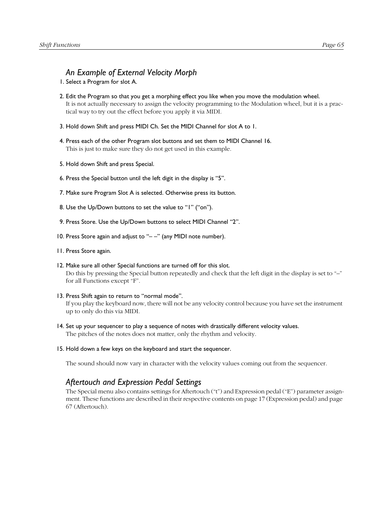#### *An Example of External Velocity Morph*

- 1. Select a Program for slot A.
- 2. Edit the Program so that you get a morphing effect you like when you move the modulation wheel. It is not actually necessary to assign the velocity programming to the Modulation wheel, but it is a practical way to try out the effect before you apply it via MIDI.
- 3. Hold down Shift and press MIDI Ch. Set the MIDI Channel for slot A to 1.
- 4. Press each of the other Program slot buttons and set them to MIDI Channel 16. This is just to make sure they do not get used in this example.
- 5. Hold down Shift and press Special.
- 6. Press the Special button until the left digit in the display is "5".
- 7. Make sure Program Slot A is selected. Otherwise press its button.
- 8. Use the Up/Down buttons to set the value to "1" ("on").
- 9. Press Store. Use the Up/Down buttons to select MIDI Channel "2".
- 10. Press Store again and adjust to "– –" (any MIDI note number).
- 11. Press Store again.
- 12. Make sure all other Special functions are turned off for this slot. Do this by pressing the Special button repeatedly and check that the left digit in the display is set to "–" for all Functions except "F".
- 13. Press Shift again to return to "normal mode". If you play the keyboard now, there will not be any velocity control because you have set the instrument up to only do this via MIDI.
- 14. Set up your sequencer to play a sequence of notes with drastically different velocity values. The pitches of the notes does not matter, only the rhythm and velocity.
- 15. Hold down a few keys on the keyboard and start the sequencer.

The sound should now vary in character with the velocity values coming out from the sequencer.

#### *Aftertouch and Expression Pedal Settings*

The Special menu also contains settings for Aftertouch ("t") and Expression pedal ("E") parameter assignment. These functions are described in their respective contents on [page 17](#page-18-0) (Expression pedal) and [page](#page-68-0)  [67](#page-68-0) (Aftertouch).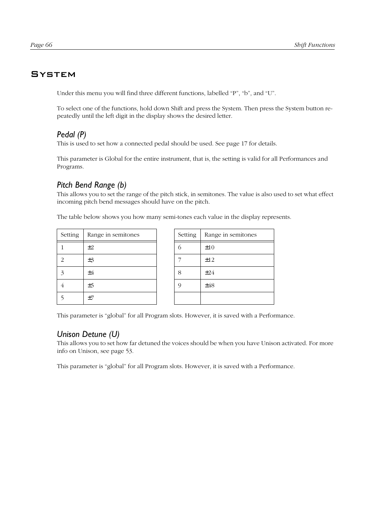# <span id="page-67-0"></span>**SYSTEM**

Under this menu you will find three different functions, labelled "P", "b", and "U".

To select one of the functions, hold down Shift and press the System. Then press the System button repeatedly until the left digit in the display shows the desired letter.

# *Pedal (P)*

This is used to set how a connected pedal should be used. See [page 17](#page-18-0) for details.

This parameter is Global for the entire instrument, that is, the setting is valid for all Performances and Programs.

# *Pitch Bend Range (b)*

This allows you to set the range of the pitch stick, in semitones. The value is also used to set what effect incoming pitch bend messages should have on the pitch.

The table below shows you how many semi-tones each value in the display represents.

| Setting                  | Range in semitones | Setting    | Range in semitones |
|--------------------------|--------------------|------------|--------------------|
|                          | ±2                 | $\bigcirc$ | ±10                |
| $\overline{\mathcal{L}}$ | ±3                 |            | ±12                |
| 3                        | $\pm 4$            | 8          | ±24                |
|                          | ±5                 | Q          | ±48                |
|                          | ±7                 |            |                    |

| Setting | Range in semitones |  |  |
|---------|--------------------|--|--|
| 6       | ±10                |  |  |
|         | ±12                |  |  |
| 8       | ±24                |  |  |
| 9       | ±48                |  |  |
|         |                    |  |  |

This parameter is "global" for all Program slots. However, it is saved with a Performance.

# *Unison Detune (U)*

This allows you to set how far detuned the voices should be when you have Unison activated. For more info on Unison, see [page 53](#page-54-0).

This parameter is "global" for all Program slots. However, it is saved with a Performance.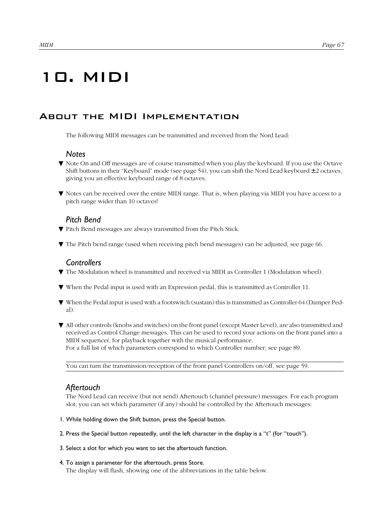# <span id="page-68-0"></span>10. MIDI

# About the MIDI Implementation

The following MIDI messages can be transmitted and received from the Nord Lead:

#### *Notes*

- ▼ Note On and Off messages are of course transmitted when you play the keyboard. If you use the Octave Shift buttons in their "Keyboard" mode (see [page 54](#page-55-0)), you can shift the Nord Lead keyboard  $\pm$  2 octaves, giving you an effective keyboard range of 8 octaves.
- ▼ Notes can be received over the entire MIDI range. That is, when playing via MIDI you have access to a pitch range wider than 10 octaves!

# *Pitch Bend*

- ▼ Pitch Bend messages are always transmitted from the Pitch Stick.
- ▼ The Pitch bend range (used when receiving pitch bend messages) can be adjusted, see [page 66](#page-67-0).

# *Controllers*

- ▼ The Modulation wheel is transmitted and received via MIDI as Controller 1 (Modulation wheel).
- ▼ When the Pedal input is used with an Expression pedal, this is transmitted as Controller 11.
- ▼ When the Pedal input is used with a footswitch (sustain) this is transmitted as Controller 64 (Damper Pedal).
- ▼ All other controls (knobs and switches) on the front panel (except Master Level), are also transmitted and received as Control Change messages. This can be used to record your actions on the front panel into a MIDI sequencer, for playback together with the musical performance. For a full list of which parameters correspond to which Controller number, see [page 89](#page-90-0).

You can turn the transmission/reception of the front panel Controllers on/off, see [page 59](#page-60-0).

# *Aftertouch*

The Nord Lead can receive (but not send) Aftertouch (channel pressure) messages. For each program slot, you can set which parameter (if any) should be controlled by the Aftertouch messages:

- 1. While holding down the Shift button, press the Special button.
- 2. Press the Special button repeatedly, until the left character in the display is a "t" (for "touch").
- 3. Select a slot for which you want to set the aftertouch function.
- 4. To assign a parameter for the aftertouch, press Store.
	- The display will flash, showing one of the abbreviations in the table below.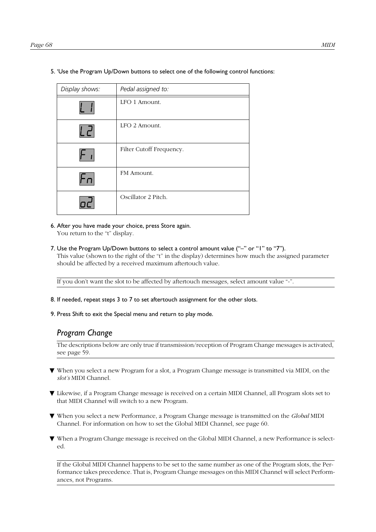| Display shows: |    | Pedal assigned to:       |
|----------------|----|--------------------------|
|                |    | LFO 1 Amount.            |
|                | Ld | LFO 2 Amount.            |
|                |    | Filter Cutoff Frequency. |
|                |    | FM Amount.               |
|                |    | Oscillator 2 Pitch.      |

5. 'Use the Program Up/Down buttons to select one of the following control functions:

- 6. After you have made your choice, press Store again. You return to the "t" display.
- 7. Use the Program Up/Down buttons to select a control amount value ("-" or "1" to "7"). This value (shown to the right of the "t" in the display) determines how much the assigned parameter should be affected by a received maximum aftertouch value.

If you don't want the slot to be affected by aftertouch messages, select amount value "-".

- 8. If needed, repeat steps 3 to 7 to set aftertouch assignment for the other slots.
- 9. Press Shift to exit the Special menu and return to play mode.

# *Program Change*

The descriptions below are only true if transmission/reception of Program Change messages is activated, see [page 59](#page-60-0).

- ▼ When you select a new Program for a slot, a Program Change message is transmitted via MIDI, on the *slot's* MIDI Channel.
- ▼ Likewise, if a Program Change message is received on a certain MIDI Channel, all Program slots set to that MIDI Channel will switch to a new Program.
- ▼ When you select a new Performance, a Program Change message is transmitted on the *Global* MIDI Channel. For information on how to set the Global MIDI Channel, see [page 60](#page-61-0).
- ▼ When a Program Change message is received on the Global MIDI Channel, a new Performance is selected.

If the Global MIDI Channel happens to be set to the same number as one of the Program slots, the Performance takes precedence. That is, Program Change messages on this MIDI Channel will select Performances, not Programs.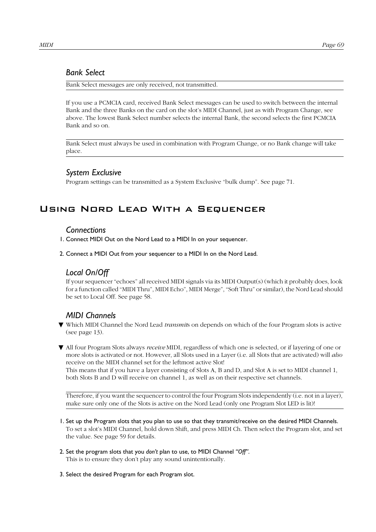#### <span id="page-70-0"></span>*Bank Select*

Bank Select messages are only received, not transmitted.

If you use a PCMCIA card, received Bank Select messages can be used to switch between the internal Bank and the three Banks on the card on the slot's MIDI Channel, just as with Program Change, see above. The lowest Bank Select number selects the internal Bank, the second selects the first PCMCIA Bank and so on.

Bank Select must always be used in combination with Program Change, or no Bank change will take place.

#### *System Exclusive*

Program settings can be transmitted as a System Exclusive "bulk dump". See [page 71](#page-72-0).

# Using Nord Lead With a Sequencer

#### *Connections*

- 1. Connect MIDI Out on the Nord Lead to a MIDI In on your sequencer.
- 2. Connect a MIDI Out from your sequencer to a MIDI In on the Nord Lead.

# *Local On/Off*

If your sequencer "echoes" all received MIDI signals via its MIDI Output(s) (which it probably does, look for a function called "MIDI Thru", MIDI Echo", MIDI Merge", "Soft Thru" or similar), the Nord Lead should be set to Local Off. See [page 58.](#page-59-0)

# *MIDI Channels*

▼ Which MIDI Channel the Nord Lead *transmit*s on depends on which of the four Program slots is active (see [page 13\)](#page-14-0).

▼ All four Program Slots always *receive* MIDI, regardless of which one is selected, or if layering of one or more slots is activated or not. However, all Slots used in a Layer (i.e. all Slots that are activated) will *also* receive on the MIDI channel set for the leftmost active Slot! This means that if you have a layer consisting of Slots A, B and D, and Slot A is set to MIDI channel 1, both Slots B and D will receive on channel 1, as well as on their respective set channels.

Therefore, if you want the sequencer to control the four Program Slots independently (i.e. not in a layer), make sure only one of the Slots is active on the Nord Lead (only one Program Slot LED is lit)!

- 1. Set up the Program slots that you plan to use so that they transmit/receive on the desired MIDI Channels. To set a slot's MIDI Channel, hold down Shift, and press MIDI Ch. Then select the Program slot, and set the value. See [page 59](#page-60-0) for details.
- 2. Set the program slots that you *don't* plan to use, to MIDI Channel *"Off"*. This is to ensure they don't play any sound unintentionally.
- 3. Select the desired Program for each Program slot.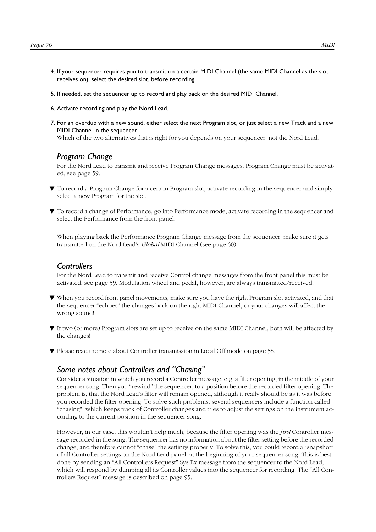- 4. If your sequencer requires you to transmit on a certain MIDI Channel (the same MIDI Channel as the slot receives on), select the desired slot, before recording.
- 5. If needed, set the sequencer up to record and play back on the desired MIDI Channel.
- 6. Activate recording and play the Nord Lead.
- 7. For an overdub with a new sound, either select the next Program slot, or just select a new Track and a new MIDI Channel in the sequencer.

Which of the two alternatives that is right for you depends on your sequencer, not the Nord Lead.

#### *Program Change*

For the Nord Lead to transmit and receive Program Change messages, Program Change must be activated, see [page 59](#page-60-0).

- ▼ To record a Program Change for a certain Program slot, activate recording in the sequencer and simply select a new Program for the slot.
- ▼ To record a change of Performance, go into Performance mode, activate recording in the sequencer and select the Performance from the front panel.

When playing back the Performance Program Change message from the sequencer, make sure it gets transmitted on the Nord Lead's *Global* MIDI Channel (see [page 60](#page-61-0)).

#### *Controllers*

For the Nord Lead to transmit and receive Control change messages from the front panel this must be activated, see [page 59](#page-60-0). Modulation wheel and pedal, however, are always transmitted/received.

- ▼ When you record front panel movements, make sure you have the right Program slot activated, and that the sequencer "echoes" the changes back on the right MIDI Channel, or your changes will affect the wrong sound!
- ▼ If two (or more) Program slots are set up to receive on the same MIDI Channel, both will be affected by the changes!
- ▼ Please read the note about Controller transmission in Local Off mode on [page 58](#page-59-0).

#### *Some notes about Controllers and "Chasing"*

Consider a situation in which you record a Controller message, e.g. a filter opening, in the middle of your sequencer song. Then you "rewind" the sequencer, to a position before the recorded filter opening. The problem is, that the Nord Lead's filter will remain opened, although it really should be as it was before you recorded the filter opening. To solve such problems, several sequencers include a function called "chasing", which keeps track of Controller changes and tries to adjust the settings on the instrument according to the current position in the sequencer song.

However, in our case, this wouldn't help much, because the filter opening was the *first* Controller message recorded in the song. The sequencer has no information about the filter setting before the recorded change, and therefore cannot "chase" the settings properly. To solve this, you could record a "snapshot" of all Controller settings on the Nord Lead panel, at the beginning of your sequencer song. This is best done by sending an "All Controllers Request" Sys Ex message from the sequencer to the Nord Lead, which will respond by dumping all its Controller values into the sequencer for recording. The "All Controllers Request" message is described on [page 95.](#page-96-0)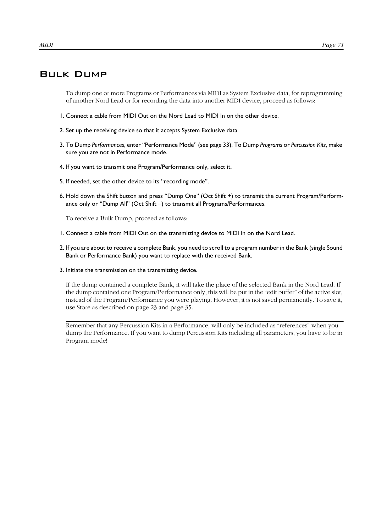#### Bulk Dump

To dump one or more Programs or Performances via MIDI as System Exclusive data, for reprogramming of another Nord Lead or for recording the data into another MIDI device, proceed as follows:

- 1. Connect a cable from MIDI Out on the Nord Lead to MIDI In on the other device.
- 2. Set up the receiving device so that it accepts System Exclusive data.
- 3. To Dump *Performances*, enter "Performance Mode" (see [page 33\)](#page-34-0). To Dump *Programs* or *Percussion Kits*, make sure you are not in Performance mode.
- 4. If you want to transmit one Program/Performance only, select it.
- 5. If needed, set the other device to its "recording mode".
- 6. Hold down the Shift button and press "Dump One" (Oct Shift +) to transmit the current Program/Performance only or "Dump All" (Oct Shift –) to transmit all Programs/Performances.

To receive a Bulk Dump, proceed as follows:

- 1. Connect a cable from MIDI Out on the transmitting device to MIDI In on the Nord Lead.
- 2. If you are about to receive a complete Bank, you need to scroll to a program number in the Bank (single Sound Bank or Performance Bank) you want to replace with the received Bank.
- 3. Initiate the transmission on the transmitting device.

If the dump contained a complete Bank, it will take the place of the selected Bank in the Nord Lead. If the dump contained one Program/Performance only, this will be put in the "edit buffer" of the active slot, instead of the Program/Performance you were playing. However, it is not saved permanently. To save it, use Store as described on [page 23](#page-24-0) and [page 35.](#page-36-0)

Remember that any Percussion Kits in a Performance, will only be included as "references" when you dump the Performance. If you want to dump Percussion Kits including all parameters, you have to be in Program mode!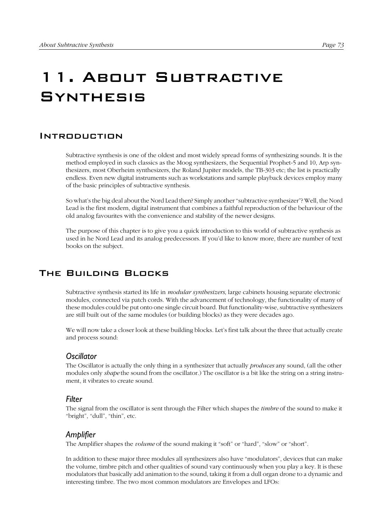# 11. About Subtractive **SYNTHESIS**

#### **INTRODUCTION**

Subtractive synthesis is one of the oldest and most widely spread forms of synthesizing sounds. It is the method employed in such classics as the Moog synthesizers, the Sequential Prophet-5 and 10, Arp synthesizers, most Oberheim synthesizers, the Roland Jupiter models, the TB-303 etc; the list is practically endless. Even new digital instruments such as workstations and sample playback devices employ many of the basic principles of subtractive synthesis.

So what's the big deal about the Nord Lead then? Simply another "subtractive synthesizer"? Well, the Nord Lead is the first modern, digital instrument that combines a faithful reproduction of the behaviour of the old analog favourites with the convenience and stability of the newer designs.

The purpose of this chapter is to give you a quick introduction to this world of subtractive synthesis as used in he Nord Lead and its analog predecessors. If you'd like to know more, there are number of text books on the subject.

## The Building Blocks

Subtractive synthesis started its life in *modular synthesizers*, large cabinets housing separate electronic modules, connected via patch cords. With the advancement of technology, the functionality of many of these modules could be put onto one single circuit board. But functionality-wise, subtractive synthesizers are still built out of the same modules (or building blocks) as they were decades ago.

We will now take a closer look at these building blocks. Let's first talk about the three that actually create and process sound:

#### *Oscillator*

The Oscillator is actually the only thing in a synthesizer that actually *produces* any sound, (all the other modules only *shape* the sound from the oscillator.) The oscillator is a bit like the string on a string instrument, it vibrates to create sound.

#### *Filter*

The signal from the oscillator is sent through the Filter which shapes the *timbre* of the sound to make it "bright", "dull", "thin", etc.

#### *Amplifier*

The Amplifier shapes the *volume* of the sound making it "soft" or "hard", "slow" or "short".

In addition to these major three modules all synthesizers also have "modulators", devices that can make the volume, timbre pitch and other qualities of sound vary continuously when you play a key. It is these modulators that basically add animation to the sound, taking it from a dull organ drone to a dynamic and interesting timbre. The two most common modulators are Envelopes and LFOs: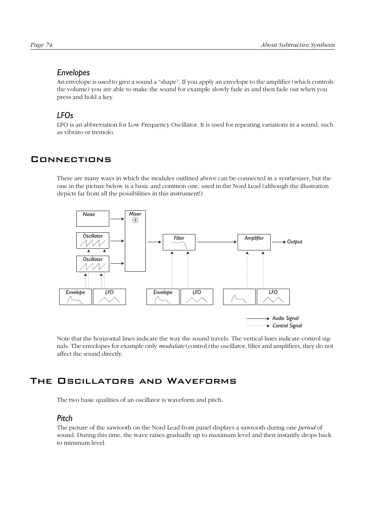## *Envelopes*

An envelope is used to give a sound a "shape". If you apply an envelope to the amplifier (which controls the volume) you are able to make the sound for example slowly fade in and then fade out when you press and hold a key.

## *LFOs*

LFO is an abbreviation for Low Frequency Oscillator. It is used for repeating variations in a sound, such as vibrato or tremolo.

# **CONNECTIONS**

There are many ways in which the modules outlined above can be connected in a synthesizer, but the one in the picture below is a basic and common one, used in the Nord Lead (although the illustration depicts far from all the possibilities in this instrument!)



Note that the horizontal lines indicate the way the sound travels. The vertical lines indicate control signals. The envelopes for example only *modulate* (control*)* the oscillator, filter and amplifiers, they do not affect the sound directly.

# The Oscillators and Waveforms

The two basic qualities of an oscillator is waveform and pitch.

## *Pitch*

The picture of the sawtooth on the Nord Lead front panel displays a sawtooth during one *period* of sound. During this time, the wave raises gradually up to maximum level and then instantly drops back to minimum level.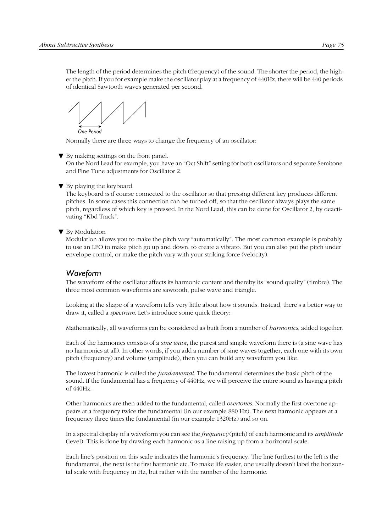The length of the period determines the pitch (frequency) of the sound. The shorter the period, the higher the pitch. If you for example make the oscillator play at a frequency of 440Hz, there will be 440 periods of identical Sawtooth waves generated per second.

*One Period*

Normally there are three ways to change the frequency of an oscillator:

▼ By making settings on the front panel.

On the Nord Lead for example, you have an "Oct Shift" setting for both oscillators and separate Semitone and Fine Tune adjustments for Oscillator 2.

#### ▼ By playing the keyboard.

The keyboard is if course connected to the oscillator so that pressing different key produces different pitches. In some cases this connection can be turned off, so that the oscillator always plays the same pitch, regardless of which key is pressed. In the Nord Lead, this can be done for Oscillator 2, by deactivating "Kbd Track".

#### ▼ By Modulation

Modulation allows you to make the pitch vary "automatically". The most common example is probably to use an LFO to make pitch go up and down, to create a vibrato. But you can also put the pitch under envelope control, or make the pitch vary with your striking force (velocity).

## *Waveform*

The waveform of the oscillator affects its harmonic content and thereby its "sound quality" (timbre). The three most common waveforms are sawtooth, pulse wave and triangle.

Looking at the shape of a waveform tells very little about how it sounds. Instead, there's a better way to draw it, called a *spectrum*. Let's introduce some quick theory:

Mathematically, all waveforms can be considered as built from a number of *harmonics*, added together.

Each of the harmonics consists of a *sine wave*, the purest and simple waveform there is (a sine wave has no harmonics at all). In other words, if you add a number of sine waves together, each one with its own pitch (frequency) and volume (amplitude), then you can build any waveform you like.

The lowest harmonic is called the *fundamental*. The fundamental determines the basic pitch of the sound. If the fundamental has a frequency of 440Hz, we will perceive the entire sound as having a pitch of 440Hz.

Other harmonics are then added to the fundamental, called *overtones*. Normally the first overtone appears at a frequency twice the fundamental (in our example 880 Hz). The next harmonic appears at a frequency three times the fundamental (in our example 1320Hz) and so on.

In a spectral display of a waveform you can see the *frequency* (pitch) of each harmonic and its *amplitude* (level). This is done by drawing each harmonic as a line raising up from a horizontal scale.

Each line's position on this scale indicates the harmonic's frequency. The line furthest to the left is the fundamental, the next is the first harmonic etc. To make life easier, one usually doesn't label the horizontal scale with frequency in Hz, but rather with the number of the harmonic.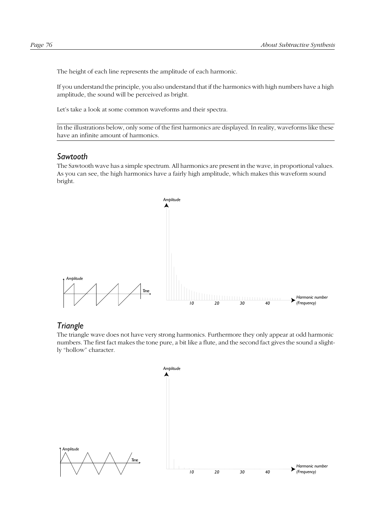The height of each line represents the amplitude of each harmonic.

If you understand the principle, you also understand that if the harmonics with high numbers have a high amplitude, the sound will be perceived as bright.

Let's take a look at some common waveforms and their spectra.

In the illustrations below, only some of the first harmonics are displayed. In reality, waveforms like these have an infinite amount of harmonics.

#### *Sawtooth*

The Sawtooth wave has a simple spectrum. All harmonics are present in the wave, in proportional values. As you can see, the high harmonics have a fairly high amplitude, which makes this waveform sound bright.



#### *Triangle*

The triangle wave does not have very strong harmonics. Furthermore they only appear at odd harmonic numbers. The first fact makes the tone pure, a bit like a flute, and the second fact gives the sound a slightly "hollow" character.

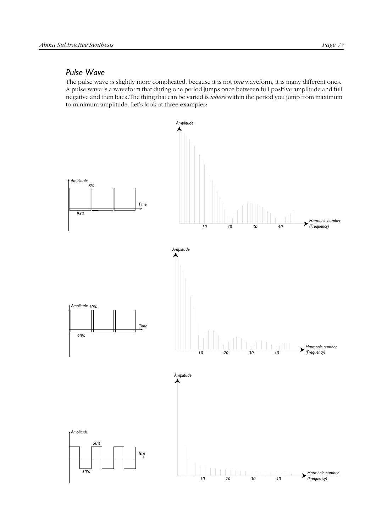#### *Pulse Wave*

The pulse wave is slightly more complicated, because it is not *one* waveform, it is many different ones. A pulse wave is a waveform that during one period jumps once between full positive amplitude and full negative and then back.The thing that can be varied is *where* within the period you jump from maximum to minimum amplitude. Let's look at three examples:

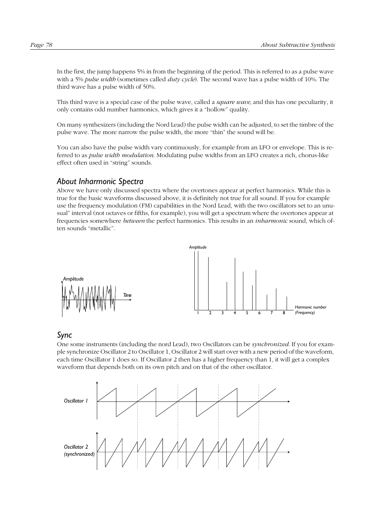In the first, the jump happens 5% in from the beginning of the period. This is referred to as a pulse wave with a 5% *pulse width* (sometimes called *duty cycle*). The second wave has a pulse width of 10%. The third wave has a pulse width of 50%.

This third wave is a special case of the pulse wave, called a *square wave*, and this has one peculiarity, it only contains odd number harmonics, which gives it a "hollow" quality.

On many synthesizers (including the Nord Lead) the pulse width can be adjusted, to set the timbre of the pulse wave. The more narrow the pulse width, the more "thin" the sound will be.

You can also have the pulse width vary continuously, for example from an LFO or envelope. This is referred to as *pulse width modulation*. Modulating pulse widths from an LFO creates a rich, chorus-like effect often used in "string" sounds.

#### *About Inharmonic Spectra*

Above we have only discussed spectra where the overtones appear at perfect harmonics. While this is true for the basic waveforms discussed above, it is definitely not true for all sound. If you for example use the frequency modulation (FM) capabilities in the Nord Lead, with the two oscillators set to an unusual" interval (not octaves or fifths, for example), you will get a spectrum where the overtones appear at frequencies somewhere *between* the perfect harmonics. This results in an *inharmonic* sound, which often sounds "metallic".



#### *Sync*

One some instruments (including the nord Lead), two Oscillators can be *synchronized*. If you for example synchronize Oscillator 2 to Oscillator 1, Oscillator 2 will start over with a new period of the waveform, each time Oscillator 1 does so. If Oscillator 2 then has a higher frequency than 1, it will get a complex waveform that depends both on its own pitch and on that of the other oscillator.

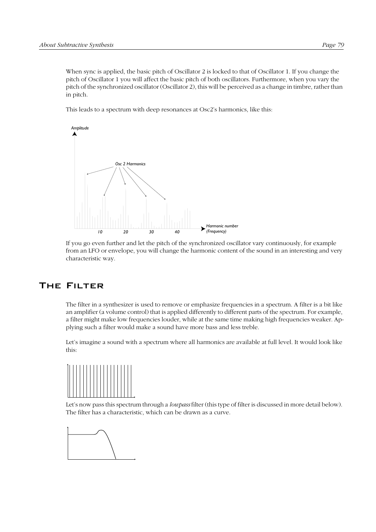When sync is applied, the basic pitch of Oscillator 2 is locked to that of Oscillator 1. If you change the pitch of Oscillator 1 you will affect the basic pitch of both oscillators. Furthermore, when you vary the pitch of the synchronized oscillator (Oscillator 2), this will be perceived as a change in timbre, rather than in pitch.

This leads to a spectrum with deep resonances at Osc2's harmonics, like this:



If you go even further and let the pitch of the synchronized oscillator vary continuously, for example from an LFO or envelope, you will change the harmonic content of the sound in an interesting and very characteristic way.

# The Filter

The filter in a synthesizer is used to remove or emphasize frequencies in a spectrum. A filter is a bit like an amplifier (a volume control) that is applied differently to different parts of the spectrum. For example, a filter might make low frequencies louder, while at the same time making high frequencies weaker. Applying such a filter would make a sound have more bass and less treble.

Let's imagine a sound with a spectrum where all harmonics are available at full level. It would look like this:



Let's now pass this spectrum through a *lowpass* filter (this type of filter is discussed in more detail below). The filter has a characteristic, which can be drawn as a curve.

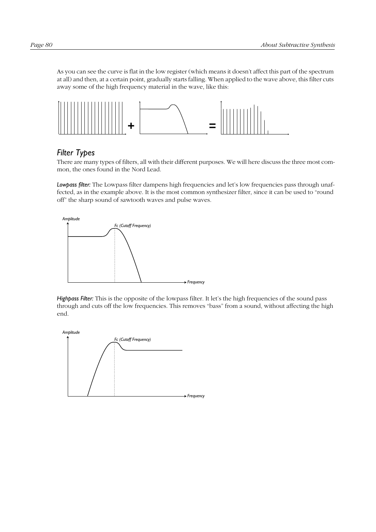As you can see the curve is flat in the low register (which means it doesn't affect this part of the spectrum at all) and then, at a certain point, gradually starts falling. When applied to the wave above, this filter cuts away some of the high frequency material in the wave, like this:



## *Filter Types*

There are many types of filters, all with their different purposes. We will here discuss the three most common, the ones found in the Nord Lead.

*Lowpass filter:* The Lowpass filter dampens high frequencies and let's low frequencies pass through unaffected, as in the example above. It is the most common synthesizer filter, since it can be used to "round off" the sharp sound of sawtooth waves and pulse waves.



*Highpass Filter:* This is the opposite of the lowpass filter. It let's the high frequencies of the sound pass through and cuts off the low frequencies. This removes "bass" from a sound, without affecting the high end.

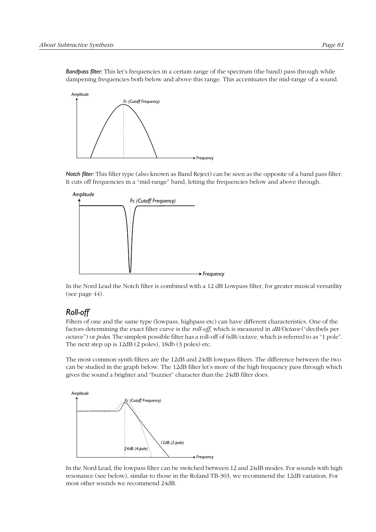

*Notch filter:* This filter type (also known as Band Reject) can be seen as the opposite of a band pass filter. It cuts off frequencies in a "mid-range" band, letting the frequencies below and above through.



In the Nord Lead the Notch filter is combined with a 12 dB Lowpass filter, for greater musical versatility (see [page 44\)](#page-45-0).

## *Roll-off*

Filters of one and the same type (lowpass, highpass etc) can have different characteristics. One of the factors determining the exact filter curve is the *roll-off*, which is measured in *dB/Octave* ("decibels per octave") or *poles*. The simplest possible filter has a roll-off of 6dB/octave, which is referred to as "1 pole". The next step up is 12dB (2 poles), 18db (3 poles) etc.

The most common synth filters are the 12dB and 24dB lowpass filters. The difference between the two can be studied in the graph below. The 12dB filter let's more of the high frequency pass through which gives the sound a brighter and "buzzier" character than the 24dB filter does.



In the Nord Lead, the lowpass filter can be switched between 12 and 24dB modes. For sounds with high resonance (see below), similar to those in the Roland TB-303, we recommend the 12dB variation. For most other sounds we recommend 24dB.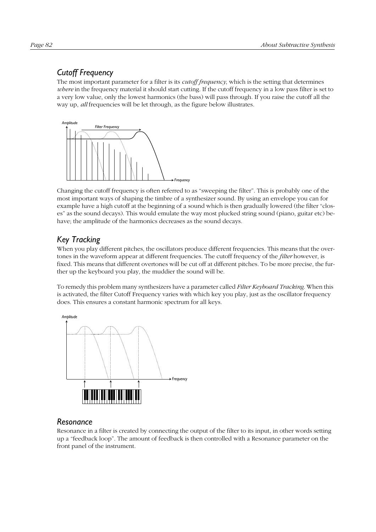# *Cutoff Frequency*

The most important parameter for a filter is its *cutoff frequency*, which is the setting that determines *where* in the frequency material it should start cutting. If the cutoff frequency in a low pass filter is set to a very low value, only the lowest harmonics (the bass) will pass through. If you raise the cutoff all the way up, *all* frequencies will be let through, as the figure below illustrates.



Changing the cutoff frequency is often referred to as "sweeping the filter". This is probably one of the most important ways of shaping the timbre of a synthesizer sound. By using an envelope you can for example have a high cutoff at the beginning of a sound which is then gradually lowered (the filter "closes" as the sound decays). This would emulate the way most plucked string sound (piano, guitar etc) behave; the amplitude of the harmonics decreases as the sound decays.

# *Key Tracking*

When you play different pitches, the oscillators produce different frequencies. This means that the overtones in the waveform appear at different frequencies. The cutoff frequency of the *filter* however, is fixed. This means that different overtones will be cut off at different pitches. To be more precise, the further up the keyboard you play, the muddier the sound will be.

To remedy this problem many synthesizers have a parameter called *Filter Keyboard Tracking*. When this is activated, the filter Cutoff Frequency varies with which key you play, just as the oscillator frequency does. This ensures a constant harmonic spectrum for all keys.



## *Resonance*

Resonance in a filter is created by connecting the output of the filter to its input, in other words setting up a "feedback loop". The amount of feedback is then controlled with a Resonance parameter on the front panel of the instrument.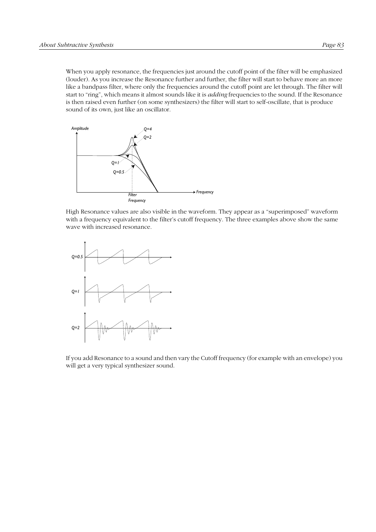When you apply resonance, the frequencies just around the cutoff point of the filter will be emphasized (louder). As you increase the Resonance further and further, the filter will start to behave more an more like a bandpass filter, where only the frequencies around the cutoff point are let through. The filter will start to "ring", which means it almost sounds like it is *adding* frequencies to the sound. If the Resonance is then raised even further (on some synthesizers) the filter will start to self-oscillate, that is produce sound of its own, just like an oscillator.



High Resonance values are also visible in the waveform. They appear as a "superimposed" waveform with a frequency equivalent to the filter's cutoff frequency. The three examples above show the same wave with increased resonance.



If you add Resonance to a sound and then vary the Cutoff frequency (for example with an envelope) you will get a very typical synthesizer sound.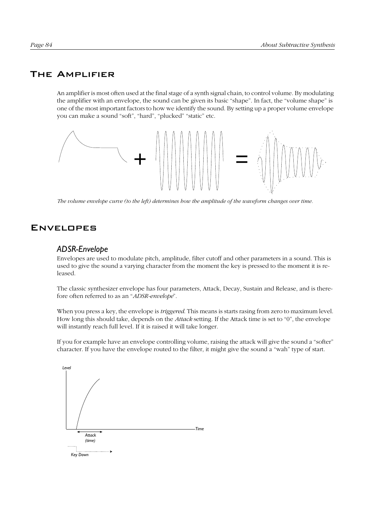## The Amplifier

An amplifier is most often used at the final stage of a synth signal chain, to control volume. By modulating the amplifier with an envelope, the sound can be given its basic "shape". In fact, the "volume shape" is one of the most important factors to how we identify the sound. By setting up a proper volume envelope you can make a sound "soft", "hard", "plucked" "static" etc.



*The volume envelope curve (to the left) determines how the amplitude of the waveform changes over time.*

#### **ENVELOPES**

#### *ADSR-Envelope*

Envelopes are used to modulate pitch, amplitude, filter cutoff and other parameters in a sound. This is used to give the sound a varying character from the moment the key is pressed to the moment it is released.

The classic synthesizer envelope has four parameters, Attack, Decay, Sustain and Release, and is therefore often referred to as an "*ADSR-envelope*".

When you press a key, the envelope is *triggered*. This means is starts rasing from zero to maximum level. How long this should take, depends on the *Attack* setting. If the Attack time is set to "0", the envelope will instantly reach full level. If it is raised it will take longer.

If you for example have an envelope controlling volume, raising the attack will give the sound a "softer" character. If you have the envelope routed to the filter, it might give the sound a "wah" type of start.

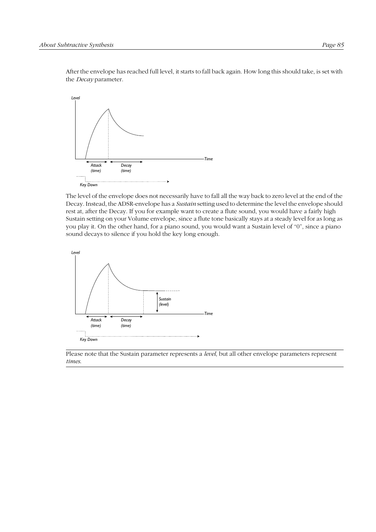After the envelope has reached full level, it starts to fall back again. How long this should take, is set with the *Decay* parameter.



The level of the envelope does not necessarily have to fall all the way back to zero level at the end of the Decay. Instead, the ADSR-envelope has a *Sustain* setting used to determine the level the envelope should rest at, after the Decay. If you for example want to create a flute sound, you would have a fairly high Sustain setting on your Volume envelope, since a flute tone basically stays at a steady level for as long as you play it. On the other hand, for a piano sound, you would want a Sustain level of "0", since a piano sound decays to silence if you hold the key long enough.



Please note that the Sustain parameter represents a *level*, but all other envelope parameters represent *times*.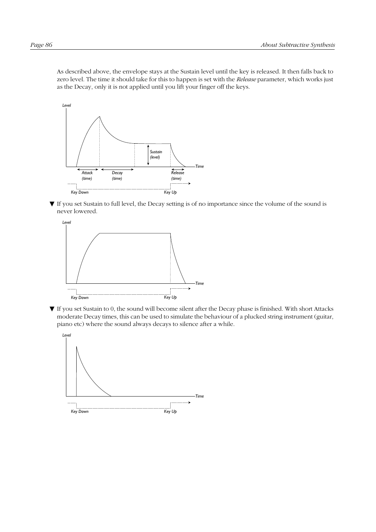As described above, the envelope stays at the Sustain level until the key is released. It then falls back to zero level. The time it should take for this to happen is set with the *Release* parameter, which works just as the Decay, only it is not applied until you lift your finger off the keys.



▼ If you set Sustain to full level, the Decay setting is of no importance since the volume of the sound is never lowered.



▼ If you set Sustain to 0, the sound will become silent after the Decay phase is finished. With short Attacks moderate Decay times, this can be used to simulate the behaviour of a plucked string instrument (guitar, piano etc) where the sound always decays to silence after a while.

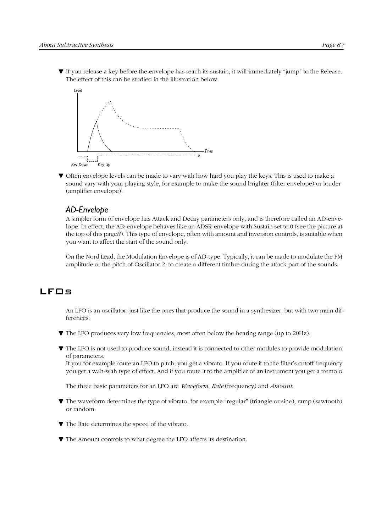▼ If you release a key before the envelope has reach its sustain, it will immediately "jump" to the Release. The effect of this can be studied in the illustration below.



▼ Often envelope levels can be made to vary with how hard you play the keys. This is used to make a sound vary with your playing style, for example to make the sound brighter (filter envelope) or louder (amplifier envelope).

#### *AD-Envelope*

A simpler form of envelope has Attack and Decay parameters only, and is therefore called an AD-envelope. In effect, the AD-envelope behaves like an ADSR-envelope with Sustain set to 0 (see the picture at the top of this page??). This type of envelope, often with amount and inversion controls, is suitable when you want to affect the start of the sound only.

On the Nord Lead, the Modulation Envelope is of AD-type. Typically, it can be made to modulate the FM amplitude or the pitch of Oscillator 2, to create a different timbre during the attack part of the sounds.

## LFOs

An LFO is an oscillator, just like the ones that produce the sound in a synthesizer, but with two main differences:

- ▼ The LFO produces very low frequencies, most often below the hearing range (up to 20Hz).
- ▼ The LFO is not used to produce sound, instead it is connected to other modules to provide modulation of parameters.

If you for example route an LFO to pitch, you get a vibrato. If you route it to the filter's cutoff frequency you get a wah-wah type of effect. And if you route it to the amplifier of an instrument you get a tremolo.

The three basic parameters for an LFO are *Waveform*, *Rate* (frequency) and *Amount*:

- ▼ The waveform determines the type of vibrato, for example "regular" (triangle or sine), ramp (sawtooth) or random.
- ▼ The Rate determines the speed of the vibrato.

▼ The Amount controls to what degree the LFO affects its destination.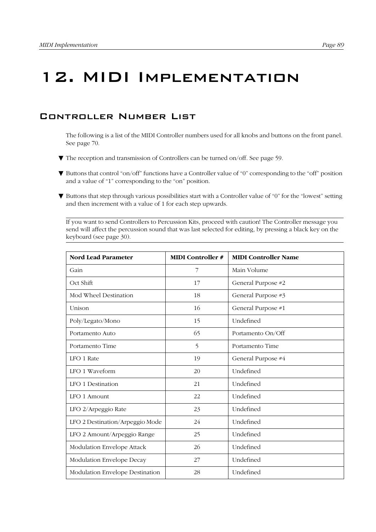# 12. MIDI Implementation

## Controller Number List

The following is a list of the MIDI Controller numbers used for all knobs and buttons on the front panel. See [page 70](#page-71-0).

- ▼ The reception and transmission of Controllers can be turned on/off. See [page 59](#page-60-0).
- ▼ Buttons that control "on/off" functions have a Controller value of "0" corresponding to the "off" position and a value of "1" corresponding to the "on" position.
- ▼ Buttons that step through various possibilities start with a Controller value of "0" for the "lowest" setting and then increment with a value of 1 for each step upwards.

If you want to send Controllers to Percussion Kits, proceed with caution! The Controller message you send will affect the percussion sound that was last selected for editing, by pressing a black key on the keyboard (see [page 30\)](#page-31-0).

| <b>Nord Lead Parameter</b>      | <b>MIDI</b> Controller # | <b>MIDI Controller Name</b> |
|---------------------------------|--------------------------|-----------------------------|
| Gain                            | 7                        | Main Volume                 |
| Oct Shift                       | 17                       | General Purpose #2          |
| Mod Wheel Destination           | 18                       | General Purpose #3          |
| Unison                          | 16                       | General Purpose #1          |
| Poly/Legato/Mono                | 15                       | Undefined                   |
| Portamento Auto                 | 65                       | Portamento On/Off           |
| Portamento Time                 | 5                        | Portamento Time             |
| LFO 1 Rate                      | 19                       | General Purpose #4          |
| LFO 1 Waveform                  | 20                       | Undefined                   |
| LFO 1 Destination               | 21                       | Undefined                   |
| LFO 1 Amount                    | 22                       | Undefined                   |
| LFO 2/Arpeggio Rate             | 23                       | Undefined                   |
| LFO 2 Destination/Arpeggio Mode | 24                       | Undefined                   |
| LFO 2 Amount/Arpeggio Range     | 25                       | Undefined                   |
| Modulation Envelope Attack      | 26                       | Undefined                   |
| Modulation Envelope Decay       | 27                       | Undefined                   |
| Modulation Envelope Destination | 28                       | Undefined                   |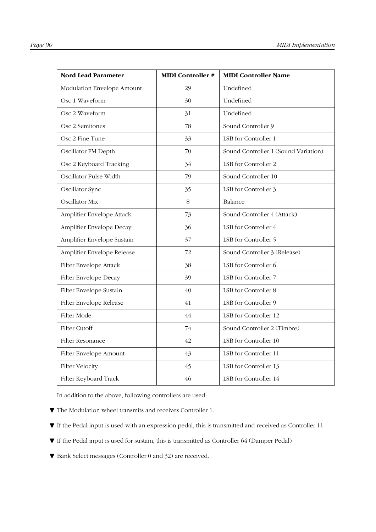| <b>Nord Lead Parameter</b> | <b>MIDI</b> Controller # | <b>MIDI Controller Name</b>          |
|----------------------------|--------------------------|--------------------------------------|
| Modulation Envelope Amount | 29                       | Undefined                            |
| Osc 1 Waveform             | 30                       | Undefined                            |
| Osc 2 Waveform             | 31                       | Undefined                            |
| Osc 2 Semitones            | 78                       | Sound Controller 9                   |
| Osc 2 Fine Tune            | 33                       | LSB for Controller 1                 |
| Oscillator FM Depth        | 70                       | Sound Controller 1 (Sound Variation) |
| Osc 2 Keyboard Tracking    | 34                       | LSB for Controller 2                 |
| Oscillator Pulse Width     | 79                       | Sound Controller 10                  |
| Oscillator Sync            | 35                       | LSB for Controller 3                 |
| Oscillator Mix             | 8                        | Balance                              |
| Amplifier Envelope Attack  | 73                       | Sound Controller 4 (Attack)          |
| Amplifier Envelope Decay   | 36                       | LSB for Controller 4                 |
| Amplifier Envelope Sustain | 37                       | LSB for Controller 5                 |
| Amplifier Envelope Release | 72                       | Sound Controller 3 (Release)         |
| Filter Envelope Attack     | 38                       | LSB for Controller 6                 |
| Filter Envelope Decay      | 39                       | LSB for Controller 7                 |
| Filter Envelope Sustain    | 40                       | LSB for Controller 8                 |
| Filter Envelope Release    | 41                       | LSB for Controller 9                 |
| Filter Mode                | 44                       | LSB for Controller 12                |
| <b>Filter Cutoff</b>       | 74                       | Sound Controller 2 (Timbre)          |
| Filter Resonance           | 42                       | LSB for Controller 10                |
| Filter Envelope Amount     | 43                       | LSB for Controller 11                |
| <b>Filter Velocity</b>     | 45                       | LSB for Controller 13                |
| Filter Keyboard Track      | 46                       | LSB for Controller 14                |

In addition to the above, following controllers are used:

- ▼ The Modulation wheel transmits and receives Controller 1.
- ▼ If the Pedal input is used with an expression pedal, this is transmitted and received as Controller 11.
- ▼ If the Pedal input is used for sustain, this is transmitted as Controller 64 (Damper Pedal)
- ▼ Bank Select messages (Controller 0 and 32) are received.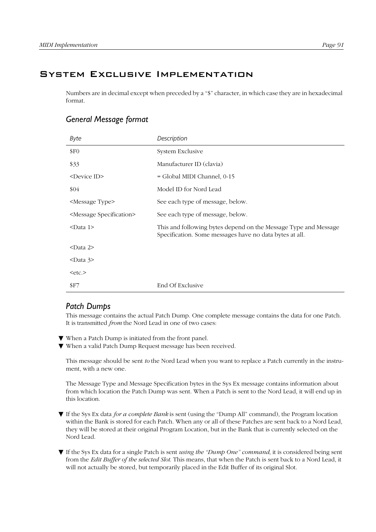## System Exclusive Implementation

Numbers are in decimal except when preceded by a "\$" character, in which case they are in hexadecimal format.

## *General Message format*

| Byte                                 | Description                                                                                                                |
|--------------------------------------|----------------------------------------------------------------------------------------------------------------------------|
| \$F <sub>0</sub>                     | System Exclusive                                                                                                           |
| \$33                                 | Manufacturer ID (clavia)                                                                                                   |
| <device id=""></device>              | = Global MIDI Channel, 0-15                                                                                                |
| \$04                                 | Model ID for Nord Lead                                                                                                     |
| <message type=""></message>          | See each type of message, below.                                                                                           |
| <message specification=""></message> | See each type of message, below.                                                                                           |
| $<$ Data 1>                          | This and following bytes depend on the Message Type and Message<br>Specification. Some messages have no data bytes at all. |
| $<$ Data 2>                          |                                                                                                                            |
| $<$ Data 3>                          |                                                                                                                            |
| $<$ etc. $>$                         |                                                                                                                            |
| \$F7                                 | End Of Exclusive                                                                                                           |

#### *Patch Dumps*

This message contains the actual Patch Dump. One complete message contains the data for one Patch. It is transmitted *from* the Nord Lead in one of two cases:

- ▼ When a Patch Dump is initiated from the front panel.
- ▼ When a valid Patch Dump Request message has been received.

This message should be sent *to* the Nord Lead when you want to replace a Patch currently in the instrument, with a new one.

The Message Type and Message Specification bytes in the Sys Ex message contains information about from which location the Patch Dump was sent. When a Patch is sent to the Nord Lead, it will end up in this location.

- ▼ If the Sys Ex data *for a complete Bank* is sent (using the "Dump All" command), the Program location within the Bank is stored for each Patch. When any or all of these Patches are sent back to a Nord Lead, they will be stored at their original Program Location, but in the Bank that is currently selected on the Nord Lead.
- ▼ If the Sys Ex data for a single Patch is sent *using the "Dump One" command*, it is considered being sent from the *Edit Buffer of the selected Slot*. This means, that when the Patch is sent back to a Nord Lead, it will not actually be stored, but temporarily placed in the Edit Buffer of its original Slot.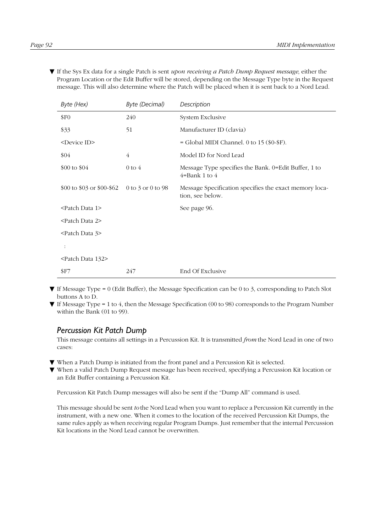▼ If the Sys Ex data for a single Patch is sent *upon receiving a Patch Dump Request message*, either the Program Location or the Edit Buffer will be stored, depending on the Message Type byte in the Request message. This will also determine where the Patch will be placed when it is sent back to a Nord Lead.

| Byte (Hex)                     | <b>Byte (Decimal)</b>     | Description                                                                |
|--------------------------------|---------------------------|----------------------------------------------------------------------------|
| \$F <sub>0</sub>               | 240                       | System Exclusive                                                           |
| \$33                           | 51                        | Manufacturer ID (clavia)                                                   |
| <device id=""></device>        |                           | = Global MIDI Channel. 0 to 15 (\$0-\$F).                                  |
| \$04                           | 4                         | Model ID for Nord Lead                                                     |
| \$00 to \$04                   | $0$ to $4$                | Message Type specifies the Bank. 0=Edit Buffer, 1 to<br>$4 =$ Bank 1 to 4  |
| \$00 to \$03 or \$00-\$62      | $0$ to $3$ or $0$ to $98$ | Message Specification specifies the exact memory loca-<br>tion, see below. |
| <patch 1="" data=""></patch>   |                           | See page 96.                                                               |
| <patch 2="" data=""></patch>   |                           |                                                                            |
| <patch 3="" data=""></patch>   |                           |                                                                            |
|                                |                           |                                                                            |
| <patch 132="" data=""></patch> |                           |                                                                            |
| <b>SF7</b>                     | 247                       | End Of Exclusive                                                           |

- $\blacktriangledown$  If Message Type = 0 (Edit Buffer), the Message Specification can be 0 to 3, corresponding to Patch Slot buttons A to D.
- ▼ If Message Type = 1 to 4, then the Message Specification (00 to 98) corresponds to the Program Number within the Bank (01 to 99).

#### *Percussion Kit Patch Dump*

This message contains all settings in a Percussion Kit. It is transmitted *from* the Nord Lead in one of two cases:

- ▼ When a Patch Dump is initiated from the front panel and a Percussion Kit is selected.
- ▼ When a valid Patch Dump Request message has been received, specifying a Percussion Kit location or an Edit Buffer containing a Percussion Kit.

Percussion Kit Patch Dump messages will also be sent if the "Dump All" command is used.

This message should be sent *to* the Nord Lead when you want to replace a Percussion Kit currently in the instrument, with a new one. When it comes to the location of the received Percussion Kit Dumps, the same rules apply as when receiving regular Program Dumps. Just remember that the internal Percussion Kit locations in the Nord Lead cannot be overwritten.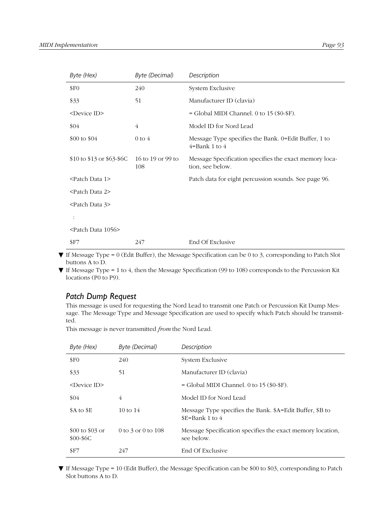| Byte (Hex)                      | <b>Byte (Decimal)</b>    | Description                                                                 |
|---------------------------------|--------------------------|-----------------------------------------------------------------------------|
| \$F <sub>0</sub>                | 240                      | System Exclusive                                                            |
| \$33                            | 51                       | Manufacturer ID (clavia)                                                    |
| <device id=""></device>         |                          | $=$ Global MIDI Channel. 0 to 15 (\$0-\$F).                                 |
| \$04                            | $\overline{4}$           | Model ID for Nord Lead                                                      |
| \$00 to $$04$                   | $0$ to $4$               | Message Type specifies the Bank. 0=Edit Buffer, 1 to<br>$4 = Bank 1$ to $4$ |
| \$10 to \$13 or \$63-\$6C       | 16 to 19 or 99 to<br>108 | Message Specification specifies the exact memory loca-<br>tion, see below.  |
| <patch 1="" data=""></patch>    |                          | Patch data for eight percussion sounds. See page 96.                        |
| <patch 2="" data=""></patch>    |                          |                                                                             |
| <patch 3="" data=""></patch>    |                          |                                                                             |
|                                 |                          |                                                                             |
| <patch 1056="" data=""></patch> |                          |                                                                             |
| \$F7                            | 247                      | End Of Exclusive                                                            |

- ▼ If Message Type = 0 (Edit Buffer), the Message Specification can be 0 to 3, corresponding to Patch Slot buttons A to D.
- $\P$  If Message Type = 1 to 4, then the Message Specification (99 to 108) corresponds to the Percussion Kit locations (P0 to P9).

#### *Patch Dump Request*

This message is used for requesting the Nord Lead to transmit one Patch or Percussion Kit Dump Message. The Message Type and Message Specification are used to specify which Patch should be transmitted.

This message is never transmitted *from* the Nord Lead.

| Byte (Hex)                     | <b>Byte (Decimal)</b> | Description                                                                 |
|--------------------------------|-----------------------|-----------------------------------------------------------------------------|
| \$F <sub>0</sub>               | 240                   | System Exclusive                                                            |
| \$33                           | 51                    | Manufacturer ID (clavia)                                                    |
| $<$ Device ID $>$              |                       | $=$ Global MIDI Channel. 0 to 15 (\$0-\$F).                                 |
| \$04                           | 4                     | Model ID for Nord Lead                                                      |
| \$A to \$E                     | $10 \text{ to } 14$   | Message Type specifies the Bank. \$A=Edit Buffer, \$B to<br>$E=Bank 1$ to 4 |
| $$00$ to $$03$ or<br>$$00-$6C$ | 0 to 3 or 0 to $108$  | Message Specification specifies the exact memory location,<br>see below.    |
| S <sub>F7</sub>                | 247                   | End Of Exclusive                                                            |

▼ If Message Type = 10 (Edit Buffer), the Message Specification can be \$00 to \$03, corresponding to Patch Slot buttons A to D.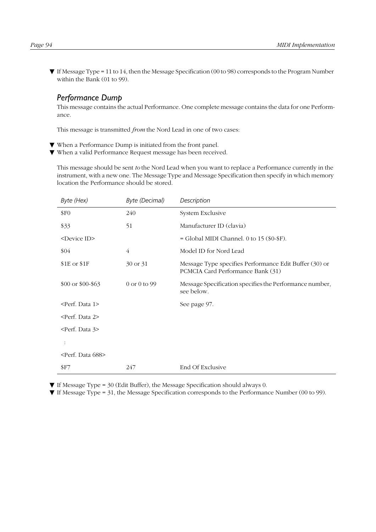$\Psi$  If Message Type = 11 to 14, then the Message Specification (00 to 98) corresponds to the Program Number within the Bank (01 to 99).

#### *Performance Dump*

This message contains the actual Performance. One complete message contains the data for one Performance.

This message is transmitted *from* the Nord Lead in one of two cases:

- ▼ When a Performance Dump is initiated from the front panel.
- ▼ When a valid Performance Request message has been received.

This message should be sent *to* the Nord Lead when you want to replace a Performance currently in the instrument, with a new one. The Message Type and Message Specification then specify in which memory location the Performance should be stored.

| Byte (Hex)                     | <b>Byte (Decimal)</b> | Description                                                                                 |
|--------------------------------|-----------------------|---------------------------------------------------------------------------------------------|
| \$F0                           | 240                   | System Exclusive                                                                            |
| \$33                           | 51                    | Manufacturer ID (clavia)                                                                    |
| <device id=""></device>        |                       | = Global MIDI Channel. 0 to 15 (\$0-\$F).                                                   |
| \$04                           | 4                     | Model ID for Nord Lead                                                                      |
| \$1E or \$1F                   | 30 or 31              | Message Type specifies Performance Edit Buffer (30) or<br>PCMCIA Card Performance Bank (31) |
| \$00 or \$00-\$63              | 0 or 0 to 99          | Message Specification specifies the Performance number,<br>see below.                       |
| <perf. 1="" data=""></perf.>   |                       | See page 97.                                                                                |
| <perf. 2="" data=""></perf.>   |                       |                                                                                             |
| <perf. 3="" data=""></perf.>   |                       |                                                                                             |
|                                |                       |                                                                                             |
| <perf. 688="" data=""></perf.> |                       |                                                                                             |
| <b>SF7</b>                     | 247                   | End Of Exclusive                                                                            |

▼ If Message Type = 30 (Edit Buffer), the Message Specification should always 0.

▼ If Message Type = 31, the Message Specification corresponds to the Performance Number (00 to 99).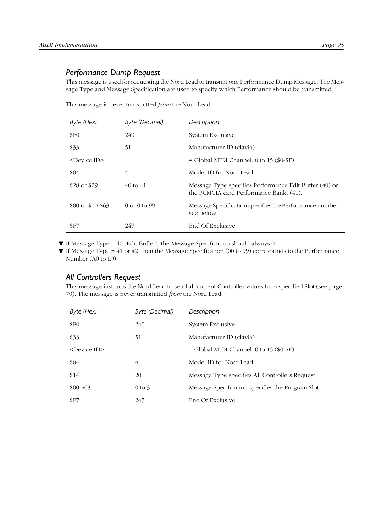#### *Performance Dump Request*

This message is used for requesting the Nord Lead to transmit one Performance Dump Message. The Message Type and Message Specification are used to specify which Performance should be transmitted.

This message is never transmitted *from* the Nord Lead.

| Byte (Hex)                 | <b>Byte (Decimal)</b> | Description                                                                                       |
|----------------------------|-----------------------|---------------------------------------------------------------------------------------------------|
| \$F <sub>0</sub>           | 240                   | System Exclusive                                                                                  |
| \$33                       | 51                    | Manufacturer ID (clavia)                                                                          |
| $\leq$ Device ID $\geq$    |                       | $=$ Global MIDI Channel. 0 to 15 (\$0-\$F).                                                       |
| \$04                       | 4                     | Model ID for Nord Lead                                                                            |
| \$28 or \$29               | $40 \text{ to } 41$   | Message Type specifies Performance Edit Buffer (40) or<br>the PCMCIA card Performance Bank. (41). |
| $$00 \text{ or } $00$-$63$ | $0$ or $0$ to $99$    | Message Specification specifies the Performance number,<br>see below.                             |
| S <sub>F7</sub>            | 247                   | End Of Exclusive                                                                                  |

 $\blacktriangledown$  If Message Type = 40 (Edit Buffer), the Message Specification should always 0.

▼ If Message Type = 41 or 42, then the Message Specification (00 to 99) corresponds to the Performance Number (A0 to L9).

#### *All Controllers Request*

This message instructs the Nord Lead to send all current Controller values for a specified Slot (see [page](#page-71-0)  [70](#page-71-0)). The message is never transmitted *from* the Nord Lead.

| Byte (Hex)                    | Byte (Decimal) | Description                                       |
|-------------------------------|----------------|---------------------------------------------------|
| \$F <sub>0</sub>              | 240            | System Exclusive                                  |
| \$33                          | 51             | Manufacturer ID (clavia)                          |
| $\langle$ Device ID $\rangle$ |                | $=$ Global MIDI Channel. 0 to 15 (\$0-\$F).       |
| \$04                          | 4              | Model ID for Nord Lead                            |
| \$14                          | 20             | Message Type specifies All Controllers Request.   |
| $$00 - $03$                   | $0$ to $3$     | Message Specification specifies the Program Slot. |
| SF7                           | 247            | End Of Exclusive                                  |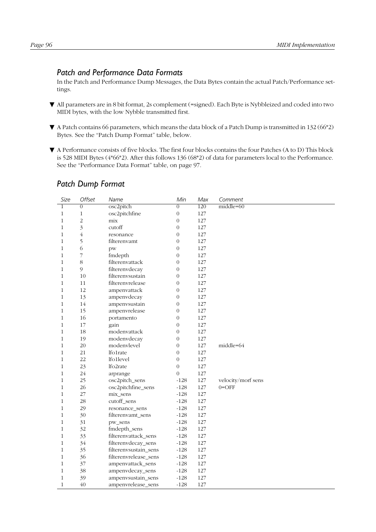## <span id="page-97-0"></span>*Patch and Performance Data Formats*

In the Patch and Performance Dump Messages, the Data Bytes contain the actual Patch/Performance settings.

- ▼ All parameters are in 8 bit format, 2s complement (=signed). Each Byte is Nybbleized and coded into two MIDI bytes, with the low Nybble transmitted first.
- ▼ A Patch contains 66 parameters, which means the data block of a Patch Dump is transmitted in 132 (66\*2) Bytes. See the "Patch Dump Format" table, below.
- ▼ A Performance consists of five blocks. The first four blocks contains the four Patches (A to D) This block is 528 MIDI Bytes (4\*66\*2). After this follows 136 (68\*2) of data for parameters local to the Performance. See the "Performance Data Format" table, on [page 97](#page-98-0).

| Size           | Offset                   | Name                  | Min              | Max     | Comment            |
|----------------|--------------------------|-----------------------|------------------|---------|--------------------|
| $\overline{1}$ | $\overline{0}$           | osc2pitch             | $\overline{0}$   | 120     | $middle=60$        |
| 1              | $\mathbf{1}$             | osc2pitchfine         | $\boldsymbol{0}$ | 127     |                    |
| $\mathbf{1}$   | $\overline{c}$           | mix                   | $\boldsymbol{0}$ | 127     |                    |
| $\mathbf{1}$   | $\overline{\mathbf{3}}$  | cutoff                | $\boldsymbol{0}$ | 127     |                    |
| $\mathbf{1}$   | $\overline{4}$           | resonance             | $\boldsymbol{0}$ | 127     |                    |
| $\mathbf{1}$   | 5                        | filterenvamt          | $\overline{0}$   | 127     |                    |
| $\mathbf{1}$   | $\sqrt{6}$               | pw                    | $\boldsymbol{0}$ | 127     |                    |
| $\mathbf{1}$   | $\overline{\phantom{a}}$ | fmdepth               | $\boldsymbol{0}$ | 127     |                    |
| $\mathbf{1}$   | $8\,$                    | filterenvattack       | $\boldsymbol{0}$ | 127     |                    |
| $\mathbf{1}$   | 9                        | filterenvdecay        | $\mathbf{0}$     | 127     |                    |
| $\mathbf{1}$   | 10                       | filterenvsustain      | $\overline{0}$   | 127     |                    |
| $\mathbf{1}$   | 11                       | filterenvrelease      | $\overline{0}$   | 127     |                    |
| $\mathbf{1}$   | 12                       | ampenvattack          | $\mathbf{0}$     | 127     |                    |
| $\mathbf{1}$   | 13                       | ampenvdecay           | $\overline{0}$   | 127     |                    |
| $\mathbf{1}$   | 14                       | ampenvsustain         | $\overline{0}$   | 127     |                    |
| $\mathbf{1}$   | 15                       | ampenvrelease         | $\overline{0}$   | 127     |                    |
| $\mathbf{1}$   | 16                       | portamento            | $\overline{0}$   | 127     |                    |
| $\mathbf{1}$   | 17                       | gain                  | $\mathbf{0}$     | 127     |                    |
| $\mathbf{1}$   | 18                       | modenvattack          | $\overline{0}$   | 127     |                    |
| $\mathbf{1}$   | 19                       | modenvdecay           | $\boldsymbol{0}$ | 127     |                    |
| $\mathbf{1}$   | 20                       | modenvlevel           | $\overline{0}$   | 127     | middle=64          |
| $\mathbf{1}$   | 21                       | lfo1rate              | $\mathbf{0}$     | 127     |                    |
| 1              | 22                       | lfo1level             | $\overline{0}$   | 127     |                    |
| $\mathbf{1}$   | 23                       | lfo2rate              | $\overline{0}$   | 127     |                    |
| $\mathbf{1}$   | 24                       | arprange              | $\overline{0}$   | 127     |                    |
| 1              | 25                       | osc2pitch_sens        | $-128$           | 127     | velocity/morf sens |
| 1              | 26                       | osc2pitchfine_sens    | $-128$           | 127     | $0 =$ OFF          |
| $\mathbf{1}$   | 27                       | mix_sens              | $-128$           | 127     |                    |
| $\mathbf{1}$   | 28                       | cutoff_sens           | $-128$           | 127     |                    |
| $\mathbf{1}$   | 29                       | resonance sens        | $-128$           | 127     |                    |
| 1              | 30                       | filterenvamt sens     | $-128$           | 127     |                    |
| $\mathbf{1}$   | 31                       | pw_sens               | $-128$           | 127     |                    |
| $\mathbf{1}$   | 32                       | fmdepth_sens          | $-128$           | 127     |                    |
| $\mathbf{1}$   | 33                       | filterenvattack_sens  | $-128$           | 127     |                    |
| 1              | 34                       | filterenvdecay_sens   | $-128$           | 127     |                    |
| 1              | 35                       | filterenvsustain_sens | $-128$           | 127     |                    |
| $\mathbf{1}$   | 36                       | filterenvrelease_sens | $-128$           | 127     |                    |
| $\mathbf{1}$   | 37                       | ampenvattack_sens     | $-128$           | 127     |                    |
| $\mathbf{1}$   | 38                       | ampenvdecay_sens      | $-128$           | $127\,$ |                    |
| $\mathbf{1}$   | 39                       | ampenvsustain_sens    | $-128$           | 127     |                    |
| $\mathbf{1}$   | 40                       | ampenvrelease_sens    | $-128$           | 127     |                    |

## *Patch Dump Format*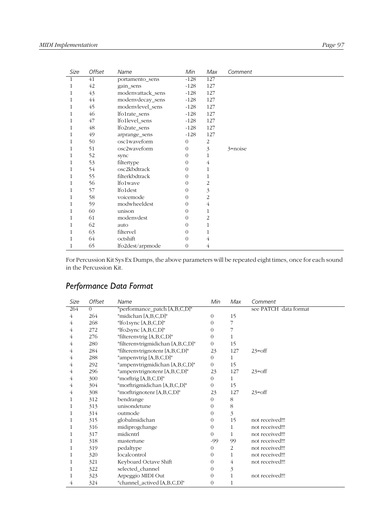<span id="page-98-0"></span>

| Size         | Offset | Name              | Min            | Max            | Comment    |
|--------------|--------|-------------------|----------------|----------------|------------|
| $\mathbf{1}$ | 41     | portamento_sens   | $-128$         | 127            |            |
| 1            | 42     | gain_sens         | $-128$         | 127            |            |
| 1            | 43     | modenvattack_sens | $-128$         | 127            |            |
| 1            | 44     | modenvdecay_sens  | $-128$         | 127            |            |
| 1            | 45     | modenvlevel_sens  | $-128$         | 127            |            |
| 1            | 46     | lfo1rate_sens     | $-128$         | 127            |            |
| 1            | 47     | lfo1level_sens    | $-128$         | 127            |            |
| 1            | 48     | lfo2rate_sens     | $-128$         | 127            |            |
| 1            | 49     | arprange_sens     | $-128$         | 127            |            |
| 1            | 50     | osc1waveform      | $\theta$       | 2              |            |
| 1            | 51     | osc2waveform      | 0              | 3              | $3$ =noise |
| 1            | 52     | sync              | 0              | 1              |            |
| 1            | 53     | filtertype        | 0              | 4              |            |
| 1            | 54     | osc2kbdtrack      | 0              | 1              |            |
| 1            | 55     | filterkbdtrack    | $\Omega$       | 1              |            |
| 1            | 56     | lfo1wave          | 0              | 2              |            |
| 1            | 57     | lfo1dest          | 0              | 3              |            |
| 1            | 58     | voicemode         | 0              | 2              |            |
| 1            | 59     | modwheeldest      | $\theta$       | $\overline{4}$ |            |
| 1            | 60     | unison            | 0              | 1              |            |
| 1            | 61     | modenvdest        | $\overline{0}$ | 2              |            |
| 1            | 62     | auto              | 0              | 1              |            |
| 1            | 63     | filtervel         | 0              | 1              |            |
| 1            | 64     | octshift          | $\Omega$       | 4              |            |
| 1            | 65     | lfo2dest/arpmode  | $\theta$       | 4              |            |

For Percussion Kit Sys Ex Dumps, the above parameters will be repeated eight times, once for each sound in the Percussion Kit.

# *Performance Data Format*

| Size | Offset   | Name                              | Min            | Max     | Comment               |
|------|----------|-----------------------------------|----------------|---------|-----------------------|
| 264  | $\Omega$ | "performance_patch [A,B,C,D]"     |                |         | see PATCH data format |
| 4    | 264      | "midichan [A,B,C,D]"              | $\Omega$       | 15      |                       |
| 4    | 268      | "lfo1sync $[A,B,C,D]$ "           | $\theta$       | 7       |                       |
| 4    | 272      | "lfo2sync [A,B,C,D]"              | $\theta$       | 7       |                       |
| 4    | 276      | "filterenvtrig [A,B,C,D]"         | $\theta$       | 1       |                       |
| 4    | 280      | "filterenvtrigmidichan [A,B,C,D]" | $\overline{0}$ | 15      |                       |
| 4    | 284      | "filterenvtrignotenr [A,B,C,D]"   | 23             | 127     | $23 = \text{off}$     |
| 4    | 288      | "ampenvtrig [A,B,C,D]"            | 0              | 1       |                       |
| 4    | 292      | "ampenvtrigmidichan [A,B,C,D]"    | $\overline{0}$ | 15      |                       |
| 4    | 296      | "ampenvtrignotenr [A,B,C,D]"      | 23             | 127     | $23 = \text{off}$     |
| 4    | 300      | "morftrig [A,B,C,D]"              | $\theta$       | 1       |                       |
| 4    | 304      | "morftrigmidichan [A,B,C,D]"      | $\overline{0}$ | 15      |                       |
| 4    | 308      | "morftrignotenr [A,B,C,D]"        | 23             | 127     | $23 = off$            |
| 1    | 312      | bendrange                         | $\theta$       | $\,8\,$ |                       |
| 1    | 313      | unisondetune                      | $\theta$       | 8       |                       |
| 1    | 314      | outmode                           | $\theta$       | 3       |                       |
| 1    | 315      | globalmidichan                    | 0              | 15      | not received!!!       |
| 1    | 316      | midiprogchange                    | $\Omega$       | 1       | not received!!!       |
| 1    | 317      | midicntrl                         | $\theta$       | 1       | not received!!!       |
| 1    | 318      | mastertune                        | $-99$          | 99      | not received!!!       |
| 1    | 319      | pedaltype                         | $\theta$       | 2       | not received!!!       |
| 1    | 320      | localcontrol                      | $\Omega$       | 1       | not received!!!       |
| 1    | 321      | Keyboard Octave Shift             | $\theta$       | 4       | not received!!!       |
| 1    | 322      | selected_channel                  | $\theta$       | 3       |                       |
| 1    | 323      | Arpeggio MIDI Out                 | $\theta$       | 1       | not received!!!       |
| 4    | 324      | "channel_actived [A,B,C,D]"       | 0              | 1       |                       |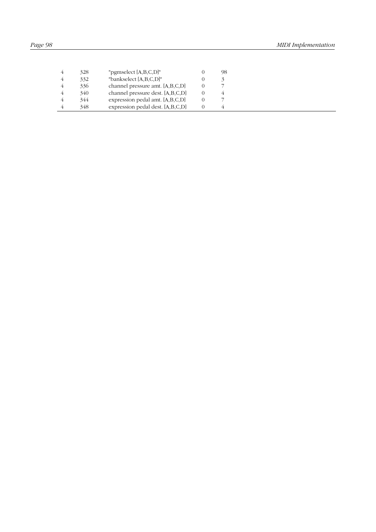| 328 | "pgmselect $[A,B,C,D]'$ "        | 98 |  |
|-----|----------------------------------|----|--|
| 332 | "bankselect [A,B,C,D]"           |    |  |
| 336 | channel pressure amt. [A,B,C,D]  |    |  |
| 340 | channel pressure dest. [A,B,C,D] |    |  |
| 344 | expression pedal amt. [A,B,C,D]  |    |  |
| 348 | expression pedal dest. [A,B,C,D] |    |  |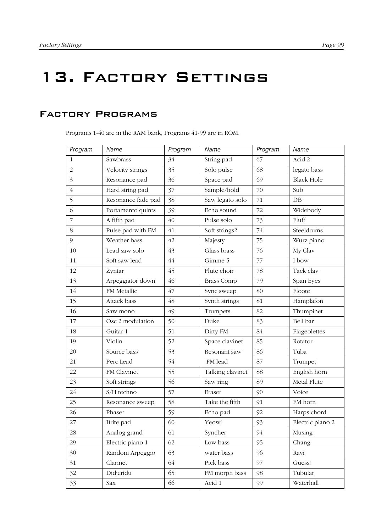# 13. Factory Settings

## Factory Programs

Programs 1-40 are in the RAM bank, Programs 41-99 are in ROM.

| Program        | Name               | Program | Name              | Program | Name              |
|----------------|--------------------|---------|-------------------|---------|-------------------|
| $\mathbf{1}$   | Sawbrass           | 34      | String pad        | 67      | Acid 2            |
| $\overline{2}$ | Velocity strings   | 35      | Solo pulse        | 68      | legato bass       |
| $\mathfrak{Z}$ | Resonance pad      | 36      | Space pad         | 69      | <b>Black Hole</b> |
| $\sqrt{4}$     | Hard string pad    | 37      | Sample/hold       | 70      | Sub               |
| 5              | Resonance fade pad | 38      | Saw legato solo   | 71      | DB                |
| 6              | Portamento quints  | 39      | Echo sound        | 72      | Widebody          |
| $\overline{7}$ | A fifth pad        | 40      | Pulse solo        | 73      | Fluff             |
| 8              | Pulse pad with FM  | 41      | Soft strings2     | 74      | Steeldrums        |
| 9              | Weather bass       | 42      | Majesty           | 75      | Wurz piano        |
| 10             | Lead saw solo      | 43      | Glass brass       | 76      | My Clav           |
| 11             | Soft saw lead      | $44$    | Gimme 5           | 77      | I bow             |
| 12             | Zyntar             | 45      | Flute choir       | 78      | Tack clav         |
| 13             | Arpeggiator down   | 46      | <b>Brass Comp</b> | 79      | Span Eyes         |
| 14             | FM Metallic        | 47      | Sync sweep        | 80      | Floote            |
| 15             | Attack bass        | 48      | Synth strings     | 81      | Hamplafon         |
| 16             | Saw mono           | 49      | Trumpets          | 82      | Thumpinet         |
| 17             | Osc 2 modulation   | 50      | Duke              | 83      | Bell bar          |
| 18             | Guitar 1           | 51      | Dirty FM          | 84      | Flageolettes      |
| 19             | Violin             | 52      | Space clavinet    | 85      | Rotator           |
| 20             | Source bass        | 53      | Resonant saw      | 86      | Tuba              |
| 21             | Perc Lead          | 54      | FM lead           | 87      | Trumpet           |
| 22             | FM Clavinet        | 55      | Talking clavinet  | 88      | English horn      |
| 23             | Soft strings       | 56      | Saw ring          | 89      | Metal Flute       |
| 24             | S/H techno         | 57      | Eraser            | 90      | Voice             |
| 25             | Resonance sweep    | 58      | Take the fifth    | 91      | FM horn           |
| 26             | Phaser             | 59      | Echo pad          | 92      | Harpsichord       |
| 27             | Brite pad          | 60      | Yeow!             | 93      | Electric piano 2  |
| 28             | Analog grand       | 61      | Syncher           | 94      | Musing            |
| 29             | Electric piano 1   | 62      | Low bass          | 95      | Chang             |
| 30             | Random Arpeggio    | 63      | water bass        | 96      | Ravi              |
| 31             | Clarinet           | 64      | Pick bass         | 97      | Guess!            |
| 32             | Didjeridu          | 65      | FM morph bass     | 98      | Tubular           |
| 33             | Sax                | 66      | Acid 1            | 99      | Waterhall         |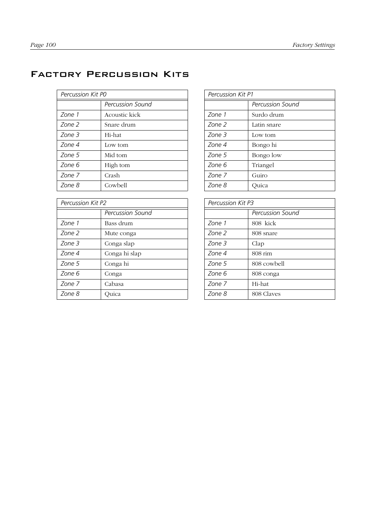# Factory Percussion Kits

| Percussion Kit PO |                  | <b>Percussion Kit P1</b> |              |
|-------------------|------------------|--------------------------|--------------|
|                   | Percussion Sound |                          | Percussion 9 |
| Zone 1            | Acoustic kick    | Zone 1                   | Surdo drum   |
| Zone 2            | Snare drum       | Zone 2                   | Latin snare  |
| Zone 3            | Hi-hat           | Zone 3                   | Low tom      |
| Zone 4            | Low tom          | Zone 4                   | Bongo hi     |
| Zone 5            | Mid tom          | Zone 5                   | Bongo low    |
| Zone 6            | High tom         | Zone 6                   | Triangel     |
| Zone 7            | Crash            | Zone 7                   | Guiro        |
| Zone 8            | Cowbell          | Zone 8                   | Quica        |

| Percussion Kit P2 |                  | Percussion Kit P3 |              |
|-------------------|------------------|-------------------|--------------|
|                   | Percussion Sound |                   | Percussion S |
| Zone 1            | Bass drum        | Zone 1            | 808 kick     |
| Zone 2            | Mute conga       | Zone 2            | 808 snare    |
| Zone 3            | Conga slap       | Zone 3            | Clap         |
| Zone 4            | Conga hi slap    | Zone 4            | 808 rim      |
| Zone 5            | Conga hi         | Zone 5            | 808 cowbell  |
| Zone 6            | Conga            | Zone 6            | 808 conga    |
| Zone 7            | Cabasa           | Zone 7            | Hi-hat       |
| Zone 8            | Ouica            | Zone 8            | 808 Claves   |

|                  | Percussion Kit P1 |                  |
|------------------|-------------------|------------------|
| Percussion Sound |                   | Percussion Sound |
| Acoustic kick    | Zone 1            | Surdo drum       |
| Snare drum       | Zone 2            | Latin snare      |
| Hi-hat           | Zone 3            | Low tom          |
| Low tom          | Zone 4            | Bongo hi         |
| Mid tom          | Zone 5            | Bongo low        |
| High tom         | Zone 6            | Triangel         |
| Crash            | Zone 7            | Guiro            |
| Cowbell          | Zone 8            | Quica            |

|                  | Percussion Kit P3 |                   |  |
|------------------|-------------------|-------------------|--|
| Percussion Sound |                   | Percussion Sound  |  |
| Bass drum        | Zone 1            | 808 kick          |  |
| Mute conga       | Zone 2            | 808 snare         |  |
| Conga slap       | Zone 3            | Clap              |  |
| Conga hi slap    | Zone 4            | $808 \text{ rim}$ |  |
| Conga hi         | Zone 5            | 808 cowbell       |  |
| Conga            | Zone 6            | 808 conga         |  |
| Cabasa           | Zone 7            | Hi-hat            |  |
| Quica            | Zone 8            | 808 Claves        |  |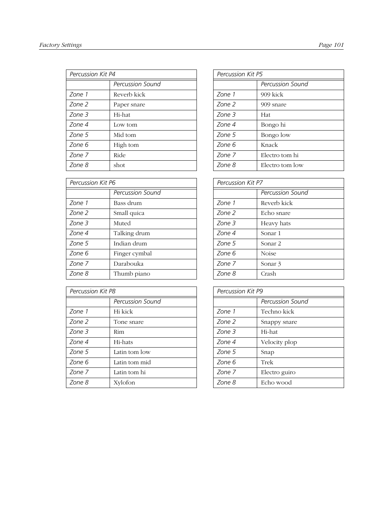| Percussion Kit P4 |                         | Percussion Kit P5 |                 |
|-------------------|-------------------------|-------------------|-----------------|
|                   | <b>Percussion Sound</b> |                   | Percussion Sour |
| Zone 1            | Reverb kick             | Zone 1            | 909 kick        |
| Zone 2            | Paper snare             | Zone 2            | 909 snare       |
| Zone 3            | Hi-hat                  | Zone 3            | Hat             |
| Zone 4            | Low tom                 | Zone 4            | Bongo hi        |
| Zone 5            | Mid tom                 | Zone 5            | Bongo low       |
| Zone 6            | High tom                | Zone 6            | Knack           |
| Zone 7            | Ride                    | Zone 7            | Electro tom hi  |
| Zone 8            | shot                    | Zone 8            | Electro tom low |

| Percussion Kit P6 |                  | Percussion Kit P7 |              |
|-------------------|------------------|-------------------|--------------|
|                   | Percussion Sound |                   | Percussion 9 |
| Zone 1            | Bass drum        | Zone 1            | Reverb kick  |
| Zone 2            | Small quica      | Zone 2            | Echo snare   |
| Zone 3            | Muted            | Zone 3            | Heavy hats   |
| Zone 4            | Talking drum     | Zone 4            | Sonar 1      |
| Zone 5            | Indian drum      | Zone 5            | Sonar 2      |
| Zone 6            | Finger cymbal    | Zone 6            | <b>Noise</b> |
| Zone 7            | Darabouka        | Zone 7            | Sonar 3      |
| Zone 8            | Thumb piano      | Zone 8            | Crash        |

| Percussion Kit P8 |                  | Percussion Kit P9 |               |
|-------------------|------------------|-------------------|---------------|
|                   | Percussion Sound |                   | Percussion So |
| Zone 1            | Hi kick          | Zone 1            | Techno kick   |
| Zone 2            | Tone snare       | Zone 2            | Snappy snare  |
| Zone 3            | <b>Rim</b>       | Zone 3            | Hi-hat        |
| Zone 4            | Hi-hats          | Zone 4            | Velocity plop |
| Zone 5            | Latin tom low    | Zone 5            | Snap          |
| Zone 6            | Latin tom mid    | Zone 6            | Trek          |
| Zone 7            | Latin tom hi     | Zone 7            | Electro guiro |
| Zone 8            | Xylofon          | Zone 8            | Echo wood     |

|                  | Percussion Kit P5 |                  |
|------------------|-------------------|------------------|
| Percussion Sound |                   | Percussion Sound |
| Reverb kick      | Zone 1            | 909 kick         |
| Paper snare      | Zone 2            | 909 snare        |
| Hi-hat           | Zone 3            | Hat              |
| Low tom          | Zone 4            | Bongo hi         |
| Mid tom          | Zone 5            | Bongo low        |
| High tom         | Zone 6            | Knack            |
| Ride             | Zone 7            | Electro tom hi   |
| shot             | Zone 8            | Electro tom low  |
|                  |                   |                  |

|                  | Percussion Kit P7 |                  |
|------------------|-------------------|------------------|
| Percussion Sound |                   | Percussion Sound |
| Bass drum        | Zone 1            | Reverb kick      |
| Small quica      | Zone 2            | Echo snare       |
| Muted            | Zone 3            | Heavy hats       |
| Talking drum     | Zone 4            | Sonar 1          |
| Indian drum      | Zone 5            | Sonar 2          |
| Finger cymbal    | Zone 6            | <b>Noise</b>     |
| Darabouka        | Zone 7            | Sonar 3          |
| Thumb piano      | Zone 8            | Crash            |

|                  | Percussion Kit P9 |                  |
|------------------|-------------------|------------------|
| Percussion Sound |                   | Percussion Sound |
| Hi kick-         | Zone 1            | Techno kick      |
| Tone snare       | Zone 2            | Snappy snare     |
| Rim              | Zone 3            | Hi-hat           |
| Hi-hats          | Zone 4            | Velocity plop    |
| Latin tom low    | Zone 5            | Snap             |
| Latin tom mid    | Zone 6            | Trek             |
| Latin tom hi     | Zone 7            | Electro guiro    |
| Xylofon          | Zone 8            | Echo wood        |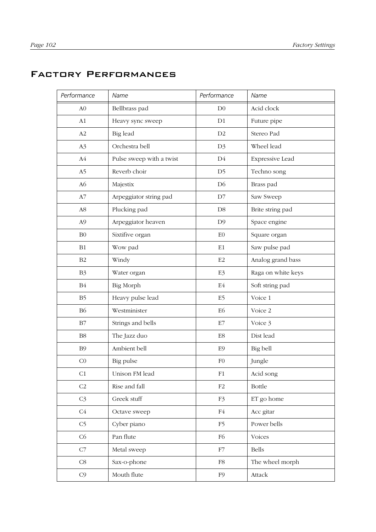# Factory Performances

| Performance    | Name                     | Performance    | Name               |
|----------------|--------------------------|----------------|--------------------|
| A <sub>0</sub> | Bellbrass pad            | D <sub>0</sub> | Acid clock         |
| A1             | Heavy sync sweep         | D <sub>1</sub> | Future pipe        |
| A2             | Big lead                 | D2             | Stereo Pad         |
| A <sub>3</sub> | Orchestra bell           | D <sub>3</sub> | Wheel lead         |
| A <sub>4</sub> | Pulse sweep with a twist | D4             | Expressive Lead    |
| A5             | Reverb choir             | D <sub>5</sub> | Techno song        |
| A <sub>6</sub> | Majestix                 | D <sub>6</sub> | Brass pad          |
| A7             | Arpeggiator string pad   | D7             | Saw Sweep          |
| ${\rm A}8$     | Plucking pad             | D <sub>8</sub> | Brite string pad   |
| A <sub>9</sub> | Arpeggiator heaven       | D <sub>9</sub> | Space engine       |
| B <sub>0</sub> | Sixtifive organ          | E <sub>0</sub> | Square organ       |
| B1             | Wow pad                  | $\rm E1$       | Saw pulse pad      |
| B <sub>2</sub> | Windy                    | E2             | Analog grand bass  |
| B <sub>3</sub> | Water organ              | E3             | Raga on white keys |
| $\mathbf{B}4$  | Big Morph                | E4             | Soft string pad    |
| B <sub>5</sub> | Heavy pulse lead         | E5             | Voice 1            |
| <b>B6</b>      | Westminister             | E <sub>6</sub> | Voice 2            |
| $\rm{B}7$      | Strings and bells        | $\rm E7$       | Voice 3            |
| B <sub>8</sub> | The Jazz duo             | E8             | Dist lead          |
| B <sub>9</sub> | Ambient bell             | E <sub>9</sub> | Big bell           |
| CO             | Big pulse                | F <sub>0</sub> | Jungle             |
| C1             | Unison FM lead           | F1             | Acid song          |
| C <sub>2</sub> | Rise and fall            | F2             | <b>Bottle</b>      |
| C <sub>3</sub> | Greek stuff              | F3             | ET go home         |
| C4             | Octave sweep             | F4             | Acc gitar          |
| C <sub>5</sub> | Cyber piano              | F <sub>5</sub> | Power bells        |
| C6             | Pan flute                | F <sub>6</sub> | Voices             |
| C7             | Metal sweep              | F7             | Bells              |
| $\mbox{C8}$    | Sax-o-phone              | F8             | The wheel morph    |
| C <sub>9</sub> | Mouth flute              | F <sub>9</sub> | Attack             |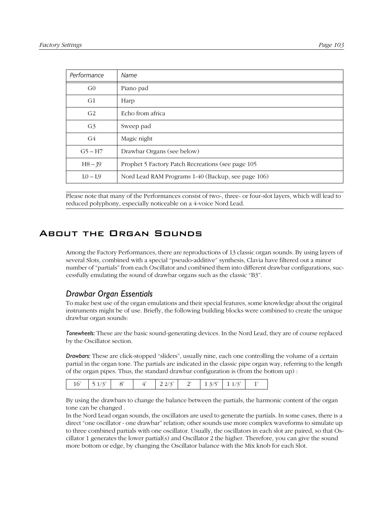| Performance    | Name                                               |
|----------------|----------------------------------------------------|
| G <sub>0</sub> | Piano pad                                          |
| G1             | Harp                                               |
| G <sub>2</sub> | Echo from africa                                   |
| G <sub>3</sub> | Sweep pad                                          |
| G4             | Magic night                                        |
| $G5 - H7$      | Drawbar Organs (see below)                         |
| $H8 - J9$      | Prophet 5 Factory Patch Recreations (see page 105  |
| $LO - L9$      | Nord Lead RAM Programs 1-40 (Backup, see page 106) |

Please note that many of the Performances consist of two-, three- or four-slot layers, which will lead to reduced polyphony, especially noticeable on a 4-voice Nord Lead.

## About the Organ Sounds

Among the Factory Performances, there are reproductions of 13 classic organ sounds. By using layers of several Slots, combined with a special "pseudo-additive" synthesis, Clavia have filtered out a minor number of "partials" from each Oscillator and combined them into different drawbar configurations, successfully emulating the sound of drawbar organs such as the classic "B3".

#### *Drawbar Organ Essentials*

To make best use of the organ emulations and their special features, some knowledge about the original instruments might be of use. Briefly, the following building blocks were combined to create the unique drawbar organ sounds:

*Tonewheels:* These are the basic sound-generating devices. In the Nord Lead, they are of course replaced by the Oscillator section.

*Drawbars:* These are click-stopped "sliders", usually nine, each one controlling the volume of a certain partial in the organ tone. The partials are indicated in the classic pipe organ way, referring to the length of the organ pipes. Thus, the standard drawbar configuration is (from the bottom up) :

| $\cdot$ $\cdot$ 2 $\cdot$ 1 $\cdot$<br>$\lambda$ |
|--------------------------------------------------|
|--------------------------------------------------|

By using the drawbars to change the balance between the partials, the harmonic content of the organ tone can be changed .

In the Nord Lead organ sounds, the oscillators are used to generate the partials. In some cases, there is a direct "one oscillator - one drawbar" relation; other sounds use more complex waveforms to simulate up to three combined partials with one oscillator. Usually, the oscillators in each slot are paired, so that Oscillator 1 generates the lower partial(s) and Oscillator 2 the higher. Therefore, you can give the sound more bottom or edge, by changing the Oscillator balance with the Mix knob for each Slot.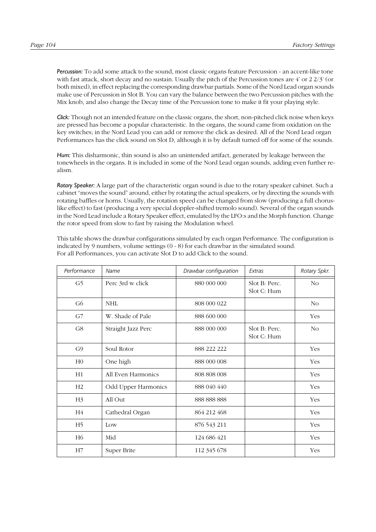*Percussion:* To add some attack to the sound, most classic organs feature Percussion - an accent-like tone with fast attack, short decay and no sustain. Usually the pitch of the Percussion tones are  $4'$  or  $2\frac{2}{3}'$  (or both mixed), in effect replacing the corresponding drawbar partials. Some of the Nord Lead organ sounds make use of Percussion in Slot B. You can vary the balance between the two Percussion pitches with the Mix knob, and also change the Decay time of the Percussion tone to make it fit your playing style.

*Click:* Though not an intended feature on the classic organs, the short, non-pitched click noise when keys are pressed has become a popular characteristic. In the organs, the sound came from oxidation on the key switches; in the Nord Lead you can add or remove the click as desired. All of the Nord Lead organ Performances has the click sound on Slot D, although it is by default turned off for some of the sounds.

*Hum:* This disharmonic, thin sound is also an unintended artifact, generated by leakage between the tonewheels in the organs. It is included in some of the Nord Lead organ sounds, adding even further realism.

*Rotary Speaker:* A large part of the characteristic organ sound is due to the rotary speaker cabinet. Such a cabinet "moves the sound" around, either by rotating the actual speakers, or by directing the sounds with rotating baffles or horns. Usually, the rotation speed can be changed from slow (producing a full choruslike effect) to fast (producing a very special doppler-shifted tremolo sound). Several of the organ sounds in the Nord Lead include a Rotary Speaker effect, emulated by the LFO:s and the Morph function. Change the rotor speed from slow to fast by raising the Modulation wheel.

This table shows the drawbar configurations simulated by each organ Performance. The configuration is indicated by 9 numbers, volume settings (0 - 8) for each drawbar in the simulated sound. For all Performances, you can activate Slot D to add Click to the sound.

| Performance    | Name                | Drawbar configuration | Extras                       | Rotary Spkr.   |
|----------------|---------------------|-----------------------|------------------------------|----------------|
| G5             | Perc 3rd w click    | 880 000 000           | Slot B: Perc.<br>Slot C: Hum | N <sub>O</sub> |
| G <sub>6</sub> | NHL                 | 808 000 022           |                              | N <sub>O</sub> |
| G7             | W. Shade of Pale    | 888 600 000           |                              | Yes            |
| G8             | Straight Jazz Perc  | 888 000 000           | Slot B: Perc.<br>Slot C: Hum | N <sub>O</sub> |
| G9             | Soul Rotor          | 888 222 222           |                              | Yes            |
| H <sub>0</sub> | One high            | 888 000 008           |                              | Yes            |
| H1             | All Even Harmonics  | 808 808 008           |                              | Yes            |
| H <sub>2</sub> | Odd Upper Harmonics | 888 040 440           |                              | Yes            |
| H <sub>3</sub> | All Out             | 888 888 888           |                              | Yes            |
| H4             | Cathedral Organ     | 864 212 468           |                              | Yes            |
| H <sub>5</sub> | Low                 | 876 543 211           |                              | Yes            |
| H6             | Mid                 | 124 686 421           |                              | Yes            |
| H7             | Super Brite         | 112 345 678           |                              | Yes            |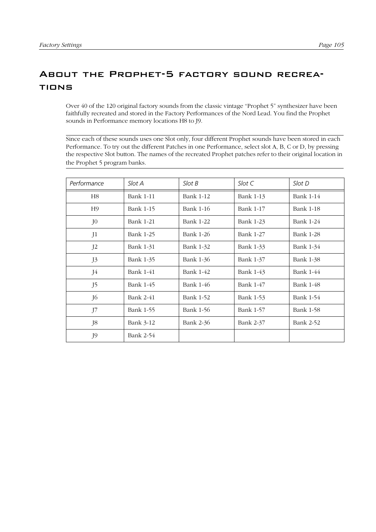# <span id="page-106-0"></span>About the Prophet-5 factory sound recreations

Over 40 of the 120 original factory sounds from the classic vintage "Prophet 5" synthesizer have been faithfully recreated and stored in the Factory Performances of the Nord Lead. You find the Prophet sounds in Performance memory locations H8 to J9.

Since each of these sounds uses one Slot only, four different Prophet sounds have been stored in each Performance. To try out the different Patches in one Performance, select slot A, B, C or D, by pressing the respective Slot button. The names of the recreated Prophet patches refer to their original location in the Prophet 5 program banks.

| Performance    | Slot A           | Slot B           | Slot C           | Slot D           |
|----------------|------------------|------------------|------------------|------------------|
| H <sub>8</sub> | <b>Bank 1-11</b> | <b>Bank 1-12</b> | Bank 1-13        | <b>Bank 1-14</b> |
| H <sub>9</sub> | <b>Bank 1-15</b> | <b>Bank 1-16</b> | <b>Bank 1-17</b> | <b>Bank 1-18</b> |
| J <sub>0</sub> | <b>Bank 1-21</b> | <b>Bank 1-22</b> | Bank 1-23        | Bank 1-24        |
| J <sub>1</sub> | <b>Bank 1-25</b> | <b>Bank 1-26</b> | <b>Bank 1-27</b> | <b>Bank 1-28</b> |
| $J^2$          | Bank 1-31        | Bank 1-32        | Bank 1-33        | Bank 1-34        |
| J3             | Bank 1-35        | Bank 1-36        | Bank 1-37        | Bank 1-38        |
| J4             | <b>Bank 1-41</b> | Bank 1-42        | Bank 1-43        | Bank 1-44        |
| J5             | Bank 1-45        | Bank 1-46        | Bank 1-47        | Bank 1-48        |
| J6             | <b>Bank 2-41</b> | Bank 1-52        | Bank 1-53        | Bank 1-54        |
| J7             | Bank 1-55        | Bank 1-56        | Bank 1-57        | Bank 1-58        |
| J8             | Bank 3-12        | <b>Bank 2-36</b> | Bank 2-37        | Bank 2-52        |
| J9             | Bank 2-54        |                  |                  |                  |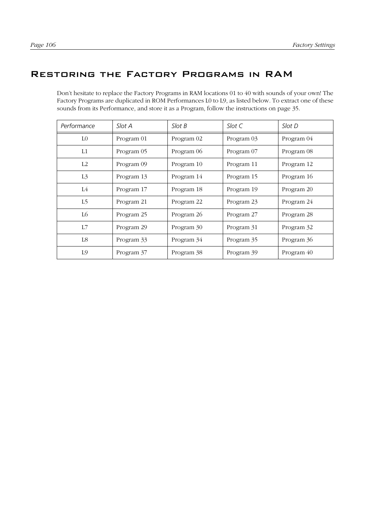# <span id="page-107-0"></span>Restoring the Factory Programs in RAM

Don't hesitate to replace the Factory Programs in RAM locations 01 to 40 with sounds of your own! The Factory Programs are duplicated in ROM Performances L0 to L9, as listed below. To extract one of these sounds from its Performance, and store it as a Program, follow the instructions on [page 35](#page-36-0).

| Performance    | Slot A     | SlotB      | Slot C     | Slot D     |
|----------------|------------|------------|------------|------------|
| L <sub>0</sub> | Program 01 | Program 02 | Program 03 | Program 04 |
| L1             | Program 05 | Program 06 | Program 07 | Program 08 |
| L2             | Program 09 | Program 10 | Program 11 | Program 12 |
| L <sub>3</sub> | Program 13 | Program 14 | Program 15 | Program 16 |
| L4             | Program 17 | Program 18 | Program 19 | Program 20 |
| L5             | Program 21 | Program 22 | Program 23 | Program 24 |
| L6             | Program 25 | Program 26 | Program 27 | Program 28 |
| L7             | Program 29 | Program 30 | Program 31 | Program 32 |
| L8             | Program 33 | Program 34 | Program 35 | Program 36 |
| L9             | Program 37 | Program 38 | Program 39 | Program 40 |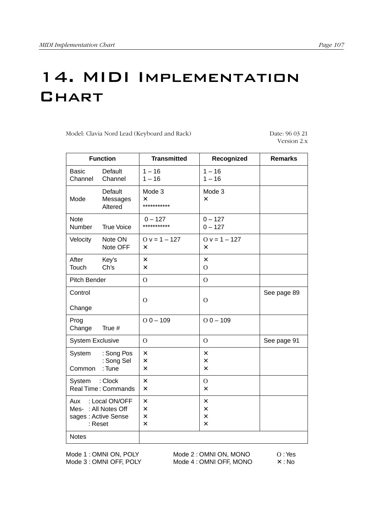# 14. MIDI Implementation **CHART**

Model: Clavia Nord Lead (Keyboard and Rack) Date: 96 03 21

Version 2.x

| <b>Function</b>                                                                 |                                       | <b>Transmitted</b>                                                | Recognized                                            | <b>Remarks</b> |
|---------------------------------------------------------------------------------|---------------------------------------|-------------------------------------------------------------------|-------------------------------------------------------|----------------|
| <b>Basic</b><br>Channel                                                         | Default<br>Channel                    | $1 - 16$<br>$1 - 16$                                              | $1 - 16$<br>$1 - 16$                                  |                |
| Mode                                                                            | Default<br>Messages<br>Altered        | Mode 3<br>$\times$<br>***********                                 | Mode 3<br>X                                           |                |
| <b>Note</b><br><b>Number</b>                                                    | <b>True Voice</b>                     | $0 - 127$<br>***********                                          | $0 - 127$<br>$0 - 127$                                |                |
| Velocity                                                                        | Note ON<br>Note OFF                   | $0 v = 1 - 127$<br>$\times$                                       | $0 v = 1 - 127$<br>$\times$                           |                |
| After<br>Touch                                                                  | Key's<br>Ch's                         | X<br>$\times$                                                     | $\times$<br>$\overline{O}$                            |                |
| Pitch Bender                                                                    |                                       | $\Omega$                                                          | $\Omega$                                              |                |
| Control<br>Change                                                               |                                       | $\Omega$                                                          | $\Omega$                                              | See page 89    |
| Prog<br>Change                                                                  | True #                                | $O$ 0 - 109                                                       | $O$ 0 $-$ 109                                         |                |
| <b>System Exclusive</b>                                                         |                                       | $\Omega$                                                          | $\overline{O}$                                        | See page 91    |
| System<br>Common                                                                | : Song Pos<br>: Song Sel<br>: Tune    | $\pmb{\times}$<br>$\pmb{\times}$<br>$\times$                      | $\pmb{\times}$<br>$\times$<br>$\overline{\mathsf{x}}$ |                |
| System                                                                          | : Clock<br><b>Real Time: Commands</b> | $\times$<br>$\boldsymbol{\mathsf{x}}$                             | $\mathbf{O}$<br>$\boldsymbol{\mathsf{x}}$             |                |
| : Local ON/OFF<br>Aux<br>Mes-: All Notes Off<br>sages : Active Sense<br>: Reset |                                       | $\pmb{\times}$<br>$\times$<br>$\times$<br>$\overline{\mathsf{x}}$ | $\times$<br>$\times$<br>X<br>$\mathsf{x}$             |                |
| <b>Notes</b>                                                                    |                                       |                                                                   |                                                       |                |

Mode 1 : OMNI ON, POLY Mode 2 : OMNI ON, MONO O : Yes<br>
Mode 3 : OMNI OFF, POLY Mode 4 : OMNI OFF, MONO X : No Mode 3 : OMNI OFF, POLY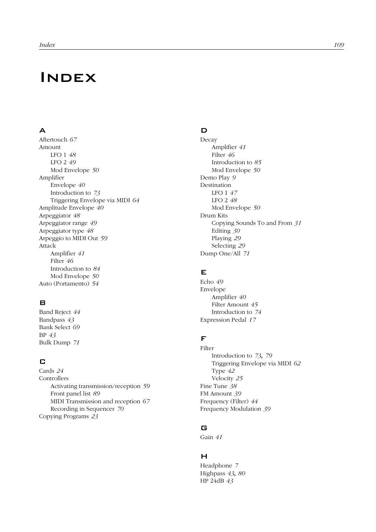## **INDEX**

## A

Aftertouch *67* Amount LFO 1 *48* LFO 2 *49* Mod Envelope *50* Amplifier Envelope *40* Introduction to *73* Triggering Envelope via MIDI *64* Amplitude Envelope *40* Arpeggiator *48* Arpeggiator range *49* Arpeggiator type *48* Arpeggio to MIDI Out *59* Attack Amplifier *41* Filter *46* Introduction to *84* Mod Envelope *50* Auto (Portamento) *54*

## B

Band Reject *44* Bandpass *43* Bank Select *69* BP *43* Bulk Dump *71*

## C

Cards *24* Controllers Activating transmission/reception *59* Front panel list *89* MIDI Transmission and reception *67* Recording in Sequencer *70* Copying Programs *23*

#### D

Decay Amplifier *41* Filter *46* Introduction to *85* Mod Envelope *50* Demo Play *9* Destination LFO 1 *47* LFO 2 *48* Mod Envelope *50* Drum Kits Copying Sounds To and From *31* Editing *30* Playing *29* Selecting *29* Dump One/All *71*

## E

Echo *49* Envelope Amplifier *40* Filter Amount *45* Introduction to *74* Expression Pedal *17*

## F

Filter Introduction to *73*, *79* Triggering Envelope via MIDI *62* Type *42* Velocity *25* Fine Tune *38* FM Amount *39* Frequency (Filter) *44* Frequency Modulation *39*

## G

Gain *41*

## H

Headphone *7* Highpass *43*, *80* HP 24dB *43*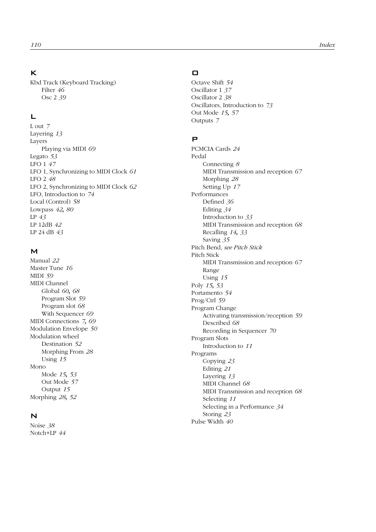#### K

Kbd Track (Keyboard Tracking) Filter *46* Osc 2 *39*

## L

L out *7* Layering *13* Layers Playing via MIDI *69* Legato *53* LFO 1 *47* LFO 1, Synchronizing to MIDI Clock *61* LFO 2 *48* LFO 2, Synchronizing to MIDI Clock *62* LFO, Introduction to *74* Local (Control) *58* Lowpass *42*, *80* LP *43* LP 12dB *42* LP 24 dB *43*

#### M

Manual *22* Master Tune *16* MIDI *59* MIDI Channel Global *60*, *68* Program Slot *59* Program slot *68* With Sequencer *69* MIDI Connections *7*, *69* Modulation Envelope *50* Modulation wheel Destination *52* Morphing From *28* Using *15* Mono Mode *15*, *53* Out Mode *57* Output *15* Morphing *28*, *52*

#### N

Noise *38* Notch+LP *44*

## $\Box$

Octave Shift *54* Oscillator 1 *37* Oscillator 2 *38* Oscillators, Introduction to *73* Out Mode *15*, *57* Outputs *7*

#### P

PCMCIA Cards *24* Pedal Connecting *8* MIDI Transmission and reception *67* Morphing *28* Setting Up *17* Performances Defined *36* Editing *34* Introduction to *33* MIDI Transmission and reception *68* Recalling *14*, *33* Saving *35* Pitch Bend, *see Pitch Stick* Pitch Stick MIDI Transmission and reception *67* Range Using *15* Poly *15*, *53* Portamento *54* Prog/Ctrl *59* Program Change Activating transmission/reception *59* Described *68* Recording in Sequencer *70* Program Slots Introduction to *11* Programs Copying *23* Editing *21* Layering *13* MIDI Channel *68* MIDI Transmission and reception *68* Selecting *11* Selecting in a Performance *34* Storing *23* Pulse Width *40*